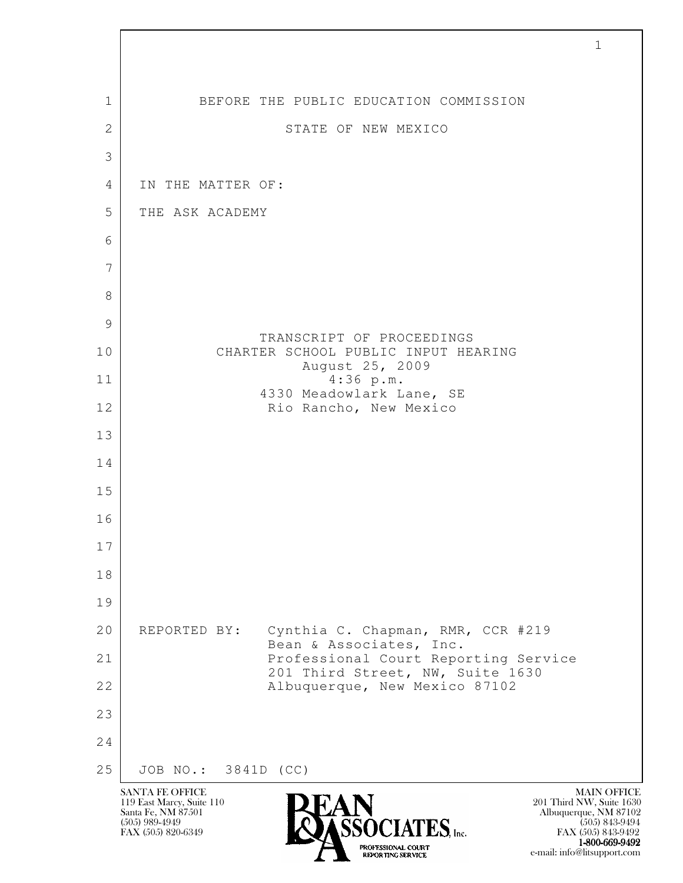| $\mathbf{1}$   | BEFORE THE PUBLIC EDUCATION COMMISSION                                       |
|----------------|------------------------------------------------------------------------------|
| $\overline{2}$ | STATE OF NEW MEXICO                                                          |
| 3              |                                                                              |
| 4              | IN THE MATTER OF:                                                            |
| 5              | THE ASK ACADEMY                                                              |
| 6              |                                                                              |
| 7              |                                                                              |
| 8              |                                                                              |
| 9              | TRANSCRIPT OF PROCEEDINGS                                                    |
| 10             | CHARTER SCHOOL PUBLIC INPUT HEARING<br>August 25, 2009                       |
| 11             | 4:36 p.m.<br>4330 Meadowlark Lane, SE                                        |
| 12             | Rio Rancho, New Mexico                                                       |
| 13             |                                                                              |
| 14             |                                                                              |
| 15             |                                                                              |
| 16             |                                                                              |
| 17             |                                                                              |
| 18             |                                                                              |
| 19             |                                                                              |
| 20             | REPORTED BY:<br>Cynthia C. Chapman, RMR, CCR #219<br>Bean & Associates, Inc. |
| 21             | Professional Court Reporting Service<br>201 Third Street, NW, Suite 1630     |
| 22             | Albuquerque, New Mexico 87102                                                |
| 23             |                                                                              |
| 24             |                                                                              |
| 25             | JOB NO.: 3841D<br>(CC)<br><b>SANTA FE OFFICE</b><br><b>MAIN OFFICE</b>       |

Г

EXPORTING SERVICE e-mail: info@litsupport.com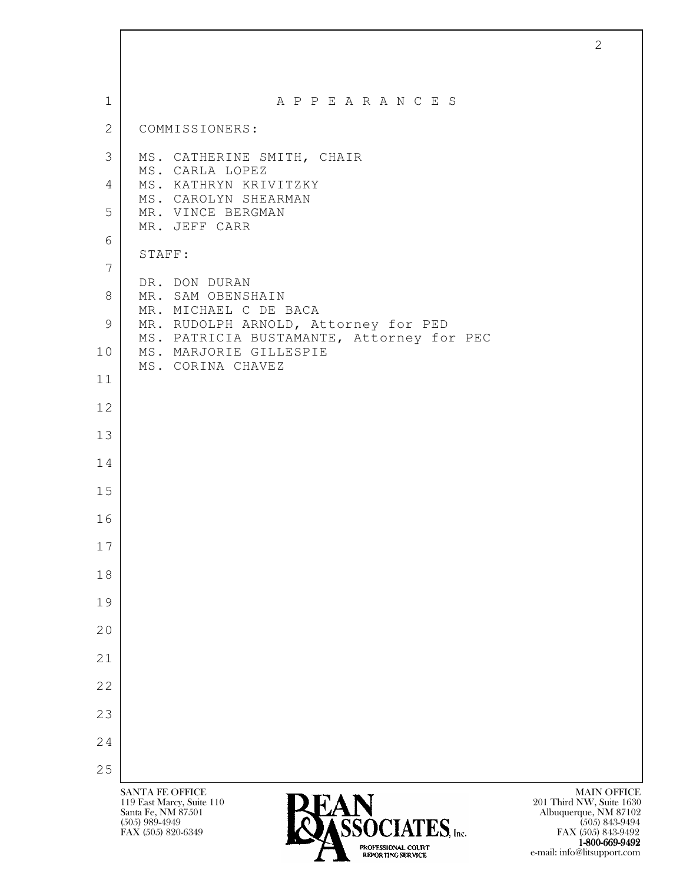| $\mathbf{1}$    | A P P E A R A N C E S                                                                                                                                                                                                                                                        |
|-----------------|------------------------------------------------------------------------------------------------------------------------------------------------------------------------------------------------------------------------------------------------------------------------------|
| 2               | COMMISSIONERS:                                                                                                                                                                                                                                                               |
| 3               | MS. CATHERINE SMITH, CHAIR<br>MS. CARLA LOPEZ                                                                                                                                                                                                                                |
| 4               | MS. KATHRYN KRIVITZKY<br>MS. CAROLYN SHEARMAN                                                                                                                                                                                                                                |
| 5               | MR. VINCE BERGMAN<br>MR. JEFF CARR                                                                                                                                                                                                                                           |
| 6               | STAFF:                                                                                                                                                                                                                                                                       |
| $7\phantom{.0}$ | DR. DON DURAN                                                                                                                                                                                                                                                                |
| 8               | MR. SAM OBENSHAIN<br>MR. MICHAEL C DE BACA                                                                                                                                                                                                                                   |
| 9               | MR. RUDOLPH ARNOLD, Attorney for PED<br>MS. PATRICIA BUSTAMANTE, Attorney for PEC                                                                                                                                                                                            |
| 10              | MS. MARJORIE GILLESPIE<br>MS. CORINA CHAVEZ                                                                                                                                                                                                                                  |
| 11              |                                                                                                                                                                                                                                                                              |
| 12              |                                                                                                                                                                                                                                                                              |
| 13<br>14        |                                                                                                                                                                                                                                                                              |
| 15              |                                                                                                                                                                                                                                                                              |
| 16              |                                                                                                                                                                                                                                                                              |
| 17              |                                                                                                                                                                                                                                                                              |
| 18              |                                                                                                                                                                                                                                                                              |
| 19              |                                                                                                                                                                                                                                                                              |
| 20              |                                                                                                                                                                                                                                                                              |
| 21              |                                                                                                                                                                                                                                                                              |
| 22              |                                                                                                                                                                                                                                                                              |
| 23              |                                                                                                                                                                                                                                                                              |
| 24              |                                                                                                                                                                                                                                                                              |
| 25              |                                                                                                                                                                                                                                                                              |
|                 | <b>MAIN OFFICE</b><br><b>SANTA FE OFFICE</b><br>119 East Marcy, Suite 110<br>201 Third NW, Suite 1630<br><b>LAIN</b><br>DASSOCIATES, Inc.<br>Albuquerque, NM 87102<br>Santa Fe, NM 87501<br>$(505)$ 989-4949<br>$(505)$ 843-9494<br>FAX (505) 820-6349<br>FAX (505) 843-9492 |

2

1-800-669-9492 EXPORTING SERVICE e-mail: info@litsupport.com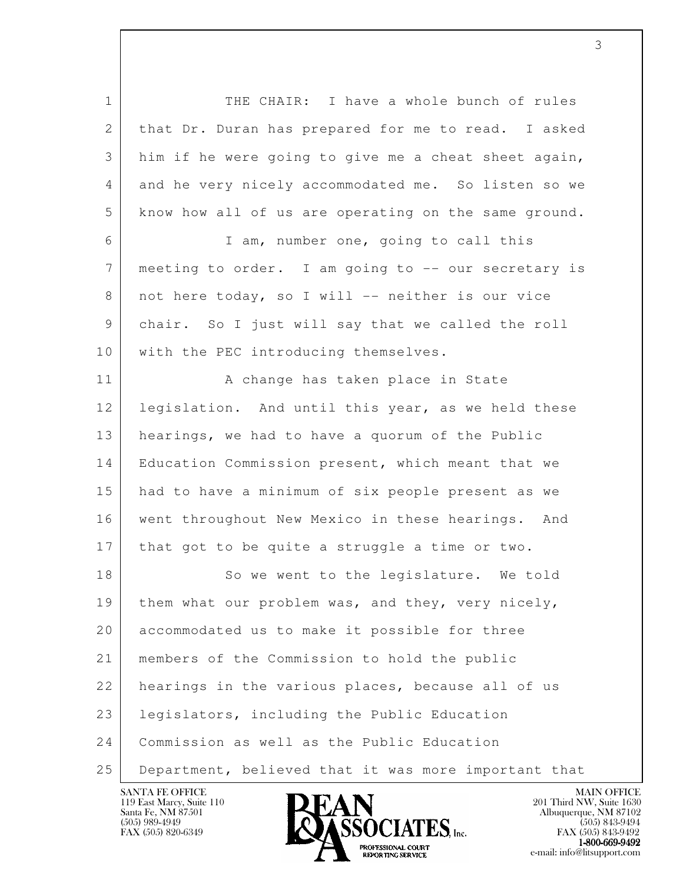l 1 THE CHAIR: I have a whole bunch of rules 2 that Dr. Duran has prepared for me to read. I asked 3 him if he were going to give me a cheat sheet again, 4 and he very nicely accommodated me. So listen so we 5 know how all of us are operating on the same ground. 6 I am, number one, going to call this 7 meeting to order. I am going to -- our secretary is 8 | not here today, so I will -- neither is our vice 9 chair. So I just will say that we called the roll 10 | with the PEC introducing themselves. 11 | A change has taken place in State 12 legislation. And until this year, as we held these 13 hearings, we had to have a quorum of the Public 14 | Education Commission present, which meant that we 15 had to have a minimum of six people present as we 16 went throughout New Mexico in these hearings. And 17 that got to be quite a struggle a time or two. 18 So we went to the legislature. We told 19 | them what our problem was, and they, very nicely, 20 accommodated us to make it possible for three 21 members of the Commission to hold the public 22 hearings in the various places, because all of us 23 legislators, including the Public Education 24 Commission as well as the Public Education 25 Department, believed that it was more important that



FAX (505) 843-9492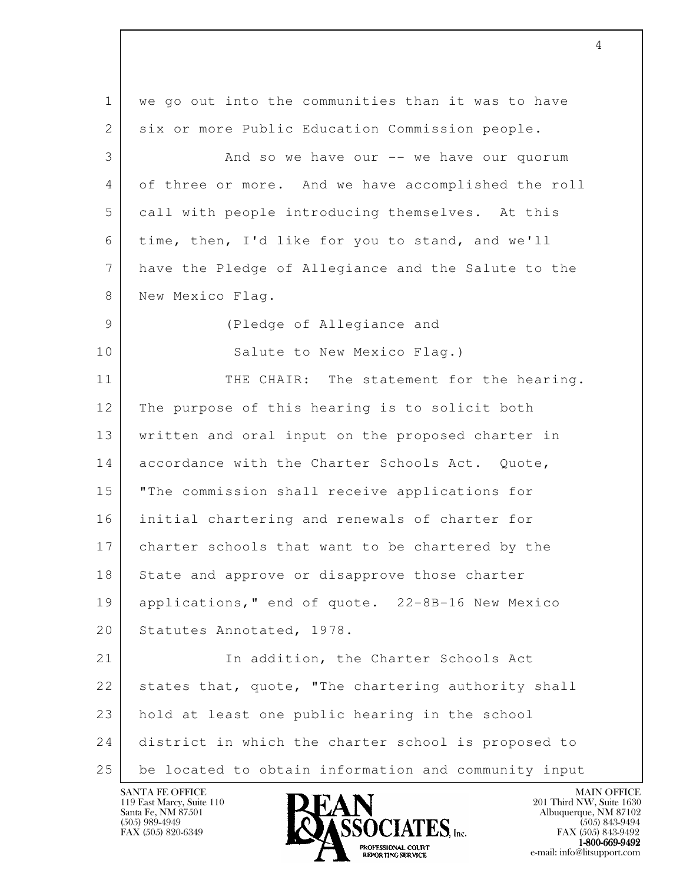l 1 we go out into the communities than it was to have 2 | six or more Public Education Commission people. 3 And so we have our -- we have our quorum 4 of three or more. And we have accomplished the roll 5 call with people introducing themselves. At this 6 time, then, I'd like for you to stand, and we'll 7 have the Pledge of Allegiance and the Salute to the 8 New Mexico Flag. 9 (Pledge of Allegiance and 10 Salute to New Mexico Flag.) 11 THE CHAIR: The statement for the hearing. 12 The purpose of this hearing is to solicit both 13 written and oral input on the proposed charter in 14 accordance with the Charter Schools Act. Quote, 15 "The commission shall receive applications for 16 initial chartering and renewals of charter for 17 charter schools that want to be chartered by the 18 State and approve or disapprove those charter 19 applications," end of quote. 22-8B-16 New Mexico 20 Statutes Annotated, 1978. 21 In addition, the Charter Schools Act 22 states that, quote, "The chartering authority shall 23 hold at least one public hearing in the school 24 district in which the charter school is proposed to 25 be located to obtain information and community input

119 East Marcy, Suite 110<br>Santa Fe, NM 87501

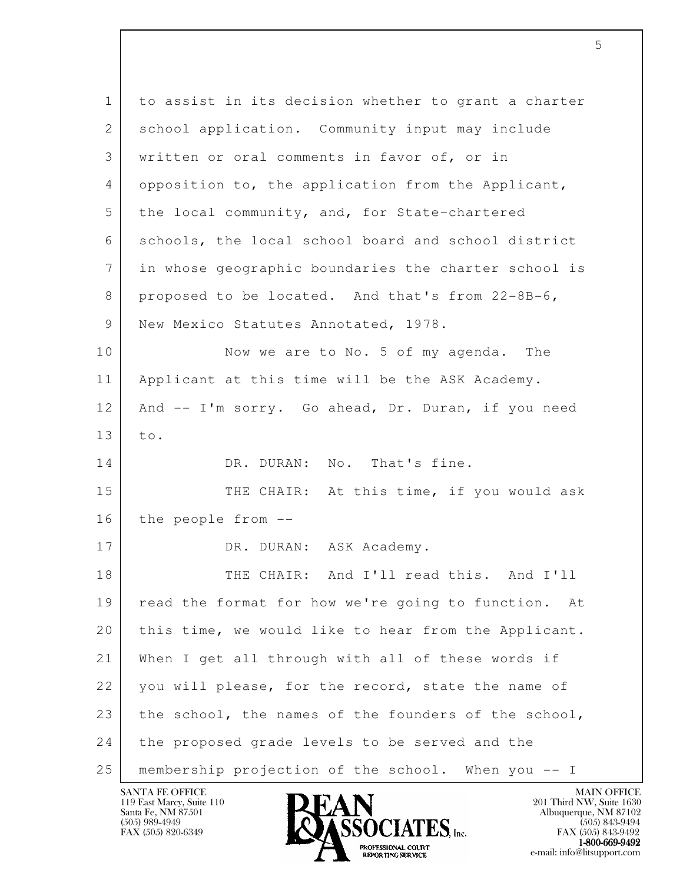| $\mathbf{1}$    | to assist in its decision whether to grant a charter   |
|-----------------|--------------------------------------------------------|
| 2               | school application. Community input may include        |
| 3               | written or oral comments in favor of, or in            |
| 4               | opposition to, the application from the Applicant,     |
| 5               | the local community, and, for State-chartered          |
| 6               | schools, the local school board and school district    |
| $7\phantom{.0}$ | in whose geographic boundaries the charter school is   |
| 8               | proposed to be located. And that's from 22-8B-6,       |
| 9               | New Mexico Statutes Annotated, 1978.                   |
| 10              | Now we are to No. 5 of my agenda. The                  |
| 11              | Applicant at this time will be the ASK Academy.        |
| 12              | And -- I'm sorry. Go ahead, Dr. Duran, if you need     |
| 13              | to.                                                    |
| 14              | DR. DURAN: No. That's fine.                            |
| 15              | THE CHAIR: At this time, if you would ask              |
| 16              | the people from --                                     |
| 17              | DR. DURAN: ASK Academy.                                |
| 18              | THE CHAIR: And I'll read this. And I'll                |
| 19              | read the format for how we're going to function.<br>At |
| 20              | this time, we would like to hear from the Applicant.   |
| 21              | When I get all through with all of these words if      |
| 22              | you will please, for the record, state the name of     |
| 23              | the school, the names of the founders of the school,   |
| 24              | the proposed grade levels to be served and the         |
| 25              | membership projection of the school. When you -- I     |

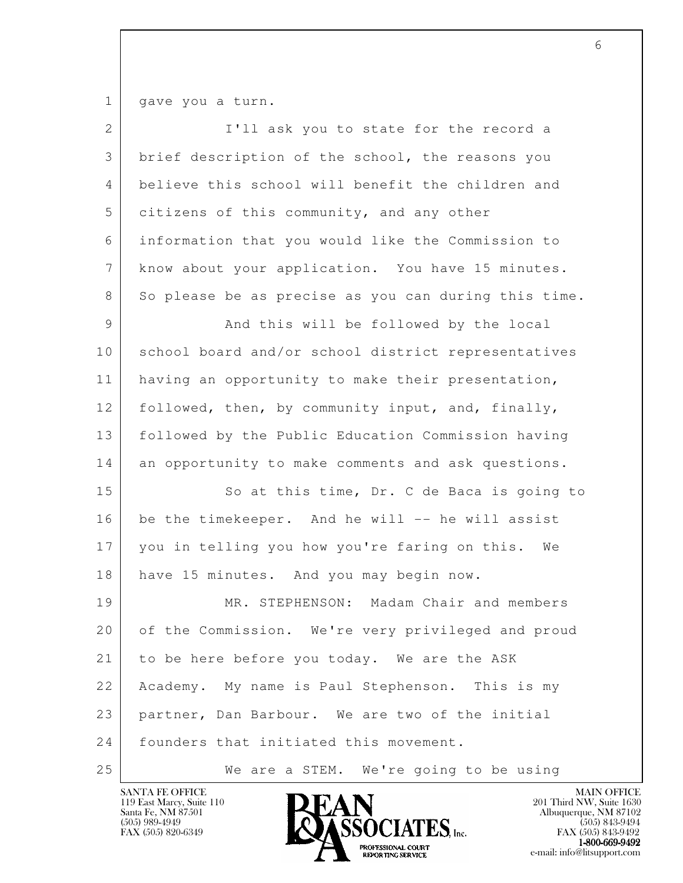1 gave you a turn.

| $\overline{2}$  | I'll ask you to state for the record a               |
|-----------------|------------------------------------------------------|
| 3               | brief description of the school, the reasons you     |
| 4               | believe this school will benefit the children and    |
| 5               | citizens of this community, and any other            |
| 6               | information that you would like the Commission to    |
| $7\phantom{.0}$ | know about your application. You have 15 minutes.    |
| 8               | So please be as precise as you can during this time. |
| 9               | And this will be followed by the local               |
| 10              | school board and/or school district representatives  |
| 11              | having an opportunity to make their presentation,    |
| 12              | followed, then, by community input, and, finally,    |
| 13              | followed by the Public Education Commission having   |
| 14              | an opportunity to make comments and ask questions.   |
| 15              | So at this time, Dr. C de Baca is going to           |
| 16              | be the timekeeper. And he will -- he will assist     |
| 17              | you in telling you how you're faring on this. We     |
| 18              | have 15 minutes. And you may begin now.              |
| 19              | MR. STEPHENSON: Madam Chair and members              |
| 20              | of the Commission. We're very privileged and proud   |
| 21              | to be here before you today. We are the ASK          |
| 22              | Academy. My name is Paul Stephenson. This is my      |
| 23              | partner, Dan Barbour. We are two of the initial      |
| 24              | founders that initiated this movement.               |
| 25              | We are a STEM. We're going to be using               |

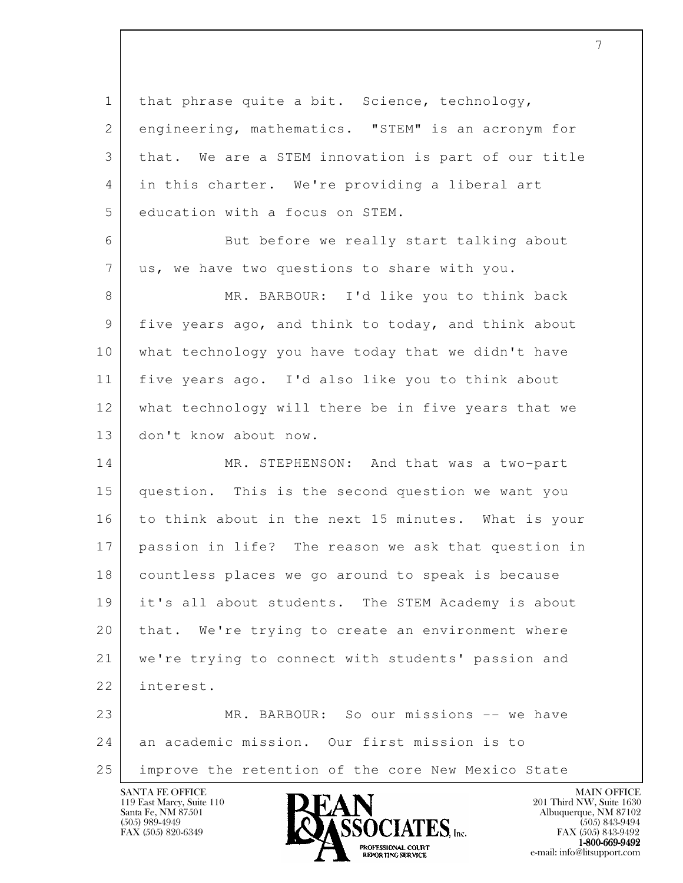l 1 | that phrase quite a bit. Science, technology, 2 engineering, mathematics. "STEM" is an acronym for 3 that. We are a STEM innovation is part of our title 4 in this charter. We're providing a liberal art 5 education with a focus on STEM. 6 But before we really start talking about 7 | us, we have two questions to share with you. 8 MR. BARBOUR: I'd like you to think back 9 five years ago, and think to today, and think about 10 what technology you have today that we didn't have 11 five years ago. I'd also like you to think about 12 what technology will there be in five years that we 13 don't know about now. 14 MR. STEPHENSON: And that was a two-part 15 question. This is the second question we want you 16 to think about in the next 15 minutes. What is your 17 passion in life? The reason we ask that question in 18 countless places we go around to speak is because 19 it's all about students. The STEM Academy is about 20 that. We're trying to create an environment where 21 we're trying to connect with students' passion and 22 interest. 23 MR. BARBOUR: So our missions -- we have 24 an academic mission. Our first mission is to 25 improve the retention of the core New Mexico State



FAX (505) 843-9492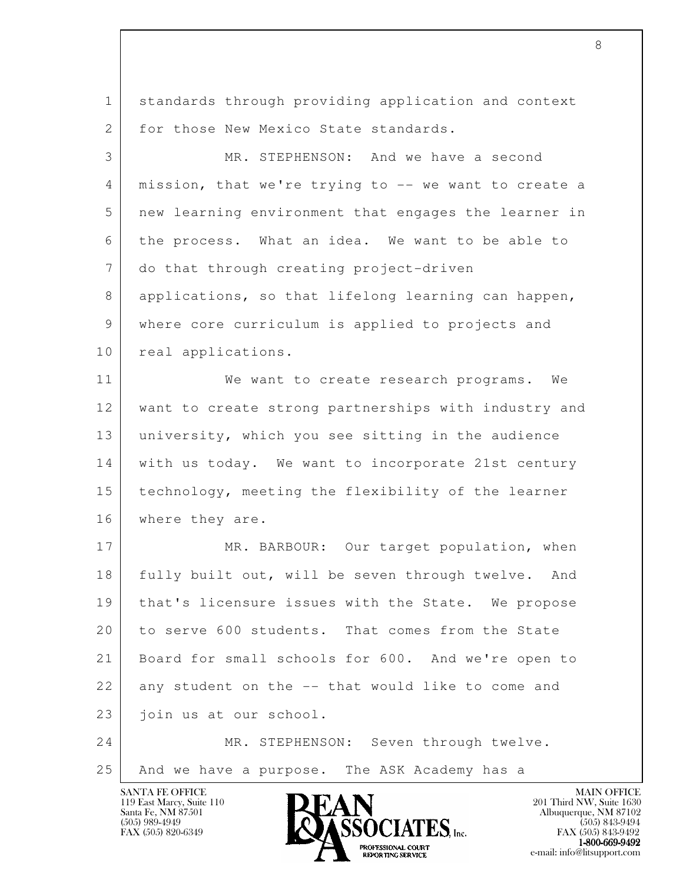1 standards through providing application and context 2 for those New Mexico State standards. 3 MR. STEPHENSON: And we have a second 4 mission, that we're trying to -- we want to create a 5 new learning environment that engages the learner in 6 the process. What an idea. We want to be able to 7 do that through creating project-driven 8 applications, so that lifelong learning can happen, 9 where core curriculum is applied to projects and 10 real applications. 11 We want to create research programs. We 12 want to create strong partnerships with industry and 13 university, which you see sitting in the audience 14 | with us today. We want to incorporate 21st century 15 technology, meeting the flexibility of the learner

l 17 MR. BARBOUR: Our target population, when 18 fully built out, will be seven through twelve. And 19 | that's licensure issues with the State. We propose 20 to serve 600 students. That comes from the State 21 Board for small schools for 600. And we're open to 22 any student on the -- that would like to come and 23 join us at our school. 24 MR. STEPHENSON: Seven through twelve.

25 And we have a purpose. The ASK Academy has a

119 East Marcy, Suite 110<br>Santa Fe, NM 87501

16 | where they are.

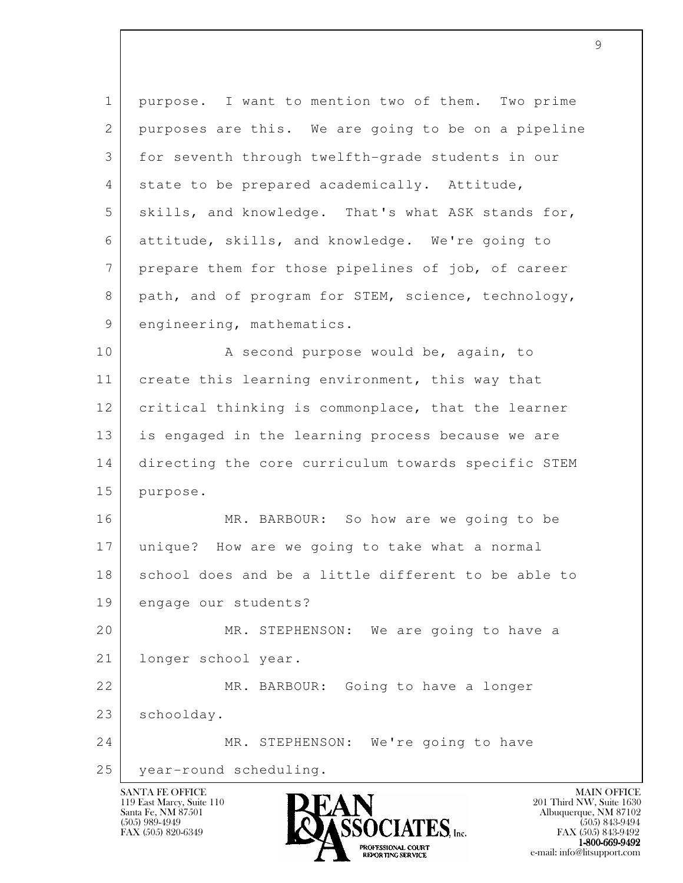| $\mathbf 1$  | purpose. I want to mention two of them. Two prime   |
|--------------|-----------------------------------------------------|
| $\mathbf{2}$ | purposes are this. We are going to be on a pipeline |
| 3            | for seventh through twelfth-grade students in our   |
| 4            | state to be prepared academically. Attitude,        |
| 5            | skills, and knowledge. That's what ASK stands for,  |
| 6            | attitude, skills, and knowledge. We're going to     |
| 7            | prepare them for those pipelines of job, of career  |
| 8            | path, and of program for STEM, science, technology, |
| 9            | engineering, mathematics.                           |
| 10           | A second purpose would be, again, to                |
| 11           | create this learning environment, this way that     |
| 12           | critical thinking is commonplace, that the learner  |
| 13           | is engaged in the learning process because we are   |
| 14           | directing the core curriculum towards specific STEM |
| 15           | purpose.                                            |
| 16           | MR. BARBOUR: So how are we going to be              |
| 17           | unique? How are we going to take what a normal      |
| 18           | school does and be a little different to be able to |
| 19           | engage our students?                                |
| 20           | MR. STEPHENSON: We are going to have a              |
| 21           | longer school year.                                 |
| 22           | MR. BARBOUR: Going to have a longer                 |
| 23           | schoolday.                                          |
| 24           | MR. STEPHENSON: We're going to have                 |
| 25           | year-round scheduling.                              |
|              | <b>MAIN OFFICE</b><br>SANTA FE OFFICE               |

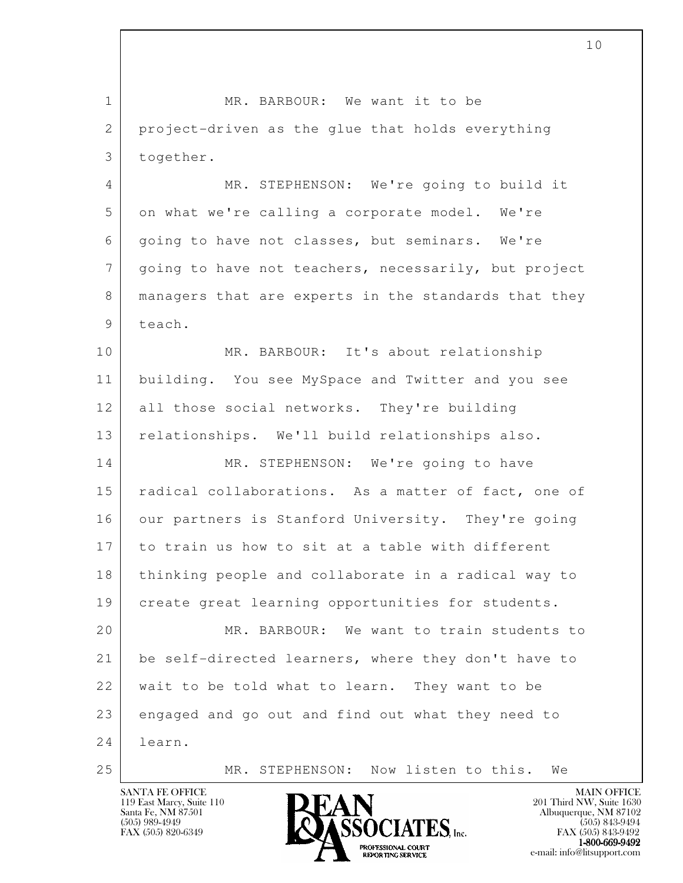l 1 MR. BARBOUR: We want it to be 2 project-driven as the glue that holds everything 3 together. 4 MR. STEPHENSON: We're going to build it 5 on what we're calling a corporate model. We're 6 going to have not classes, but seminars. We're 7 going to have not teachers, necessarily, but project 8 managers that are experts in the standards that they 9 teach. 10 MR. BARBOUR: It's about relationship 11 building. You see MySpace and Twitter and you see 12 all those social networks. They're building 13 relationships. We'll build relationships also. 14 MR. STEPHENSON: We're going to have 15 | radical collaborations. As a matter of fact, one of 16 our partners is Stanford University. They're going 17 to train us how to sit at a table with different 18 thinking people and collaborate in a radical way to 19 | create great learning opportunities for students. 20 MR. BARBOUR: We want to train students to 21 be self-directed learners, where they don't have to 22 wait to be told what to learn. They want to be 23 engaged and go out and find out what they need to 24 learn. 25 MR. STEPHENSON: Now listen to this. We



FAX (505) 843-9492  $1-800-669-9492$ <br>PROFESSIONAL COURT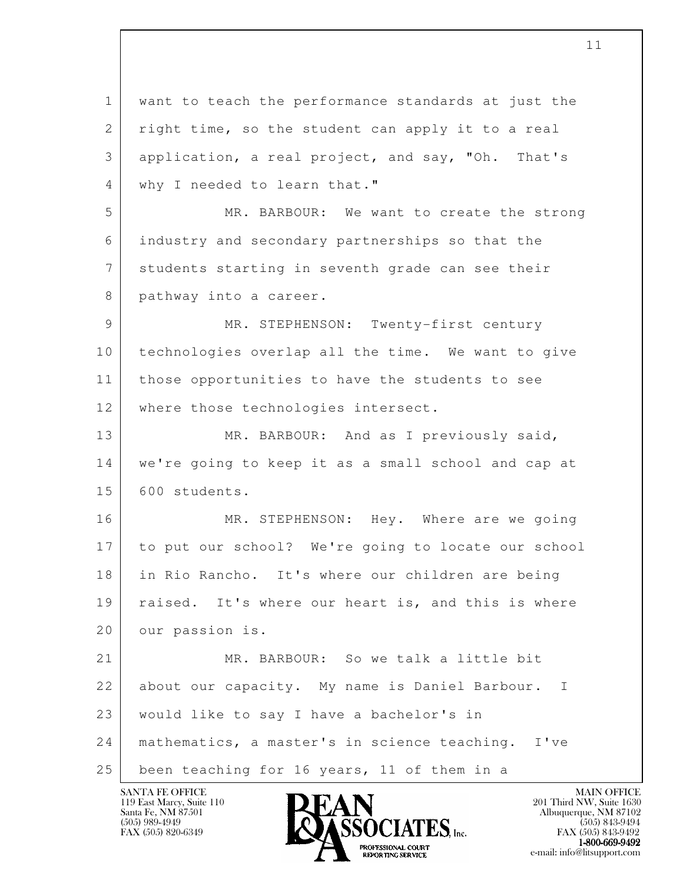l 1 want to teach the performance standards at just the 2 right time, so the student can apply it to a real 3 application, a real project, and say, "Oh. That's 4 | why I needed to learn that." 5 MR. BARBOUR: We want to create the strong 6 industry and secondary partnerships so that the 7 students starting in seventh grade can see their 8 pathway into a career. 9 MR. STEPHENSON: Twenty-first century 10 technologies overlap all the time. We want to give 11 those opportunities to have the students to see 12 where those technologies intersect. 13 MR. BARBOUR: And as I previously said, 14 we're going to keep it as a small school and cap at 15 600 students. 16 | MR. STEPHENSON: Hey. Where are we going 17 to put our school? We're going to locate our school 18 in Rio Rancho. It's where our children are being 19 raised. It's where our heart is, and this is where 20 our passion is. 21 | MR. BARBOUR: So we talk a little bit 22 about our capacity. My name is Daniel Barbour. I 23 would like to say I have a bachelor's in 24 mathematics, a master's in science teaching. I've 25 been teaching for 16 years, 11 of them in a

119 East Marcy, Suite 110<br>Santa Fe, NM 87501

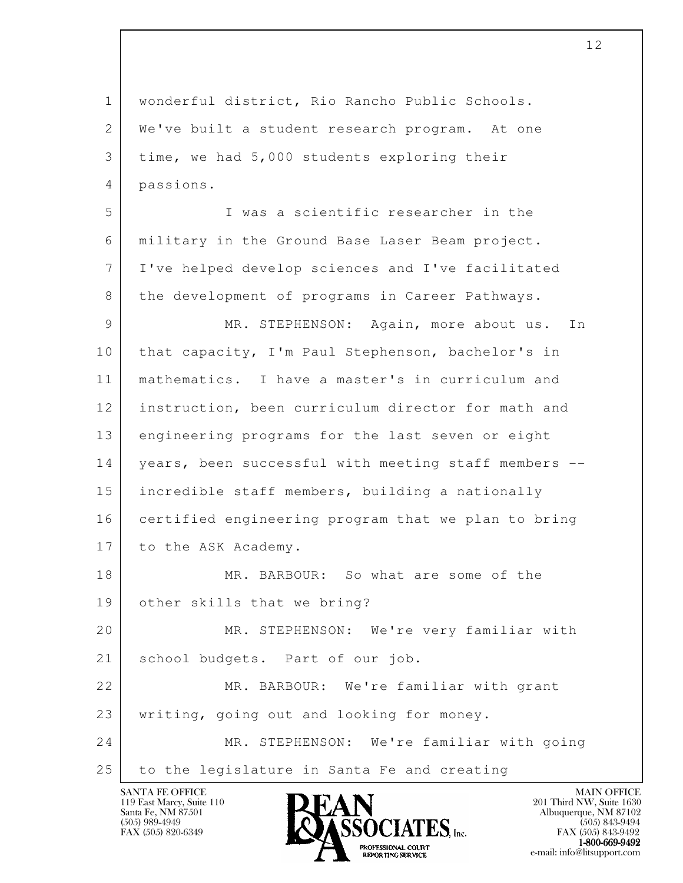l 1 wonderful district, Rio Rancho Public Schools. 2 | We've built a student research program. At one 3 time, we had 5,000 students exploring their 4 passions. 5 I was a scientific researcher in the 6 military in the Ground Base Laser Beam project. 7 I've helped develop sciences and I've facilitated 8 the development of programs in Career Pathways. 9 MR. STEPHENSON: Again, more about us. In 10 that capacity, I'm Paul Stephenson, bachelor's in 11 mathematics. I have a master's in curriculum and 12 instruction, been curriculum director for math and 13 engineering programs for the last seven or eight 14 years, been successful with meeting staff members -- 15 incredible staff members, building a nationally 16 certified engineering program that we plan to bring 17 to the ASK Academy. 18 MR. BARBOUR: So what are some of the 19 other skills that we bring? 20 MR. STEPHENSON: We're very familiar with 21 | school budgets. Part of our job. 22 MR. BARBOUR: We're familiar with grant 23 | writing, going out and looking for money. 24 MR. STEPHENSON: We're familiar with going 25 to the legislature in Santa Fe and creating

119 East Marcy, Suite 110<br>Santa Fe, NM 87501



FAX (505) 843-9492 1-800-669-9492<br>PROFESSIONAL COURT **EXPORTING SERVICE** EXPLORER THE REPORTING SERVICE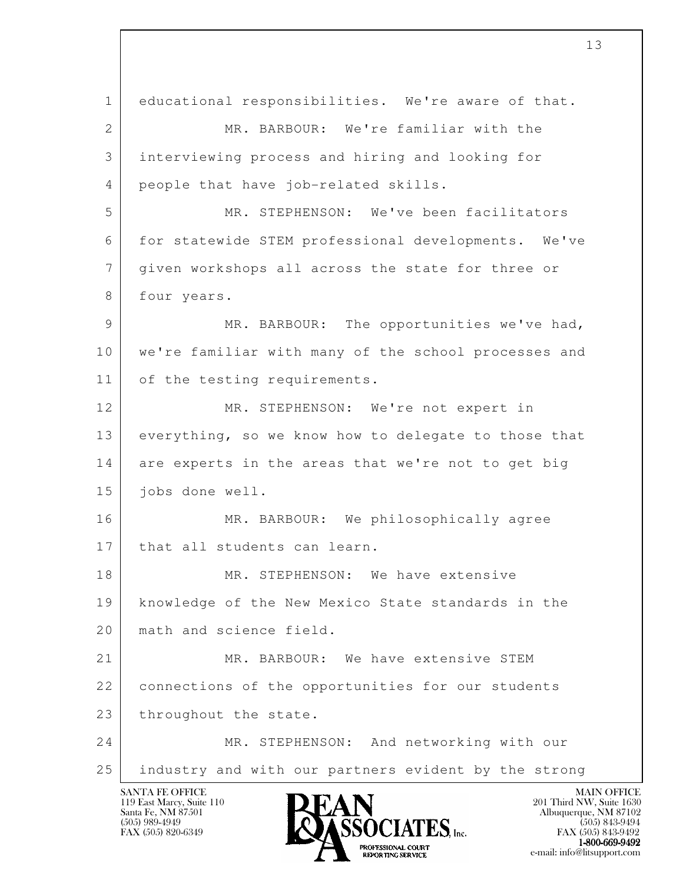l SANTA FE OFFICE MAIN OFFICE MAIN OFFICE MAIN OFFICE MAIN OFFICE 1 educational responsibilities. We're aware of that. 2 MR. BARBOUR: We're familiar with the 3 interviewing process and hiring and looking for 4 people that have job-related skills. 5 MR. STEPHENSON: We've been facilitators 6 for statewide STEM professional developments. We've 7 given workshops all across the state for three or 8 four years. 9 MR. BARBOUR: The opportunities we've had, 10 we're familiar with many of the school processes and 11 of the testing requirements. 12 MR. STEPHENSON: We're not expert in 13 everything, so we know how to delegate to those that 14 are experts in the areas that we're not to get big 15 jobs done well. 16 MR. BARBOUR: We philosophically agree 17 | that all students can learn. 18 MR. STEPHENSON: We have extensive 19 knowledge of the New Mexico State standards in the 20 math and science field. 21 MR. BARBOUR: We have extensive STEM 22 connections of the opportunities for our students 23 throughout the state. 24 MR. STEPHENSON: And networking with our 25 industry and with our partners evident by the strong

13



FAX (505) 843-9492  $1-800-669-9492$ <br>PROFESSIONAL COURT **EXPORTING SERVICE** EXPLORER THE REPORTING SERVICE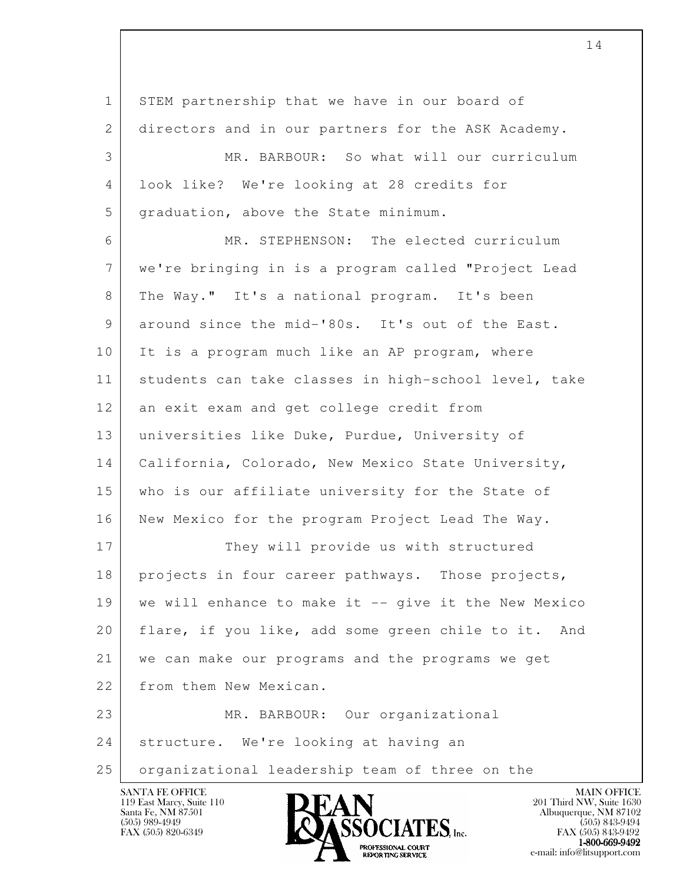l 1 STEM partnership that we have in our board of 2 directors and in our partners for the ASK Academy. 3 MR. BARBOUR: So what will our curriculum 4 look like? We're looking at 28 credits for 5 | graduation, above the State minimum. 6 MR. STEPHENSON: The elected curriculum 7 we're bringing in is a program called "Project Lead 8 The Way." It's a national program. It's been 9 around since the mid-'80s. It's out of the East. 10 It is a program much like an AP program, where 11 students can take classes in high-school level, take 12 an exit exam and get college credit from 13 universities like Duke, Purdue, University of 14 | California, Colorado, New Mexico State University, 15 who is our affiliate university for the State of 16 New Mexico for the program Project Lead The Way. 17 They will provide us with structured 18 | projects in four career pathways. Those projects, 19 we will enhance to make it -- give it the New Mexico 20 flare, if you like, add some green chile to it. And 21 we can make our programs and the programs we get 22 from them New Mexican. 23 MR. BARBOUR: Our organizational 24 | structure. We're looking at having an 25 organizational leadership team of three on the



FAX (505) 843-9492 1-800-669-9492<br>PROFESSIONAL COURT **EXPORTING SERVICE** EXPLORER THE REPORTING SERVICE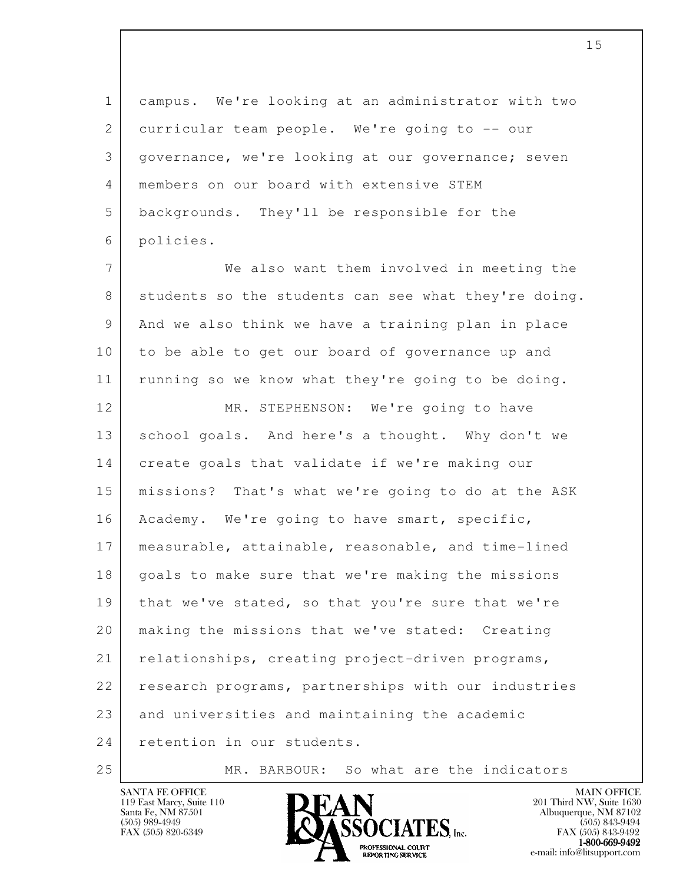1 campus. We're looking at an administrator with two 2 curricular team people. We're going to -- our 3 | governance, we're looking at our governance; seven 4 members on our board with extensive STEM 5 backgrounds. They'll be responsible for the 6 policies. 7 We also want them involved in meeting the 8 students so the students can see what they're doing. 9 And we also think we have a training plan in place 10 | to be able to get our board of governance up and 11 running so we know what they're going to be doing. 12 MR. STEPHENSON: We're going to have 13 school goals. And here's a thought. Why don't we 14 create goals that validate if we're making our

l 15 missions? That's what we're going to do at the ASK 16 | Academy. We're going to have smart, specific, 17 measurable, attainable, reasonable, and time-lined 18 | goals to make sure that we're making the missions 19 | that we've stated, so that you're sure that we're 20 making the missions that we've stated: Creating 21 relationships, creating project-driven programs, 22 research programs, partnerships with our industries 23 and universities and maintaining the academic 24 retention in our students.

25 MR. BARBOUR: So what are the indicators

119 East Marcy, Suite 110<br>Santa Fe, NM 87501



FAX (505) 843-9492  $1-800-669-9492$ <br>PROFESSIONAL COURT **EXPORTING SERVICE** EXPLORER THE REPORTING SERVICE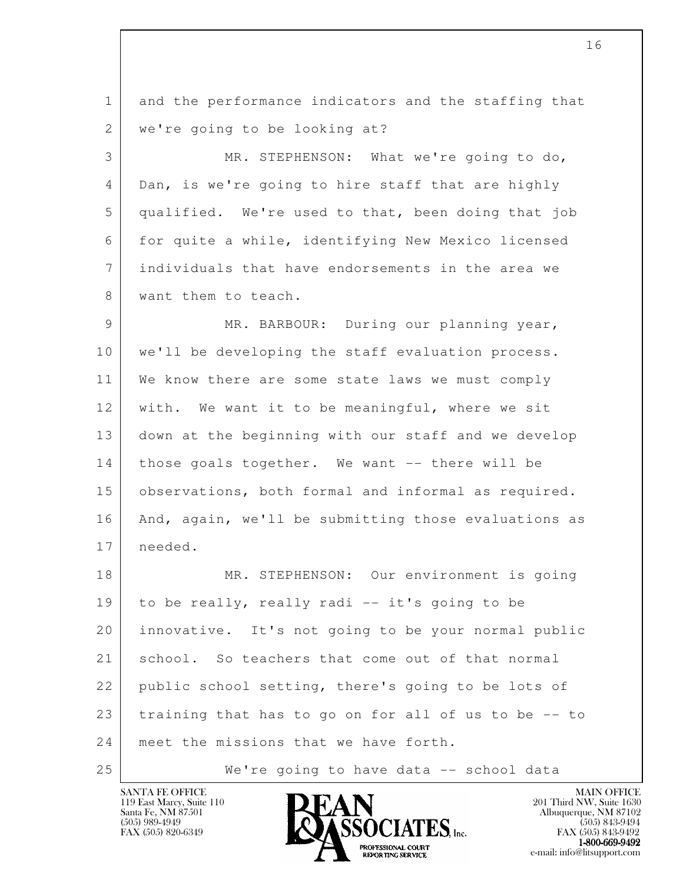l 1 and the performance indicators and the staffing that 2 | we're going to be looking at? 3 MR. STEPHENSON: What we're going to do, 4 Dan, is we're going to hire staff that are highly 5 qualified. We're used to that, been doing that job 6 for quite a while, identifying New Mexico licensed 7 individuals that have endorsements in the area we 8 want them to teach. 9 MR. BARBOUR: During our planning year, 10 | we'll be developing the staff evaluation process. 11 We know there are some state laws we must comply 12 | with. We want it to be meaningful, where we sit 13 down at the beginning with our staff and we develop 14 | those goals together. We want -- there will be 15 observations, both formal and informal as required. 16 | And, again, we'll be submitting those evaluations as 17 needed. 18 | MR. STEPHENSON: Our environment is going 19 to be really, really radi -- it's going to be 20 innovative. It's not going to be your normal public 21 school. So teachers that come out of that normal 22 public school setting, there's going to be lots of 23 training that has to go on for all of us to be -- to 24 meet the missions that we have forth. 25 | We're going to have data -- school data

119 East Marcy, Suite 110<br>Santa Fe, NM 87501



FAX (505) 843-9492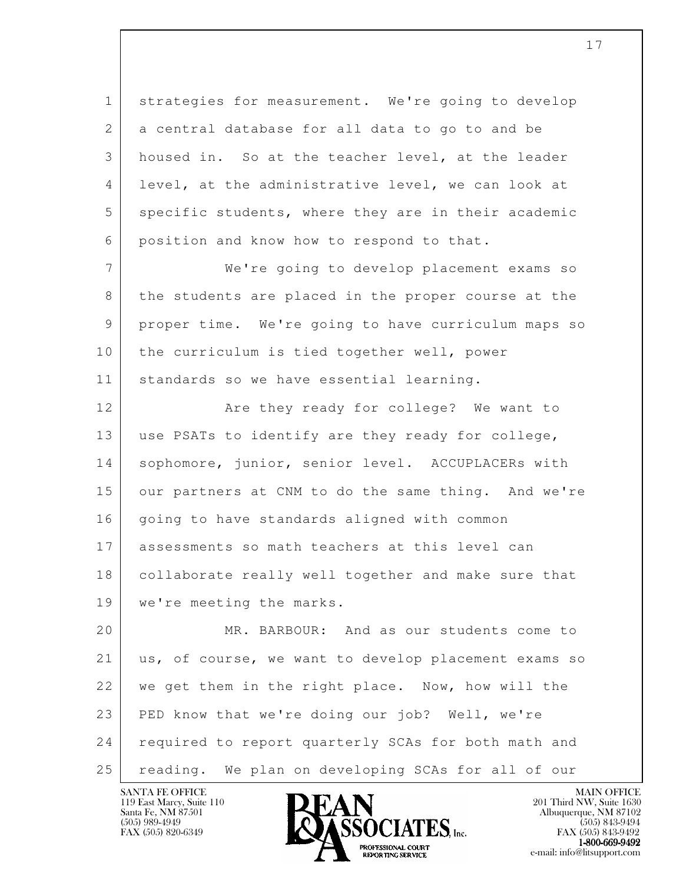1 strategies for measurement. We're going to develop 2 a central database for all data to go to and be 3 housed in. So at the teacher level, at the leader 4 level, at the administrative level, we can look at 5 specific students, where they are in their academic 6 position and know how to respond to that.

 7 We're going to develop placement exams so 8 the students are placed in the proper course at the 9 proper time. We're going to have curriculum maps so 10 | the curriculum is tied together well, power 11 | standards so we have essential learning.

12 **Are they ready for college?** We want to 13 | use PSATs to identify are they ready for college, 14 | sophomore, junior, senior level. ACCUPLACERs with 15 our partners at CNM to do the same thing. And we're 16 | going to have standards aligned with common 17 assessments so math teachers at this level can 18 collaborate really well together and make sure that 19 | we're meeting the marks.

l 20 MR. BARBOUR: And as our students come to 21 us, of course, we want to develop placement exams so 22 we get them in the right place. Now, how will the 23 PED know that we're doing our job? Well, we're 24 required to report quarterly SCAs for both math and 25 reading. We plan on developing SCAs for all of our

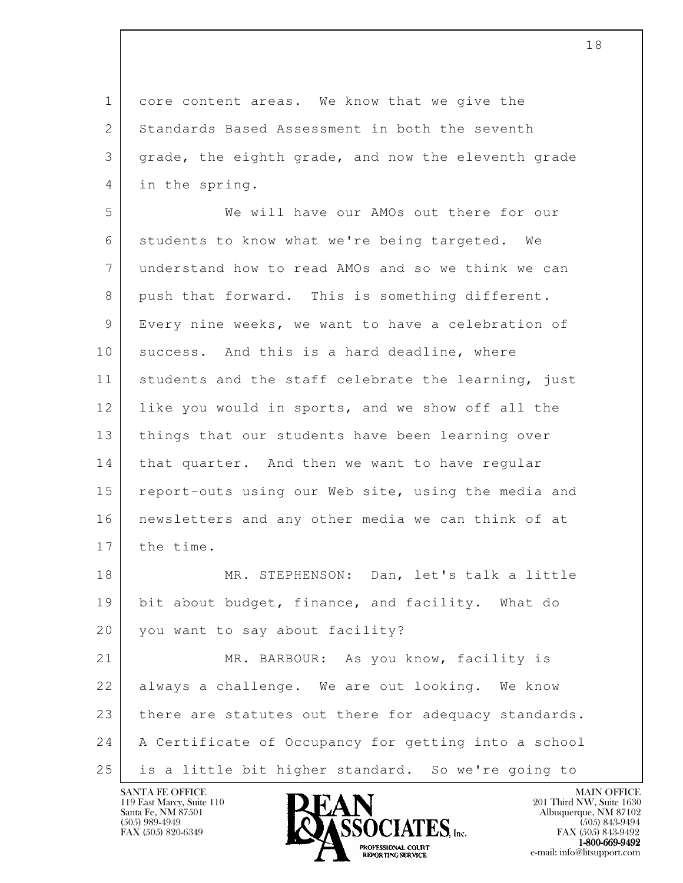1 core content areas. We know that we give the 2 Standards Based Assessment in both the seventh 3 grade, the eighth grade, and now the eleventh grade 4 in the spring.

 5 We will have our AMOs out there for our 6 students to know what we're being targeted. We 7 understand how to read AMOs and so we think we can 8 push that forward. This is something different. 9 Every nine weeks, we want to have a celebration of 10 success. And this is a hard deadline, where 11 students and the staff celebrate the learning, just 12 like you would in sports, and we show off all the 13 | things that our students have been learning over 14 | that quarter. And then we want to have regular 15 report-outs using our Web site, using the media and 16 newsletters and any other media we can think of at 17 the time.

18 MR. STEPHENSON: Dan, let's talk a little 19 bit about budget, finance, and facility. What do 20 you want to say about facility?

l 21 | MR. BARBOUR: As you know, facility is 22 always a challenge. We are out looking. We know 23 there are statutes out there for adequacy standards. 24 A Certificate of Occupancy for getting into a school 25 is a little bit higher standard. So we're going to

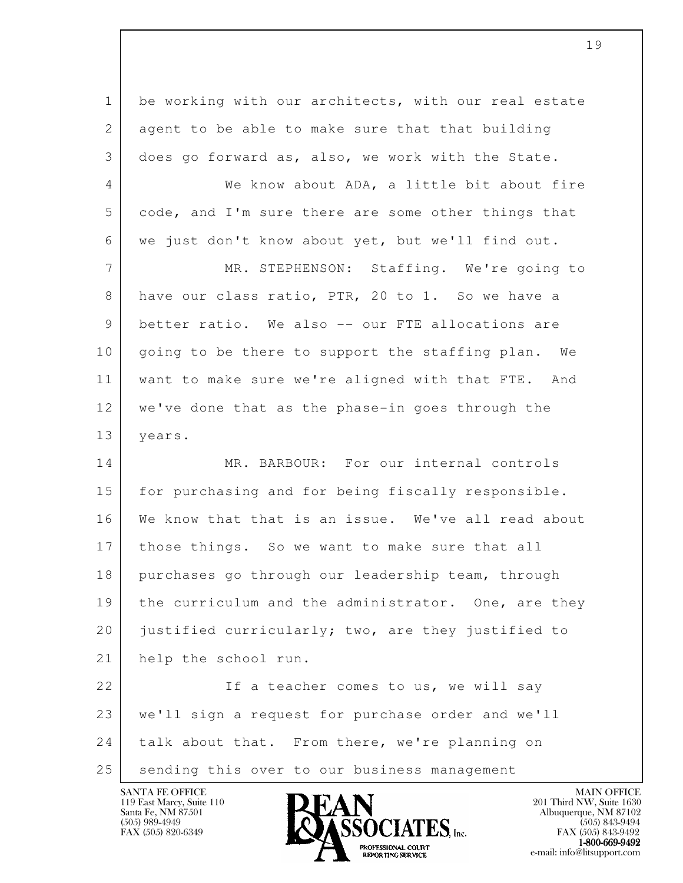l 1 be working with our architects, with our real estate 2 agent to be able to make sure that that building 3 does go forward as, also, we work with the State. 4 We know about ADA, a little bit about fire 5 code, and I'm sure there are some other things that 6 we just don't know about yet, but we'll find out. 7 MR. STEPHENSON: Staffing. We're going to 8 have our class ratio, PTR, 20 to 1. So we have a 9 better ratio. We also -- our FTE allocations are 10 | going to be there to support the staffing plan. We 11 want to make sure we're aligned with that FTE. And 12 we've done that as the phase-in goes through the 13 years. 14 MR. BARBOUR: For our internal controls 15 for purchasing and for being fiscally responsible. 16 We know that that is an issue. We've all read about 17 those things. So we want to make sure that all 18 purchases go through our leadership team, through 19 | the curriculum and the administrator. One, are they 20 justified curricularly; two, are they justified to 21 help the school run. 22 If a teacher comes to us, we will say 23 we'll sign a request for purchase order and we'll 24 talk about that. From there, we're planning on 25 | sending this over to our business management

119 East Marcy, Suite 110<br>Santa Fe, NM 87501



FAX (505) 843-9492 **EXPORTING SERVICE** EXPLORER THE REPORTING SERVICE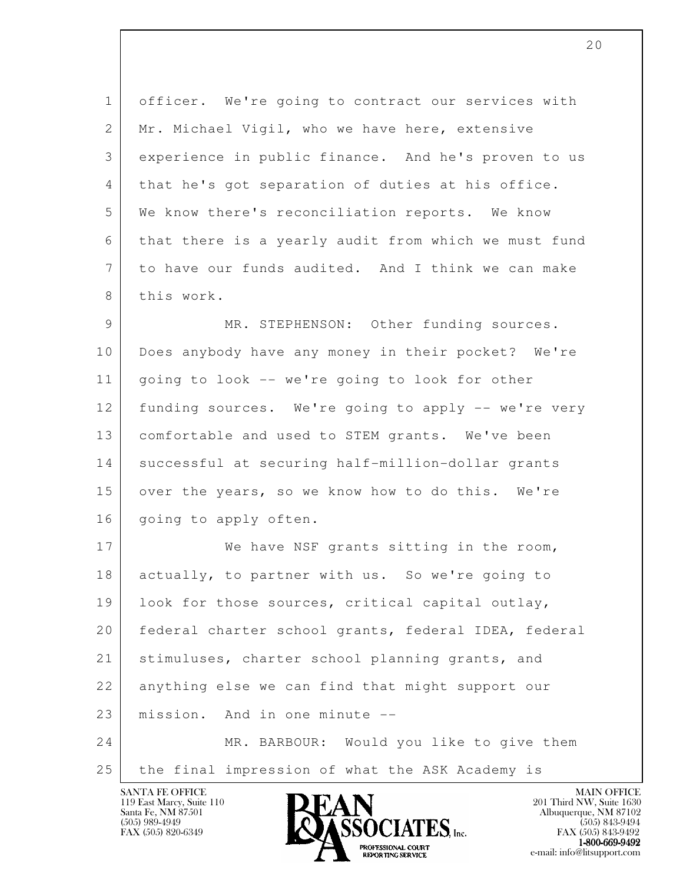1 officer. We're going to contract our services with 2 | Mr. Michael Vigil, who we have here, extensive 3 experience in public finance. And he's proven to us 4 that he's got separation of duties at his office. 5 We know there's reconciliation reports. We know 6 that there is a yearly audit from which we must fund 7 to have our funds audited. And I think we can make 8 this work.

9 MR. STEPHENSON: Other funding sources. 10 Does anybody have any money in their pocket? We're 11 going to look -- we're going to look for other 12 funding sources. We're going to apply -- we're very 13 comfortable and used to STEM grants. We've been 14 successful at securing half-million-dollar grants 15 over the years, so we know how to do this. We're 16 | going to apply often.

l 17 We have NSF grants sitting in the room, 18 actually, to partner with us. So we're going to 19 look for those sources, critical capital outlay, 20 federal charter school grants, federal IDEA, federal 21 stimuluses, charter school planning grants, and 22 anything else we can find that might support our 23 mission. And in one minute -- 24 MR. BARBOUR: Would you like to give them 25 the final impression of what the ASK Academy is

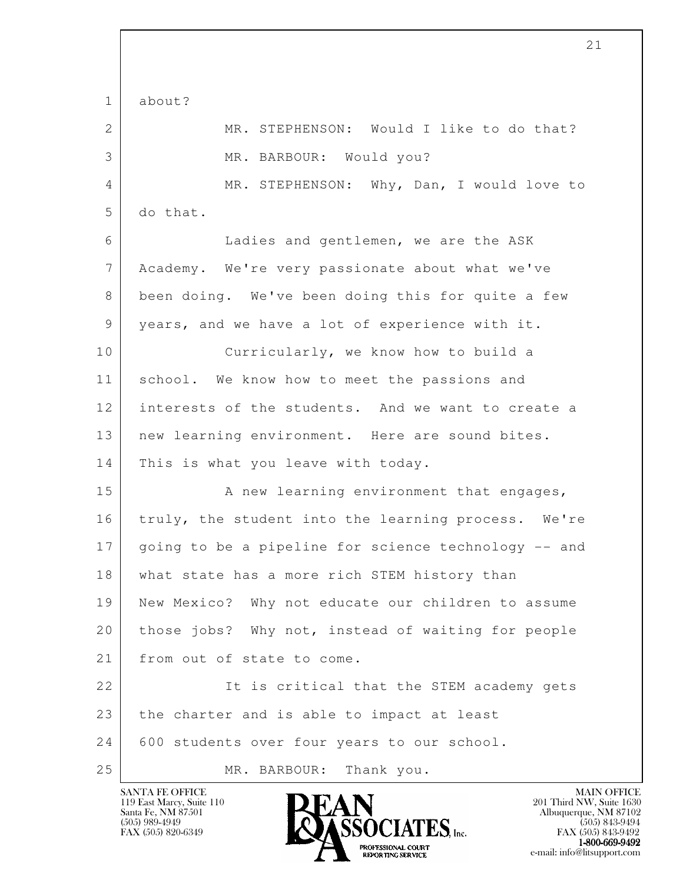l 1 about? 2 MR. STEPHENSON: Would I like to do that? 3 MR. BARBOUR: Would you? 4 MR. STEPHENSON: Why, Dan, I would love to 5 do that. 6 Ladies and gentlemen, we are the ASK 7 Academy. We're very passionate about what we've 8 been doing. We've been doing this for quite a few 9 years, and we have a lot of experience with it. 10 Curricularly, we know how to build a 11 school. We know how to meet the passions and 12 interests of the students. And we want to create a 13 | new learning environment. Here are sound bites. 14 | This is what you leave with today. 15 | A new learning environment that engages, 16 truly, the student into the learning process. We're 17 going to be a pipeline for science technology -- and 18 what state has a more rich STEM history than 19 New Mexico? Why not educate our children to assume 20 those jobs? Why not, instead of waiting for people 21 from out of state to come. 22 | The is critical that the STEM academy gets 23 the charter and is able to impact at least 24 600 students over four years to our school. 25 MR. BARBOUR: Thank you.

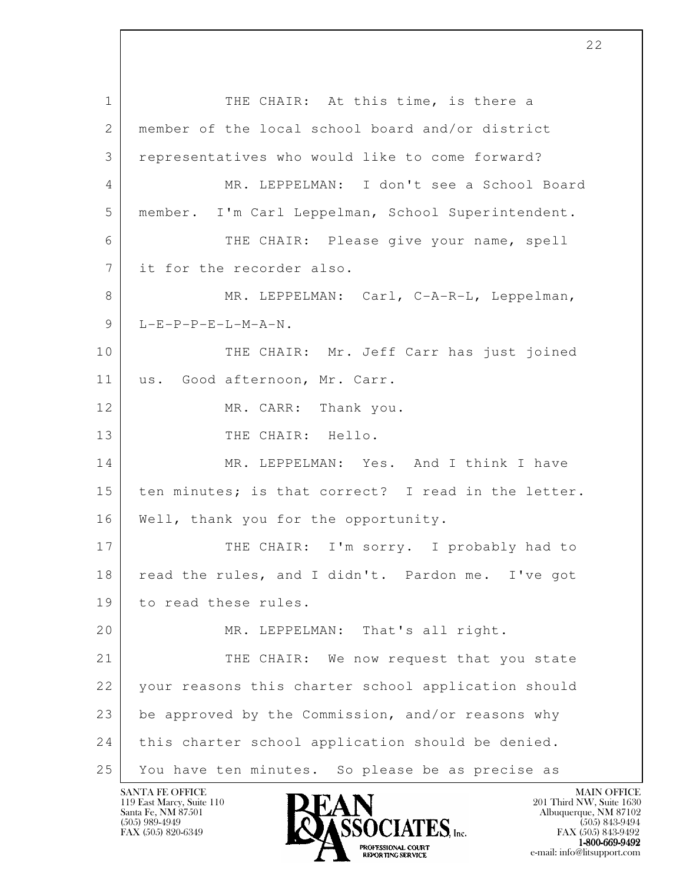l 1 THE CHAIR: At this time, is there a 2 | member of the local school board and/or district 3 representatives who would like to come forward? 4 MR. LEPPELMAN: I don't see a School Board 5 member. I'm Carl Leppelman, School Superintendent. 6 THE CHAIR: Please give your name, spell 7 it for the recorder also. 8 MR. LEPPELMAN: Carl, C-A-R-L, Leppelman,  $9$  L-E-P-P-E-L-M-A-N. 10 | THE CHAIR: Mr. Jeff Carr has just joined 11 us. Good afternoon, Mr. Carr. 12 MR. CARR: Thank you. 13 THE CHAIR: Hello. 14 MR. LEPPELMAN: Yes. And I think I have 15 | ten minutes; is that correct? I read in the letter. 16 | Well, thank you for the opportunity. 17 THE CHAIR: I'm sorry. I probably had to 18 | read the rules, and I didn't. Pardon me. I've got 19 to read these rules. 20 MR. LEPPELMAN: That's all right. 21 THE CHAIR: We now request that you state 22 your reasons this charter school application should 23 be approved by the Commission, and/or reasons why 24 this charter school application should be denied. 25 You have ten minutes. So please be as precise as

119 East Marcy, Suite 110<br>Santa Fe, NM 87501

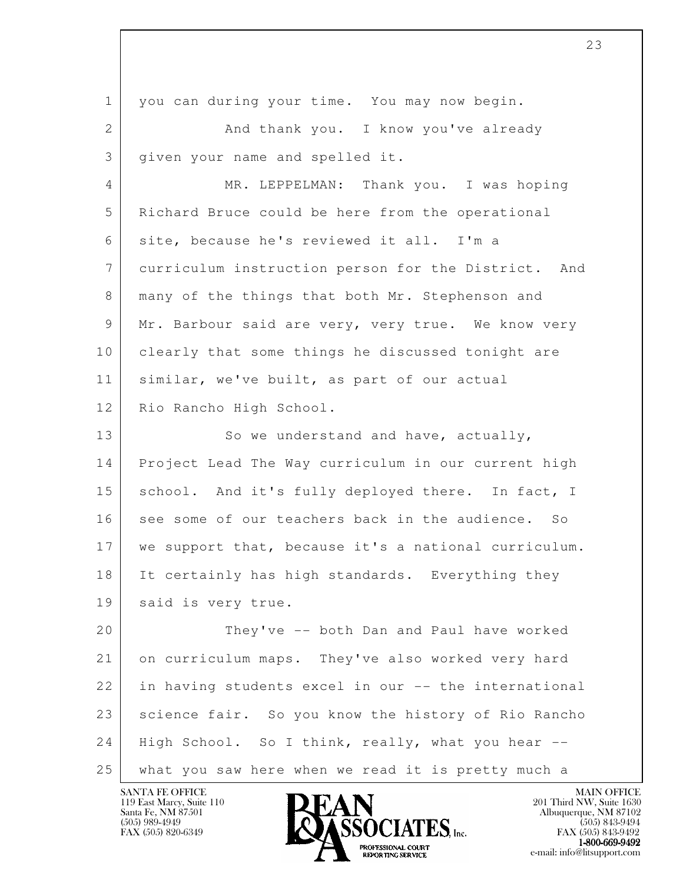| $\mathbf 1$    | you can during your time. You may now begin.         |
|----------------|------------------------------------------------------|
| $\overline{2}$ | And thank you. I know you've already                 |
| 3              | given your name and spelled it.                      |
| 4              | MR. LEPPELMAN: Thank you. I was hoping               |
| 5              | Richard Bruce could be here from the operational     |
| 6              | site, because he's reviewed it all. I'm a            |
| 7              | curriculum instruction person for the District. And  |
| 8              | many of the things that both Mr. Stephenson and      |
| 9              | Mr. Barbour said are very, very true. We know very   |
| 10             | clearly that some things he discussed tonight are    |
| 11             | similar, we've built, as part of our actual          |
| 12             | Rio Rancho High School.                              |
| 13             | So we understand and have, actually,                 |
| 14             | Project Lead The Way curriculum in our current high  |
| 15             | school. And it's fully deployed there. In fact, I    |
| 16             | see some of our teachers back in the audience. So    |
| 17             | we support that, because it's a national curriculum. |
| 18             | It certainly has high standards. Everything they     |
| 19             | said is very true.                                   |
| 20             | They've -- both Dan and Paul have worked             |
| 21             | on curriculum maps. They've also worked very hard    |
| 22             | in having students excel in our -- the international |
| 23             | science fair. So you know the history of Rio Rancho  |
| 24             | High School. So I think, really, what you hear --    |
| 25             | what you saw here when we read it is pretty much a   |

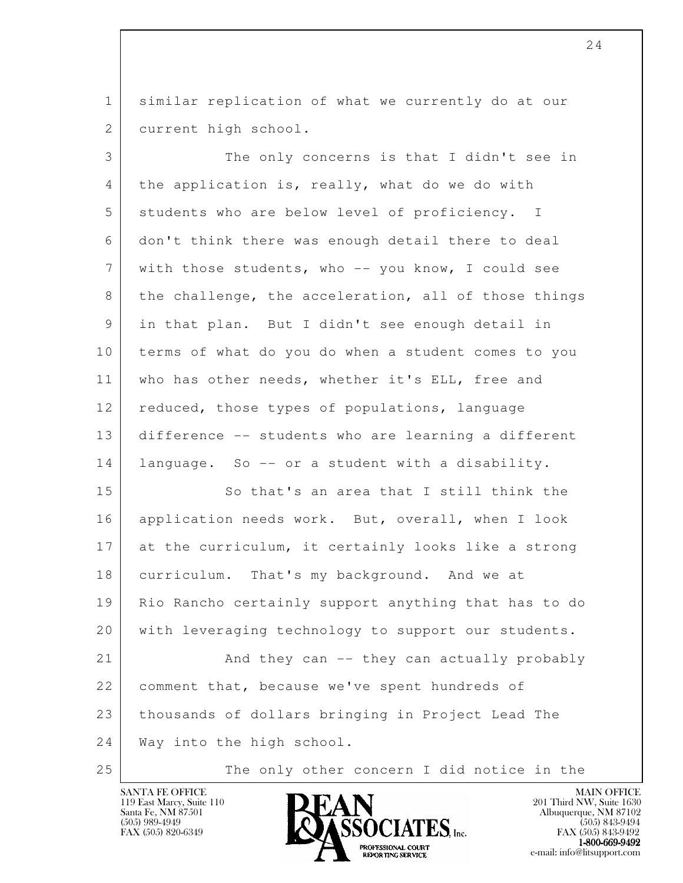1 similar replication of what we currently do at our 2 current high school.

 3 The only concerns is that I didn't see in 4 the application is, really, what do we do with 5 students who are below level of proficiency. I 6 don't think there was enough detail there to deal 7 with those students, who -- you know, I could see 8 the challenge, the acceleration, all of those things 9 in that plan. But I didn't see enough detail in 10 terms of what do you do when a student comes to you 11 who has other needs, whether it's ELL, free and 12 reduced, those types of populations, language 13 difference -- students who are learning a different 14 language. So -- or a student with a disability.

l 15 So that's an area that I still think the 16 | application needs work. But, overall, when I look 17 at the curriculum, it certainly looks like a strong 18 curriculum. That's my background. And we at 19 Rio Rancho certainly support anything that has to do 20 with leveraging technology to support our students. 21 And they can -- they can actually probably 22 comment that, because we've spent hundreds of 23 thousands of dollars bringing in Project Lead The 24 Way into the high school.

25 The only other concern I did notice in the

119 East Marcy, Suite 110<br>Santa Fe, NM 87501



FAX (505) 843-9492  $1-800-669-9492$ <br>PROFESSIONAL COURT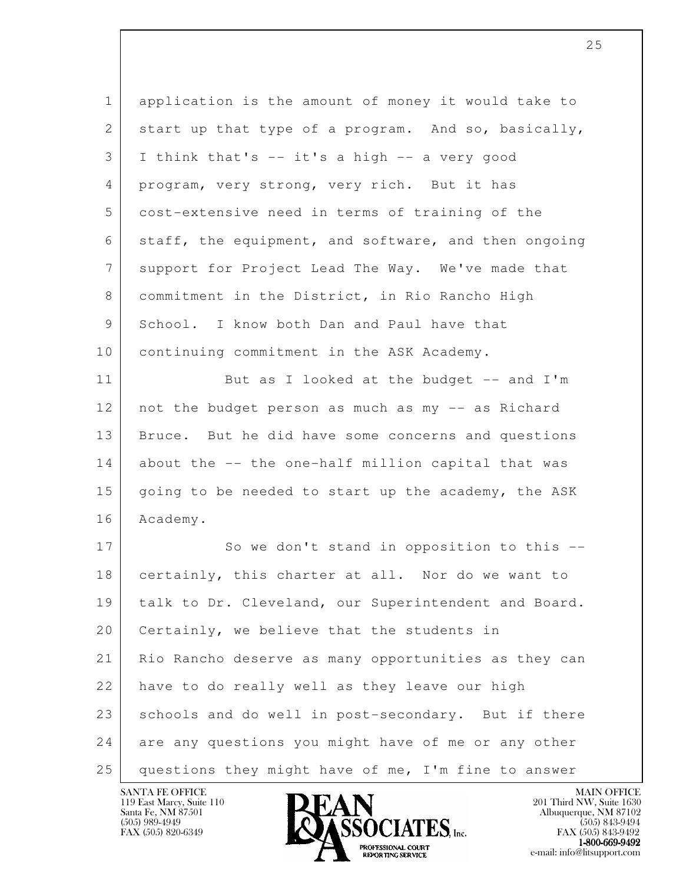| $\mathbf 1$     | application is the amount of money it would take to  |
|-----------------|------------------------------------------------------|
| 2               | start up that type of a program. And so, basically,  |
| 3               | I think that's -- it's a high -- a very good         |
| 4               | program, very strong, very rich. But it has          |
| 5               | cost-extensive need in terms of training of the      |
| 6               | staff, the equipment, and software, and then ongoing |
| $7\overline{ }$ | support for Project Lead The Way. We've made that    |
| 8               | commitment in the District, in Rio Rancho High       |
| 9               | School. I know both Dan and Paul have that           |
| 10              | continuing commitment in the ASK Academy.            |
| 11              | But as I looked at the budget -- and I'm             |
| 12              | not the budget person as much as my -- as Richard    |
| 13              | Bruce. But he did have some concerns and questions   |
| 14              | about the -- the one-half million capital that was   |
| 15              | going to be needed to start up the academy, the ASK  |
| 16              | Academy.                                             |
| 17              | So we don't stand in opposition to this --           |
| 18              | certainly, this charter at all. Nor do we want to    |
| 19              | talk to Dr. Cleveland, our Superintendent and Board. |
| 20              | Certainly, we believe that the students in           |
| 21              | Rio Rancho deserve as many opportunities as they can |
| 22              | have to do really well as they leave our high        |
| 23              | schools and do well in post-secondary. But if there  |
| 24              | are any questions you might have of me or any other  |
| 25              | questions they might have of me, I'm fine to answer  |

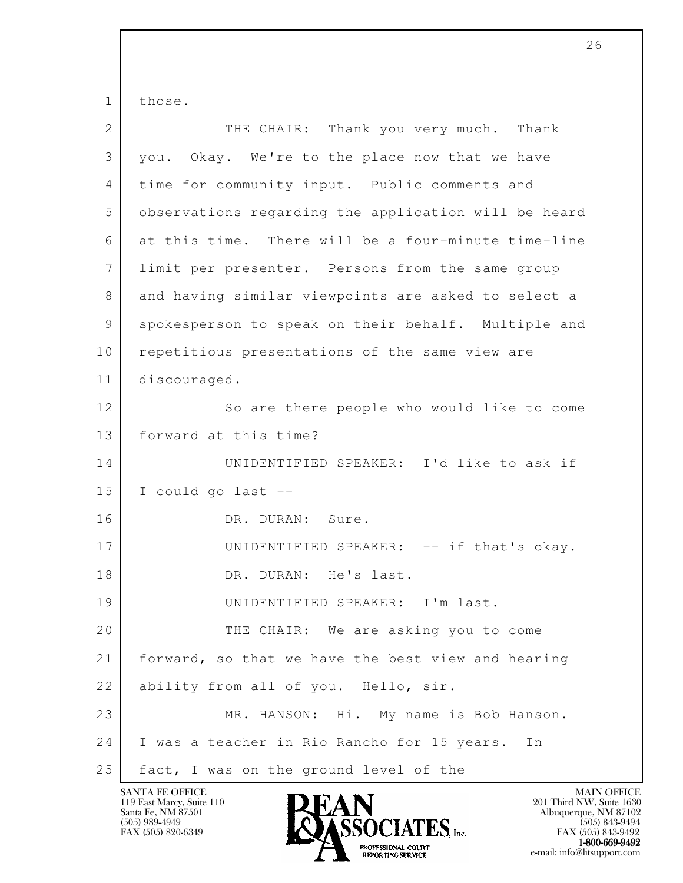1 those.

| $\overline{2}$  | THE CHAIR: Thank you very much. Thank                |
|-----------------|------------------------------------------------------|
| 3               | you. Okay. We're to the place now that we have       |
| 4               | time for community input. Public comments and        |
| 5               | observations regarding the application will be heard |
| 6               | at this time. There will be a four-minute time-line  |
| $7\phantom{.0}$ | limit per presenter. Persons from the same group     |
| 8               | and having similar viewpoints are asked to select a  |
| 9               | spokesperson to speak on their behalf. Multiple and  |
| 10              | repetitious presentations of the same view are       |
| 11              | discouraged.                                         |
| 12              | So are there people who would like to come           |
| 13              | forward at this time?                                |
| 14              | UNIDENTIFIED SPEAKER: I'd like to ask if             |
| 15              | I could go last --                                   |
| 16              | DR. DURAN: Sure.                                     |
| 17              | UNIDENTIFIED SPEAKER: -- if that's okay.             |
| 18              | DR. DURAN: He's last.                                |
| 19              | UNIDENTIFIED SPEAKER: I'm last.                      |
| 20              | THE CHAIR: We are asking you to come                 |
| 21              | forward, so that we have the best view and hearing   |
| 22              | ability from all of you. Hello, sir.                 |
| 23              | MR. HANSON: Hi. My name is Bob Hanson.               |
| 24              | I was a teacher in Rio Rancho for 15 years. In       |
| 25              | fact, I was on the ground level of the               |

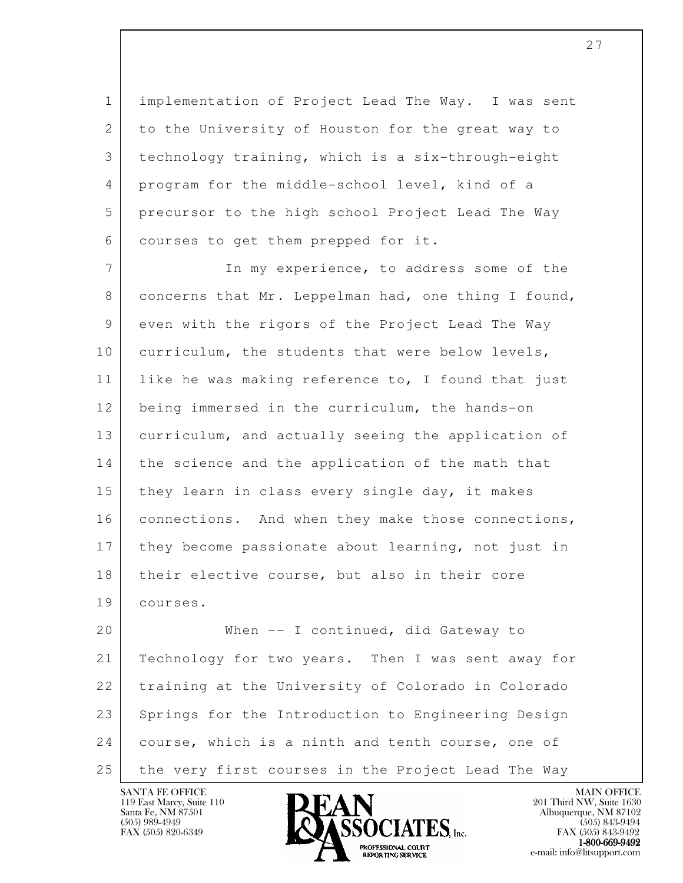1 implementation of Project Lead The Way. I was sent 2 to the University of Houston for the great way to 3 technology training, which is a six-through-eight 4 program for the middle-school level, kind of a 5 precursor to the high school Project Lead The Way 6 courses to get them prepped for it.

7 In my experience, to address some of the 8 concerns that Mr. Leppelman had, one thing I found, 9 even with the rigors of the Project Lead The Way 10 curriculum, the students that were below levels, 11 | like he was making reference to, I found that just 12 being immersed in the curriculum, the hands-on 13 curriculum, and actually seeing the application of 14 the science and the application of the math that 15 they learn in class every single day, it makes 16 connections. And when they make those connections, 17 they become passionate about learning, not just in 18 | their elective course, but also in their core 19 courses.

l 20 When -- I continued, did Gateway to 21 | Technology for two years. Then I was sent away for 22 training at the University of Colorado in Colorado 23 Springs for the Introduction to Engineering Design 24 course, which is a ninth and tenth course, one of 25 the very first courses in the Project Lead The Way



FAX (505) 843-9492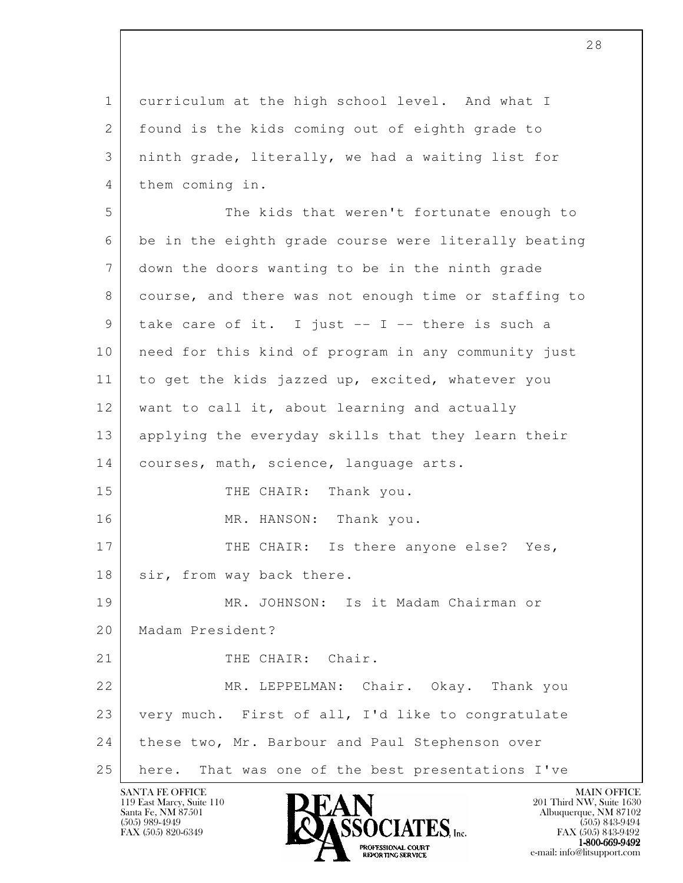l 1 curriculum at the high school level. And what I 2 | found is the kids coming out of eighth grade to 3 ninth grade, literally, we had a waiting list for 4 them coming in. 5 The kids that weren't fortunate enough to 6 be in the eighth grade course were literally beating 7 down the doors wanting to be in the ninth grade 8 | course, and there was not enough time or staffing to  $9$  take care of it. I just -- I -- there is such a 10 need for this kind of program in any community just 11 to get the kids jazzed up, excited, whatever you 12 want to call it, about learning and actually 13 applying the everyday skills that they learn their 14 | courses, math, science, language arts. 15 THE CHAIR: Thank you. 16 MR. HANSON: Thank you. 17 THE CHAIR: Is there anyone else? Yes, 18 | sir, from way back there. 19 MR. JOHNSON: Is it Madam Chairman or 20 Madam President? 21 THE CHAIR: Chair. 22 MR. LEPPELMAN: Chair. Okay. Thank you 23 very much. First of all, I'd like to congratulate 24 these two, Mr. Barbour and Paul Stephenson over 25 here. That was one of the best presentations I've

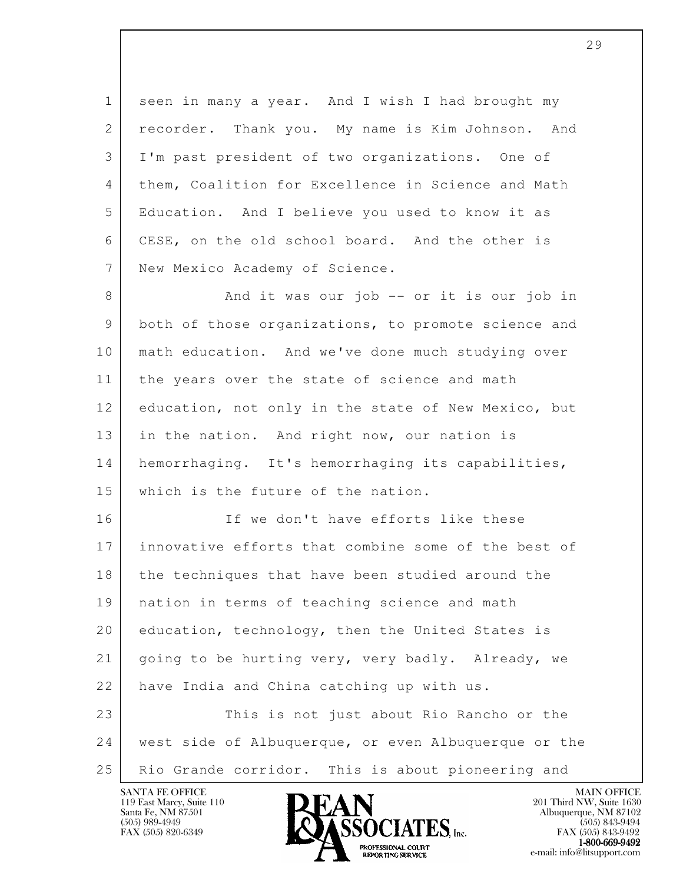1 seen in many a year. And I wish I had brought my 2 | recorder. Thank you. My name is Kim Johnson. And 3 I'm past president of two organizations. One of 4 them, Coalition for Excellence in Science and Math 5 Education. And I believe you used to know it as 6 CESE, on the old school board. And the other is 7 New Mexico Academy of Science.

8 And it was our job -- or it is our job in 9 both of those organizations, to promote science and 10 math education. And we've done much studying over 11 the years over the state of science and math 12 education, not only in the state of New Mexico, but 13 in the nation. And right now, our nation is 14 | hemorrhaging. It's hemorrhaging its capabilities, 15 which is the future of the nation.

l 16 If we don't have efforts like these 17 innovative efforts that combine some of the best of 18 the techniques that have been studied around the 19 nation in terms of teaching science and math 20 education, technology, then the United States is 21 going to be hurting very, very badly. Already, we 22 have India and China catching up with us. 23 This is not just about Rio Rancho or the 24 west side of Albuquerque, or even Albuquerque or the 25 | Rio Grande corridor. This is about pioneering and

119 East Marcy, Suite 110<br>Santa Fe, NM 87501

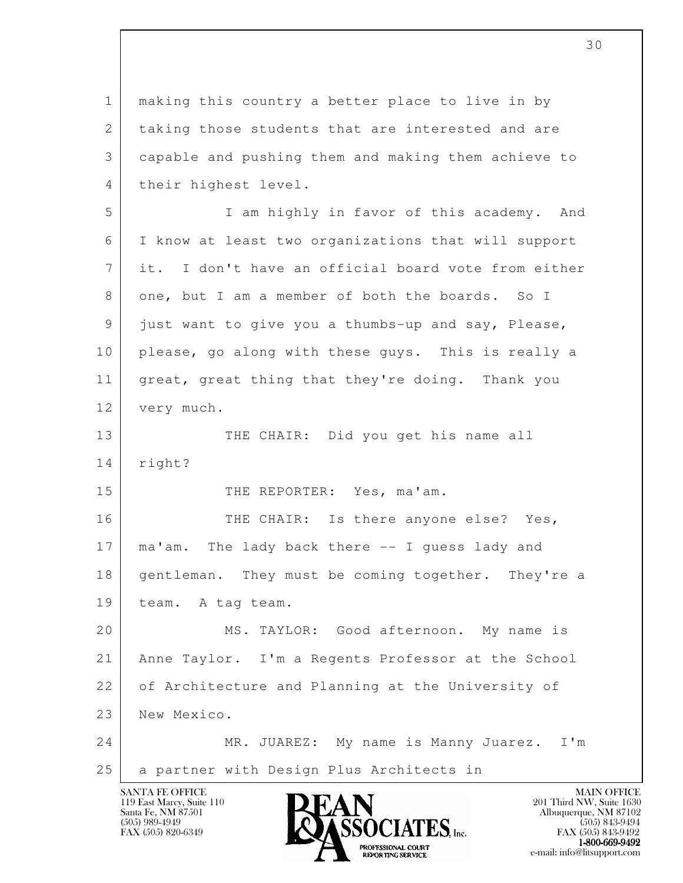l SANTA FE OFFICE MAIN OFFICE MAIN OFFICE MAIN OFFICE MAIN OFFICE 1 making this country a better place to live in by 2 taking those students that are interested and are 3 capable and pushing them and making them achieve to 4 their highest level. 5 I am highly in favor of this academy. And 6 I know at least two organizations that will support 7 it. I don't have an official board vote from either 8 one, but I am a member of both the boards. So I 9 just want to give you a thumbs-up and say, Please, 10 | please, go along with these guys. This is really a 11 great, great thing that they're doing. Thank you 12 very much. 13 THE CHAIR: Did you get his name all 14 right? 15 THE REPORTER: Yes, ma'am. 16 THE CHAIR: Is there anyone else? Yes, 17 | ma'am. The lady back there -- I quess lady and 18 | gentleman. They must be coming together. They're a 19 team. A tag team. 20 MS. TAYLOR: Good afternoon. My name is 21 Anne Taylor. I'm a Regents Professor at the School 22 of Architecture and Planning at the University of 23 New Mexico. 24 MR. JUAREZ: My name is Manny Juarez. I'm 25 | a partner with Design Plus Architects in

119 East Marcy, Suite 110<br>Santa Fe, NM 87501

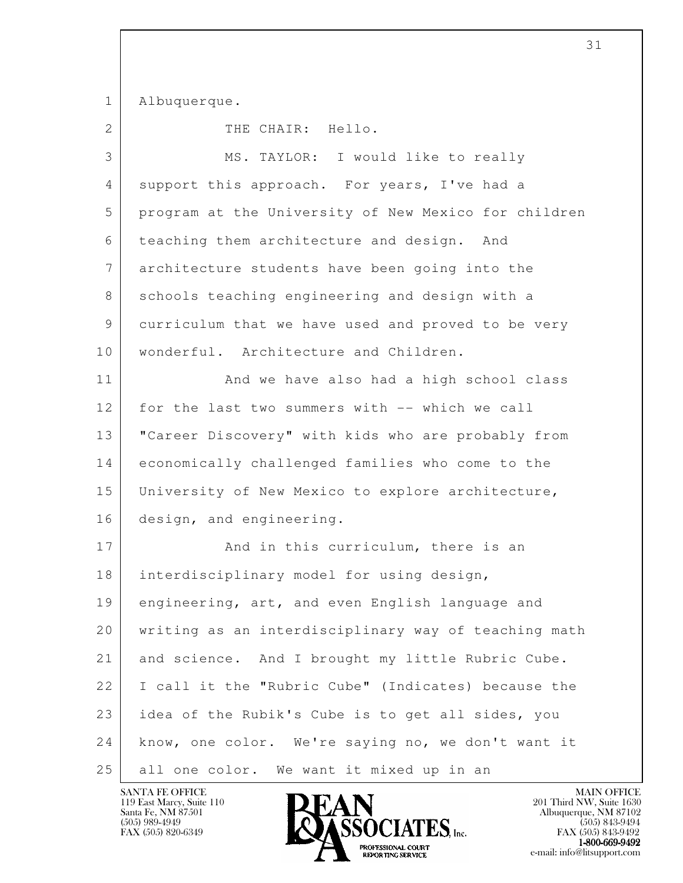1 Albuquerque.

2 THE CHAIR: Hello.

| 3  | MS. TAYLOR: I would like to really                   |
|----|------------------------------------------------------|
| 4  | support this approach. For years, I've had a         |
| 5  | program at the University of New Mexico for children |
| 6  | teaching them architecture and design.<br>And        |
| 7  | architecture students have been going into the       |
| 8  | schools teaching engineering and design with a       |
| 9  | curriculum that we have used and proved to be very   |
| 10 | wonderful. Architecture and Children.                |
| 11 | And we have also had a high school class             |
| 12 | for the last two summers with -- which we call       |
| 13 | "Career Discovery" with kids who are probably from   |
| 14 | economically challenged families who come to the     |
| 15 | University of New Mexico to explore architecture,    |
| 16 | design, and engineering.                             |
| 17 | And in this curriculum, there is an                  |
| 18 | interdisciplinary model for using design,            |
| 19 | engineering, art, and even English language and      |
| 20 | writing as an interdisciplinary way of teaching math |
| 21 | and science. And I brought my little Rubric Cube.    |
| 22 | I call it the "Rubric Cube" (Indicates) because the  |
| 23 | idea of the Rubik's Cube is to get all sides, you    |
| 24 | know, one color. We're saying no, we don't want it   |
| 25 | all one color. We want it mixed up in an             |

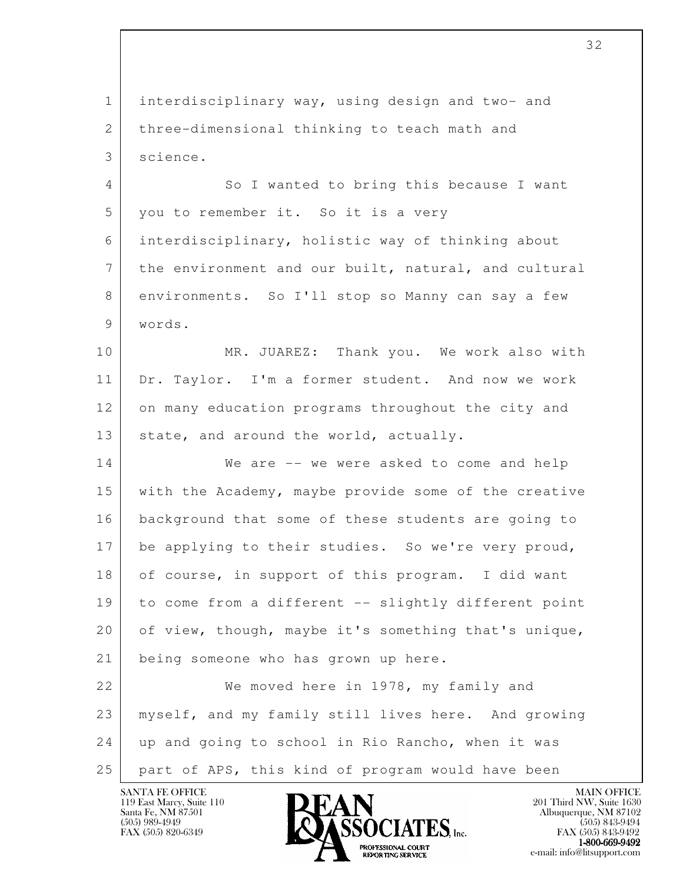l 1 interdisciplinary way, using design and two- and 2 three-dimensional thinking to teach math and 3 science. 4 So I wanted to bring this because I want 5 you to remember it. So it is a very 6 interdisciplinary, holistic way of thinking about 7 the environment and our built, natural, and cultural 8 environments. So I'll stop so Manny can say a few 9 words. 10 MR. JUAREZ: Thank you. We work also with 11 Dr. Taylor. I'm a former student. And now we work 12 on many education programs throughout the city and 13 state, and around the world, actually. 14 We are -- we were asked to come and help 15 with the Academy, maybe provide some of the creative 16 background that some of these students are going to 17 be applying to their studies. So we're very proud, 18 of course, in support of this program. I did want 19 to come from a different -- slightly different point 20 of view, though, maybe it's something that's unique, 21 being someone who has grown up here. 22 We moved here in 1978, my family and 23 myself, and my family still lives here. And growing 24 up and going to school in Rio Rancho, when it was 25 part of APS, this kind of program would have been

119 East Marcy, Suite 110<br>Santa Fe, NM 87501

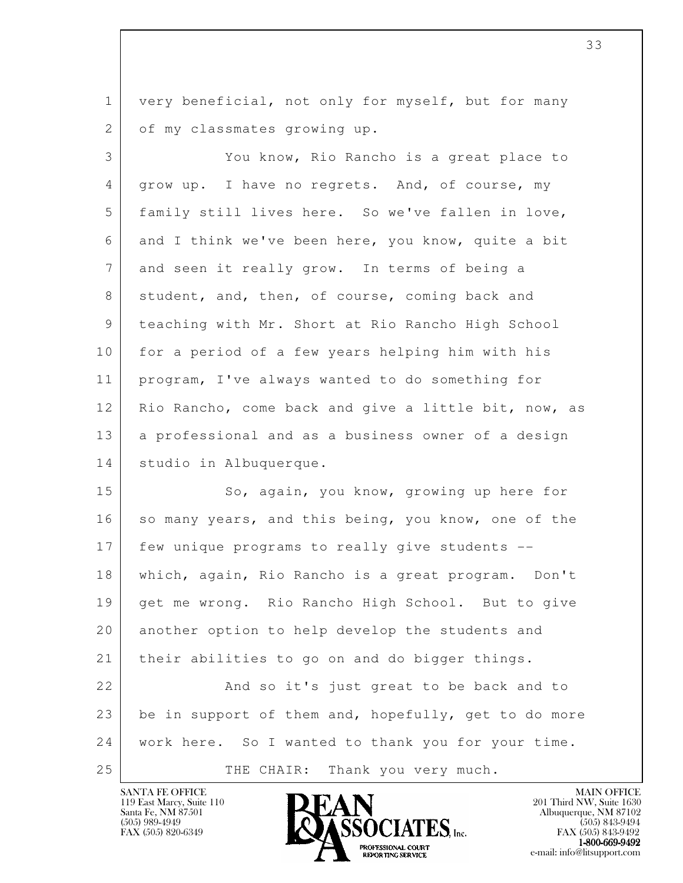1 very beneficial, not only for myself, but for many 2 of my classmates growing up.

 3 You know, Rio Rancho is a great place to 4 | grow up. I have no regrets. And, of course, my 5 family still lives here. So we've fallen in love, 6 and I think we've been here, you know, quite a bit 7 and seen it really grow. In terms of being a 8 student, and, then, of course, coming back and 9 teaching with Mr. Short at Rio Rancho High School 10 for a period of a few years helping him with his 11 program, I've always wanted to do something for 12 Rio Rancho, come back and give a little bit, now, as 13 a professional and as a business owner of a design 14 studio in Albuquerque.

l 15 So, again, you know, growing up here for 16 so many years, and this being, you know, one of the 17 few unique programs to really give students -- 18 which, again, Rio Rancho is a great program. Don't 19 get me wrong. Rio Rancho High School. But to give 20 another option to help develop the students and 21 their abilities to go on and do bigger things. 22 And so it's just great to be back and to 23 be in support of them and, hopefully, get to do more 24 work here. So I wanted to thank you for your time. 25 THE CHAIR: Thank you very much.

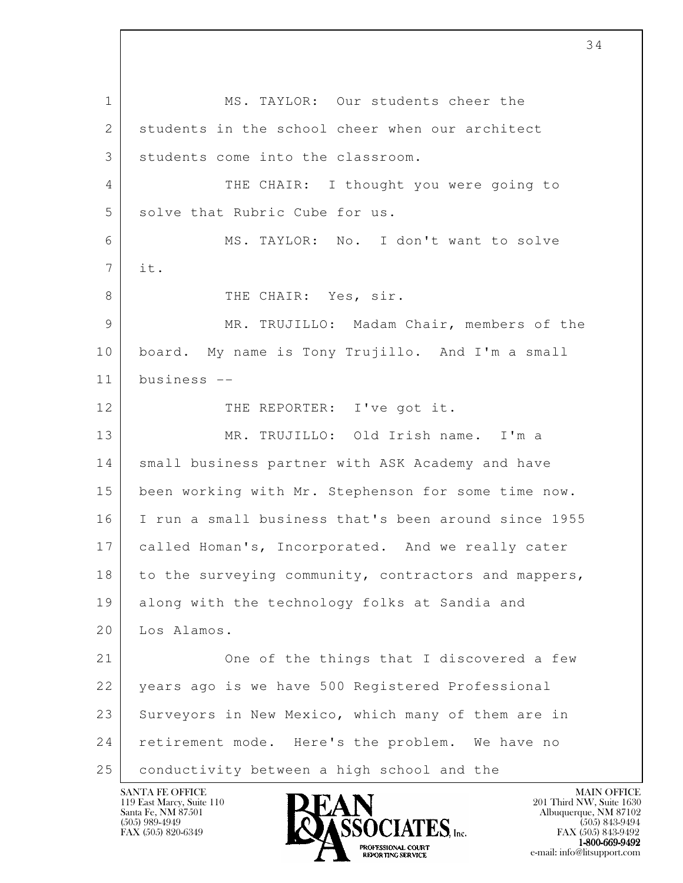l 1 MS. TAYLOR: Our students cheer the 2 students in the school cheer when our architect 3 students come into the classroom. 4 THE CHAIR: I thought you were going to 5 solve that Rubric Cube for us. 6 MS. TAYLOR: No. I don't want to solve 7 it. 8 THE CHAIR: Yes, sir. 9 MR. TRUJILLO: Madam Chair, members of the 10 board. My name is Tony Trujillo. And I'm a small 11 business -- 12 THE REPORTER: I've got it. 13 MR. TRUJILLO: Old Irish name. I'm a 14 small business partner with ASK Academy and have 15 been working with Mr. Stephenson for some time now. 16 I run a small business that's been around since 1955 17 | called Homan's, Incorporated. And we really cater 18 to the surveying community, contractors and mappers, 19 along with the technology folks at Sandia and 20 Los Alamos. 21 One of the things that I discovered a few 22 years ago is we have 500 Registered Professional 23 Surveyors in New Mexico, which many of them are in 24 retirement mode. Here's the problem. We have no 25 conductivity between a high school and the

119 East Marcy, Suite 110<br>Santa Fe, NM 87501



FAX (505) 843-9492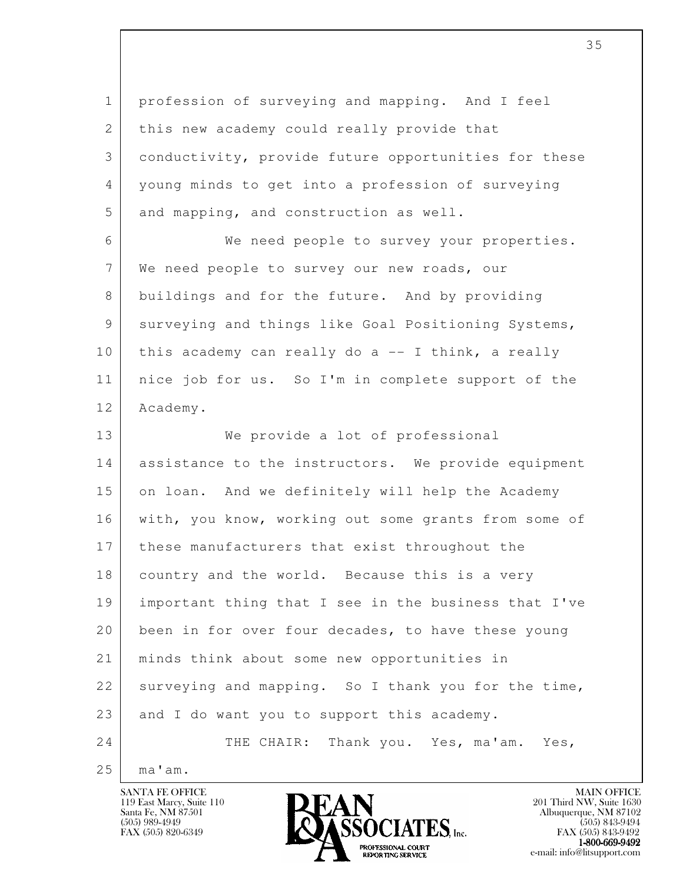1 profession of surveying and mapping. And I feel 2 this new academy could really provide that 3 conductivity, provide future opportunities for these 4 young minds to get into a profession of surveying 5 and mapping, and construction as well.

 6 We need people to survey your properties. 7 | We need people to survey our new roads, our 8 buildings and for the future. And by providing 9 surveying and things like Goal Positioning Systems, 10 this academy can really do a -- I think, a really 11 nice job for us. So I'm in complete support of the 12 Academy.

l 13 We provide a lot of professional 14 assistance to the instructors. We provide equipment 15 on loan. And we definitely will help the Academy 16 | with, you know, working out some grants from some of 17 these manufacturers that exist throughout the 18 country and the world. Because this is a very 19 important thing that I see in the business that I've 20 been in for over four decades, to have these young 21 minds think about some new opportunities in 22 surveying and mapping. So I thank you for the time, 23 and I do want you to support this academy. 24 THE CHAIR: Thank you. Yes, ma'am. Yes,

 $25$  ma'am.

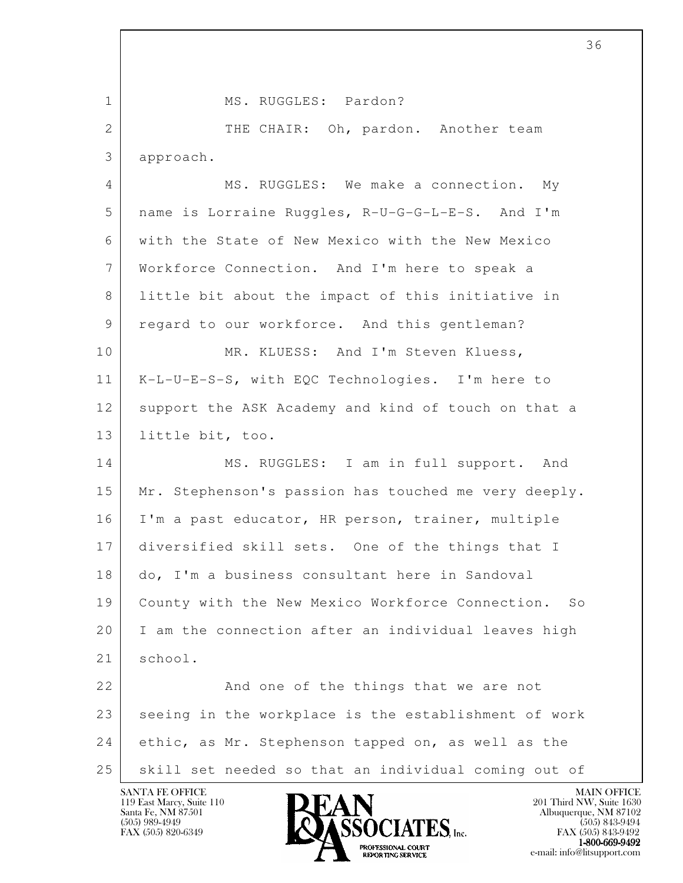l 1 | MS. RUGGLES: Pardon? 2 THE CHAIR: Oh, pardon. Another team 3 approach. 4 MS. RUGGLES: We make a connection. My 5 name is Lorraine Ruggles, R-U-G-G-L-E-S. And I'm 6 with the State of New Mexico with the New Mexico 7 Workforce Connection. And I'm here to speak a 8 little bit about the impact of this initiative in 9 regard to our workforce. And this gentleman? 10 | MR. KLUESS: And I'm Steven Kluess, 11 K-L-U-E-S-S, with EQC Technologies. I'm here to 12 support the ASK Academy and kind of touch on that a 13 little bit, too. 14 MS. RUGGLES: I am in full support. And 15 | Mr. Stephenson's passion has touched me very deeply. 16 I'm a past educator, HR person, trainer, multiple 17 diversified skill sets. One of the things that I 18 do, I'm a business consultant here in Sandoval 19 County with the New Mexico Workforce Connection. So 20 | I am the connection after an individual leaves high 21 school. 22 And one of the things that we are not  $23$  seeing in the workplace is the establishment of work 24 ethic, as Mr. Stephenson tapped on, as well as the 25 skill set needed so that an individual coming out of

119 East Marcy, Suite 110<br>Santa Fe, NM 87501



FAX (505) 843-9492  $1-800-669-9492$ <br>PROFESSIONAL COURT **EXPORTING SERVICE** EXPLORER THE REPORTING SERVICE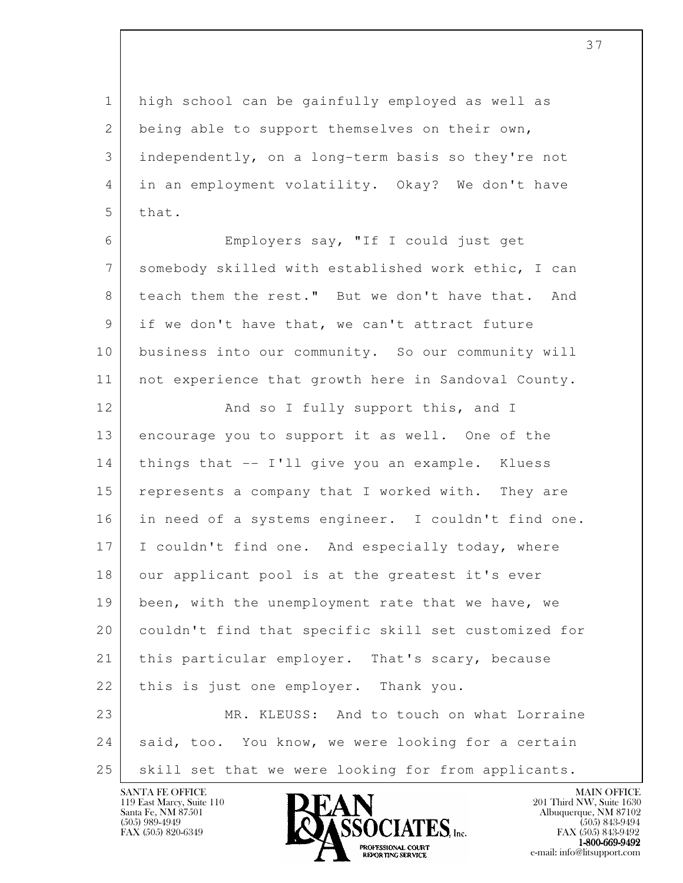1 high school can be gainfully employed as well as 2 being able to support themselves on their own, 3 independently, on a long-term basis so they're not 4 in an employment volatility. Okay? We don't have 5 that.

 6 Employers say, "If I could just get 7 somebody skilled with established work ethic, I can 8 teach them the rest." But we don't have that. And 9 if we don't have that, we can't attract future 10 business into our community. So our community will 11 not experience that growth here in Sandoval County.

l 12 And so I fully support this, and I 13 encourage you to support it as well. One of the 14 things that -- I'll give you an example. Kluess 15 represents a company that I worked with. They are 16 in need of a systems engineer. I couldn't find one. 17 I couldn't find one. And especially today, where 18 our applicant pool is at the greatest it's ever 19 been, with the unemployment rate that we have, we 20 couldn't find that specific skill set customized for 21 | this particular employer. That's scary, because 22 | this is just one employer. Thank you. 23 MR. KLEUSS: And to touch on what Lorraine 24 said, too. You know, we were looking for a certain 25 | skill set that we were looking for from applicants.

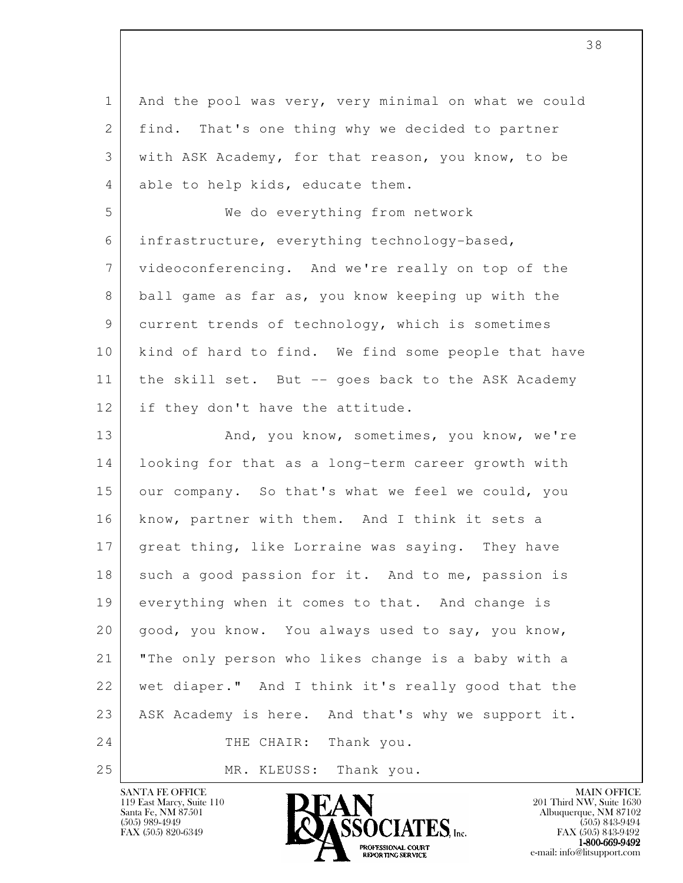l 1 And the pool was very, very minimal on what we could 2 | find. That's one thing why we decided to partner 3 with ASK Academy, for that reason, you know, to be 4 able to help kids, educate them. 5 We do everything from network 6 infrastructure, everything technology-based, 7 videoconferencing. And we're really on top of the 8 ball game as far as, you know keeping up with the 9 current trends of technology, which is sometimes 10 | kind of hard to find. We find some people that have 11 | the skill set. But -- goes back to the ASK Academy 12 if they don't have the attitude. 13 And, you know, sometimes, you know, we're 14 looking for that as a long-term career growth with 15 our company. So that's what we feel we could, you 16 | know, partner with them. And I think it sets a 17 great thing, like Lorraine was saying. They have 18 such a good passion for it. And to me, passion is 19 everything when it comes to that. And change is 20 good, you know. You always used to say, you know, 21 "The only person who likes change is a baby with a 22 wet diaper." And I think it's really good that the 23 ASK Academy is here. And that's why we support it. 24 THE CHAIR: Thank you. 25 MR. KLEUSS: Thank you.

119 East Marcy, Suite 110<br>Santa Fe, NM 87501

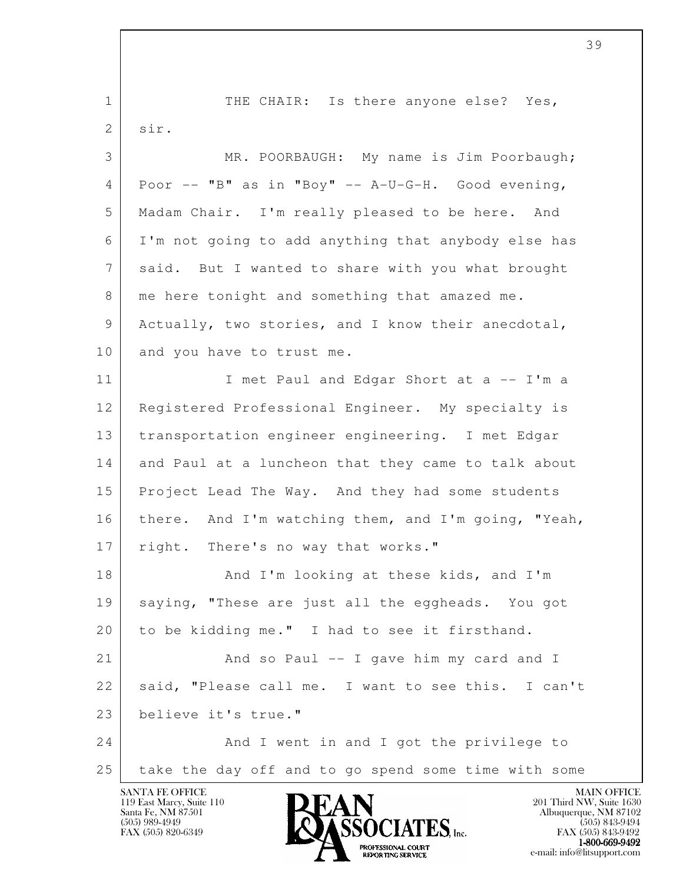l 1 THE CHAIR: Is there anyone else? Yes, 2 sir. 3 MR. POORBAUGH: My name is Jim Poorbaugh;  $4$  Poor  $--$  "B" as in "Boy"  $--$  A-U-G-H. Good evening, 5 Madam Chair. I'm really pleased to be here. And 6 I'm not going to add anything that anybody else has 7 said. But I wanted to share with you what brought 8 me here tonight and something that amazed me. 9 Actually, two stories, and I know their anecdotal, 10 and you have to trust me. 11 | I met Paul and Edgar Short at a -- I'm a 12 Registered Professional Engineer. My specialty is 13 transportation engineer engineering. I met Edgar 14 and Paul at a luncheon that they came to talk about 15 Project Lead The Way. And they had some students 16 | there. And I'm watching them, and I'm going, "Yeah, 17 right. There's no way that works." 18 And I'm looking at these kids, and I'm 19 saying, "These are just all the eggheads. You got 20 | to be kidding me." I had to see it firsthand. 21 And so Paul -- I gave him my card and I 22 | said, "Please call me. I want to see this. I can't 23 believe it's true." 24 And I went in and I got the privilege to 25 take the day off and to go spend some time with some

119 East Marcy, Suite 110<br>Santa Fe, NM 87501

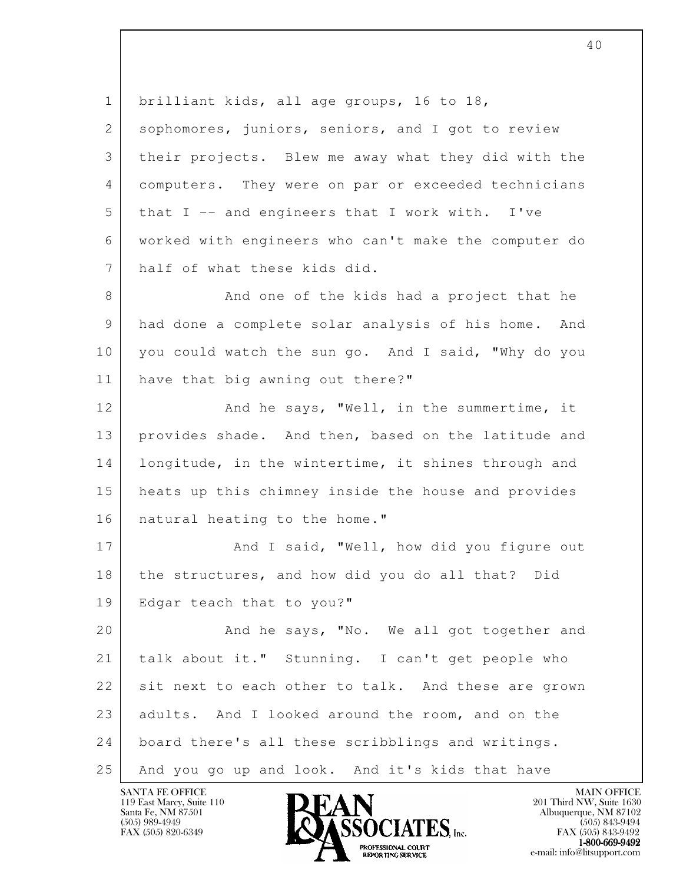l 1 brilliant kids, all age groups, 16 to 18, 2 sophomores, juniors, seniors, and I got to review 3 their projects. Blew me away what they did with the 4 computers. They were on par or exceeded technicians 5 that I -- and engineers that I work with. I've 6 worked with engineers who can't make the computer do 7 half of what these kids did. 8 And one of the kids had a project that he 9 had done a complete solar analysis of his home. And 10 you could watch the sun go. And I said, "Why do you 11 have that big awning out there?" 12 And he says, "Well, in the summertime, it 13 provides shade. And then, based on the latitude and 14 | longitude, in the wintertime, it shines through and 15 heats up this chimney inside the house and provides 16 | natural heating to the home." 17 And I said, "Well, how did you figure out 18 the structures, and how did you do all that? Did 19 | Edgar teach that to you?" 20 And he says, "No. We all got together and 21 talk about it." Stunning. I can't get people who 22 sit next to each other to talk. And these are grown 23 adults. And I looked around the room, and on the 24 board there's all these scribblings and writings. 25 And you go up and look. And it's kids that have

119 East Marcy, Suite 110<br>Santa Fe, NM 87501

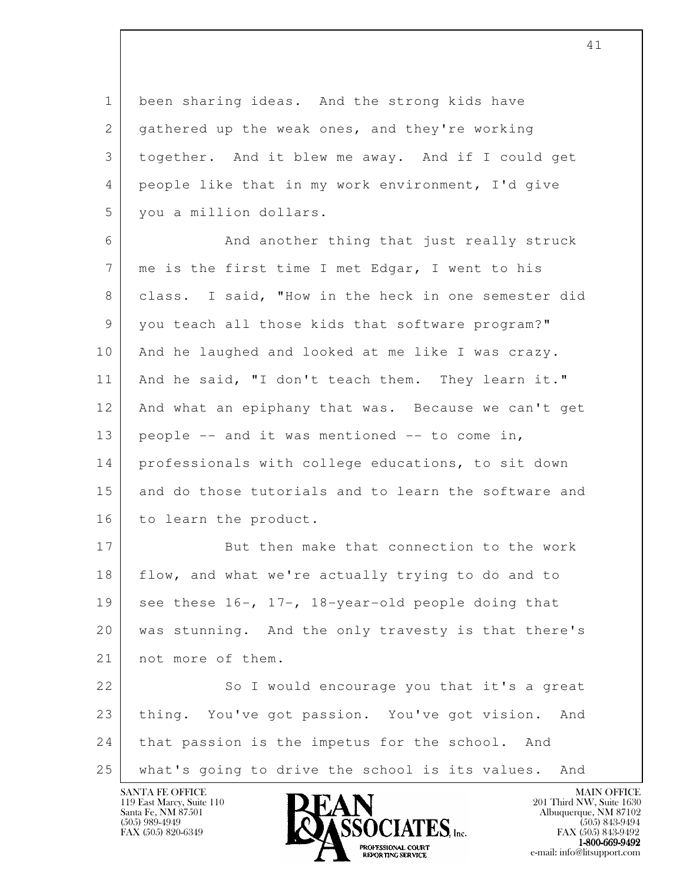1 been sharing ideas. And the strong kids have 2 gathered up the weak ones, and they're working 3 together. And it blew me away. And if I could get 4 people like that in my work environment, I'd give 5 you a million dollars.

6 And another thing that just really struck 7 | me is the first time I met Edgar, I went to his 8 class. I said, "How in the heck in one semester did 9 you teach all those kids that software program?" 10 And he laughed and looked at me like I was crazy. 11 | And he said, "I don't teach them. They learn it." 12 And what an epiphany that was. Because we can't get 13 people -- and it was mentioned -- to come in, 14 professionals with college educations, to sit down 15 and do those tutorials and to learn the software and 16 to learn the product.

17 But then make that connection to the work 18 flow, and what we're actually trying to do and to 19 see these  $16-$ ,  $17-$ ,  $18-$ year-old people doing that 20 was stunning. And the only travesty is that there's 21 not more of them.

l 22 So I would encourage you that it's a great 23 thing. You've got passion. You've got vision. And 24 that passion is the impetus for the school. And 25 what's going to drive the school is its values. And

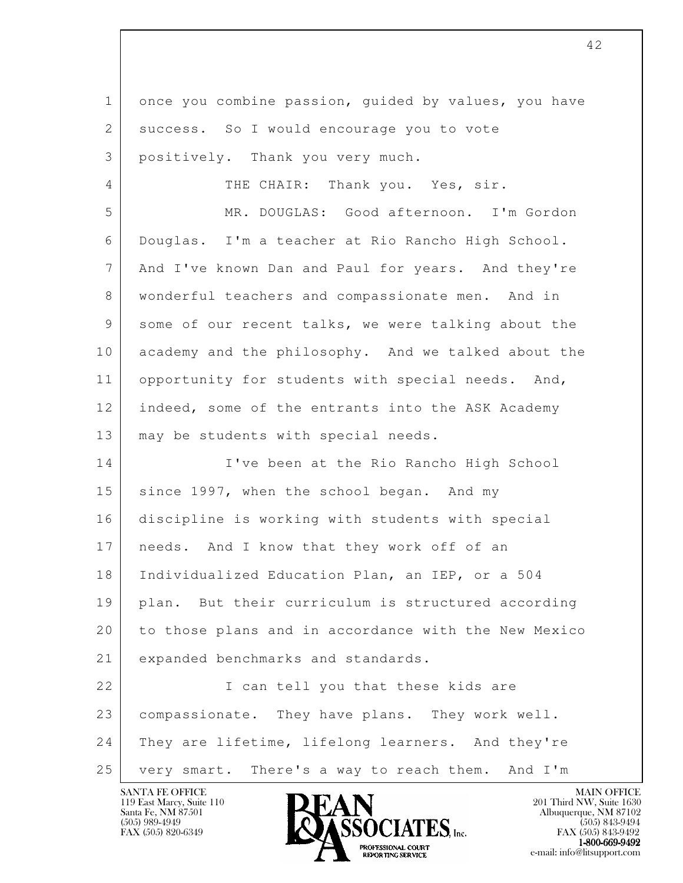l 1 once you combine passion, guided by values, you have 2 | success. So I would encourage you to vote 3 positively. Thank you very much. 4 THE CHAIR: Thank you. Yes, sir. 5 MR. DOUGLAS: Good afternoon. I'm Gordon 6 Douglas. I'm a teacher at Rio Rancho High School. 7 And I've known Dan and Paul for years. And they're 8 wonderful teachers and compassionate men. And in 9 some of our recent talks, we were talking about the 10 academy and the philosophy. And we talked about the 11 opportunity for students with special needs. And, 12 indeed, some of the entrants into the ASK Academy 13 | may be students with special needs. 14 I've been at the Rio Rancho High School 15 since 1997, when the school began. And my 16 discipline is working with students with special 17 | needs. And I know that they work off of an 18 | Individualized Education Plan, an IEP, or a 504 19 plan. But their curriculum is structured according 20 to those plans and in accordance with the New Mexico 21 expanded benchmarks and standards. 22 | T can tell you that these kids are 23 | compassionate. They have plans. They work well. 24 They are lifetime, lifelong learners. And they're 25 very smart. There's a way to reach them. And I'm

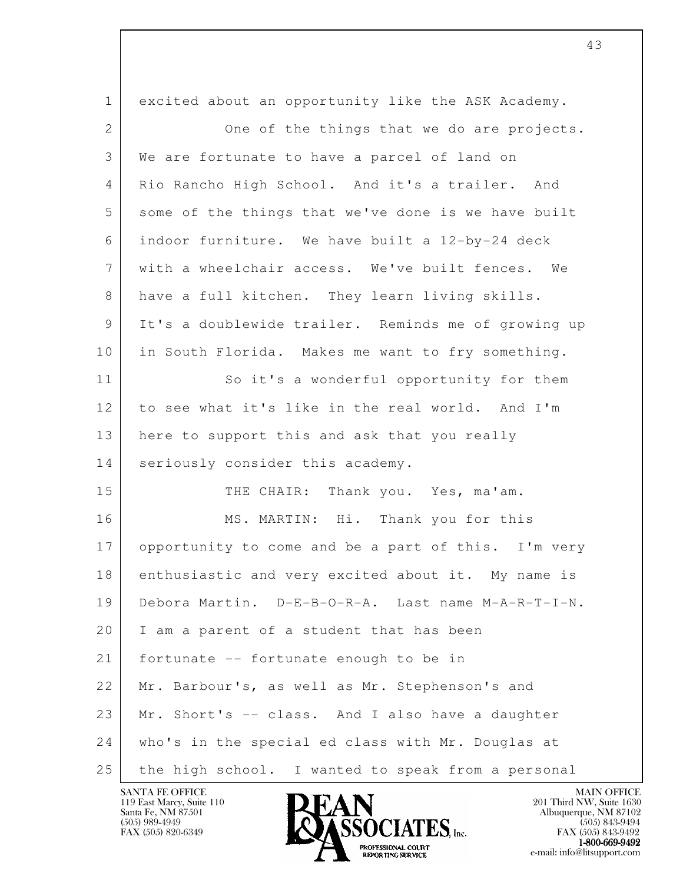| $\mathbf 1$    | excited about an opportunity like the ASK Academy.  |
|----------------|-----------------------------------------------------|
| $\overline{2}$ | One of the things that we do are projects.          |
| 3              | We are fortunate to have a parcel of land on        |
| 4              | Rio Rancho High School. And it's a trailer. And     |
| 5              | some of the things that we've done is we have built |
| 6              | indoor furniture. We have built a 12-by-24 deck     |
| 7              | with a wheelchair access. We've built fences. We    |
| 8              | have a full kitchen. They learn living skills.      |
| 9              | It's a doublewide trailer. Reminds me of growing up |
| 10             | in South Florida. Makes me want to fry something.   |
| 11             | So it's a wonderful opportunity for them            |
| 12             | to see what it's like in the real world. And I'm    |
| 13             | here to support this and ask that you really        |
| 14             | seriously consider this academy.                    |
| 15             | Thank you. Yes, ma'am.<br>THE CHAIR:                |
| 16             | MS. MARTIN: Hi. Thank you for this                  |
| 17             | opportunity to come and be a part of this. I'm very |
| 18             | enthusiastic and very excited about it. My name is  |
| 19             | Debora Martin. D-E-B-O-R-A. Last name M-A-R-T-I-N.  |
| 20             | I am a parent of a student that has been            |
| 21             | fortunate -- fortunate enough to be in              |
| 22             | Mr. Barbour's, as well as Mr. Stephenson's and      |
| 23             | Mr. Short's -- class. And I also have a daughter    |
| 24             | who's in the special ed class with Mr. Douglas at   |
| 25             | the high school. I wanted to speak from a personal  |

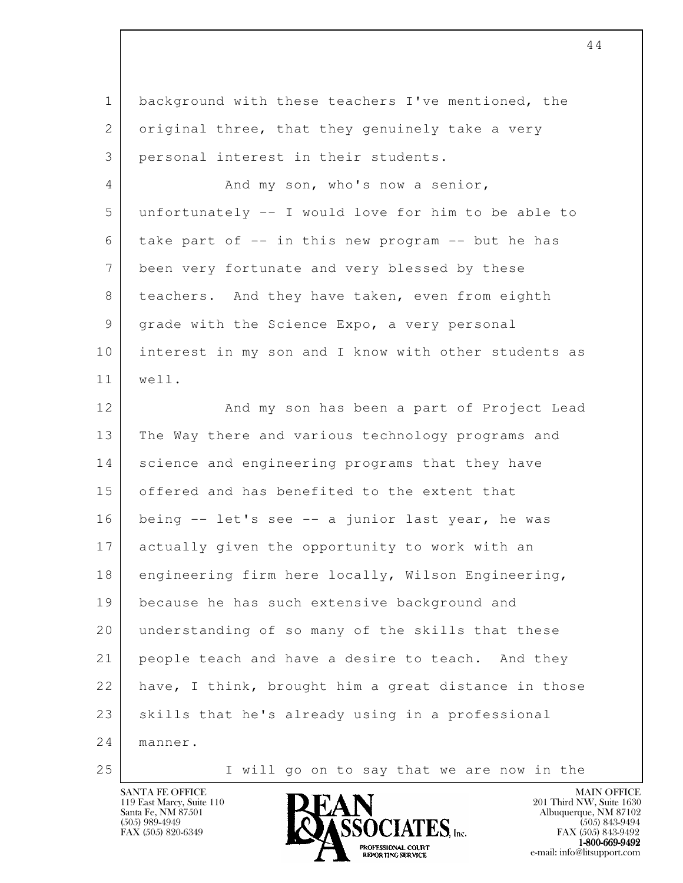| $\mathbf{1}$ | background with these teachers I've mentioned, the   |
|--------------|------------------------------------------------------|
| 2            | original three, that they genuinely take a very      |
| 3            | personal interest in their students.                 |
| 4            | And my son, who's now a senior,                      |
| 5            | unfortunately -- I would love for him to be able to  |
| 6            | take part of -- in this new program -- but he has    |
| 7            | been very fortunate and very blessed by these        |
| 8            | teachers. And they have taken, even from eighth      |
| 9            | grade with the Science Expo, a very personal         |
| 10           | interest in my son and I know with other students as |
| 11           | well.                                                |
| 12           | And my son has been a part of Project Lead           |
| 13           | The Way there and various technology programs and    |
| 14           | science and engineering programs that they have      |
| 15           | offered and has benefited to the extent that         |
| 16           | being -- let's see -- a junior last year, he was     |
| 17           | actually given the opportunity to work with an       |
| 18           | engineering firm here locally, Wilson Engineering,   |
| 19           | because he has such extensive background and         |
| 20           | understanding of so many of the skills that these    |
| 21           | people teach and have a desire to teach. And they    |
| 22           | have, I think, brought him a great distance in those |
| 23           | skills that he's already using in a professional     |
| 24           | manner.                                              |
| 25           | I will go on to say that we are now in the           |



e-mail: info@litsupport.com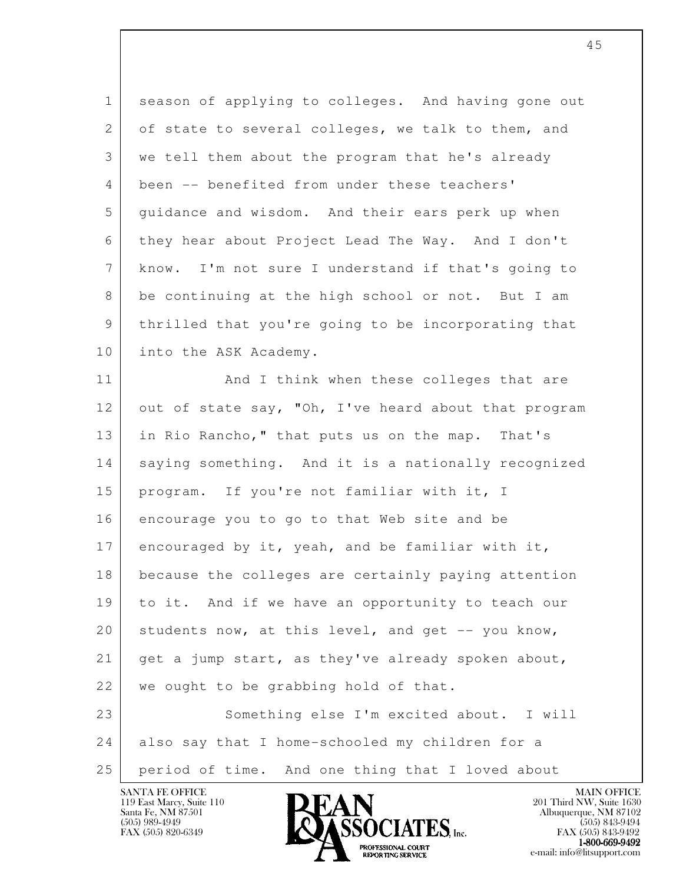| $\mathbf{1}$ | season of applying to colleges. And having gone out  |
|--------------|------------------------------------------------------|
| 2            | of state to several colleges, we talk to them, and   |
| 3            | we tell them about the program that he's already     |
| 4            | been -- benefited from under these teachers'         |
| 5            | guidance and wisdom. And their ears perk up when     |
| 6            | they hear about Project Lead The Way. And I don't    |
| 7            | know. I'm not sure I understand if that's going to   |
| 8            | be continuing at the high school or not. But I am    |
| 9            | thrilled that you're going to be incorporating that  |
| 10           | into the ASK Academy.                                |
| 11           | And I think when these colleges that are             |
| 12           | out of state say, "Oh, I've heard about that program |
| 13           | in Rio Rancho," that puts us on the map. That's      |
| 14           | saying something. And it is a nationally recognized  |
| 15           | program. If you're not familiar with it, I           |
| 16           | encourage you to go to that Web site and be          |
| 17           | encouraged by it, yeah, and be familiar with it,     |
| 18           | because the colleges are certainly paying attention  |
| 19           | to it. And if we have an opportunity to teach our    |
| 20           | students now, at this level, and get -- you know,    |
| 21           | get a jump start, as they've already spoken about,   |
| 22           | we ought to be grabbing hold of that.                |
| 23           | Something else I'm excited about. I will             |
| 24           | also say that I home-schooled my children for a      |
| 25           | period of time. And one thing that I loved about     |

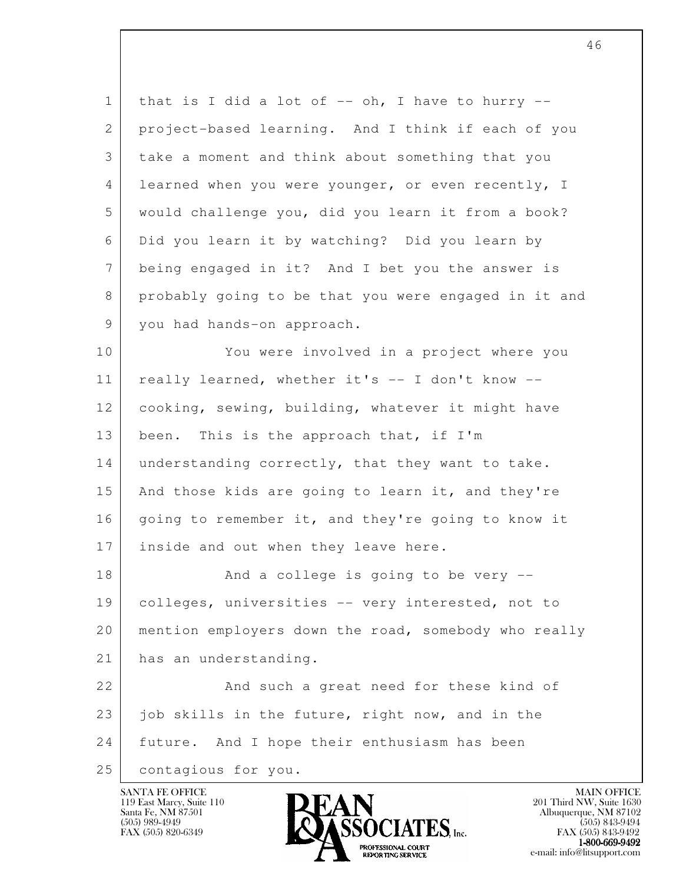| $\mathbf 1$     | that is I did a lot of $--$ oh, I have to hurry $--$ |
|-----------------|------------------------------------------------------|
| 2               | project-based learning. And I think if each of you   |
| 3               | take a moment and think about something that you     |
| 4               | learned when you were younger, or even recently, I   |
| 5               | would challenge you, did you learn it from a book?   |
| 6               | Did you learn it by watching? Did you learn by       |
| $7\phantom{.0}$ | being engaged in it? And I bet you the answer is     |
| 8               | probably going to be that you were engaged in it and |
| 9               | you had hands-on approach.                           |
| 10              | You were involved in a project where you             |
| 11              | really learned, whether it's -- I don't know --      |
| 12              | cooking, sewing, building, whatever it might have    |
| 13              | This is the approach that, if I'm<br>been.           |
| 14              | understanding correctly, that they want to take.     |
| 15              | And those kids are going to learn it, and they're    |
| 16              | going to remember it, and they're going to know it   |
| 17              | inside and out when they leave here.                 |
| 18              | And a college is going to be very --                 |
| 19              | colleges, universities -- very interested, not to    |
| 20              | mention employers down the road, somebody who really |
| 21              | has an understanding.                                |
| 22              | And such a great need for these kind of              |
| 23              | job skills in the future, right now, and in the      |
| 24              | future. And I hope their enthusiasm has been         |
| 25              | contagious for you.                                  |

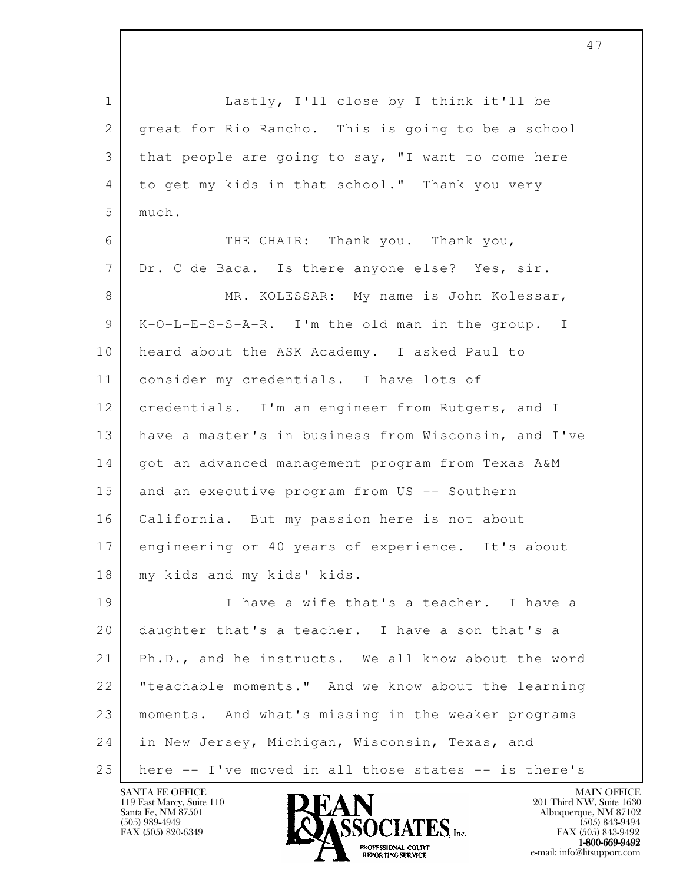l 1 | Lastly, I'll close by I think it'll be 2 | great for Rio Rancho. This is going to be a school 3 that people are going to say, "I want to come here 4 to get my kids in that school." Thank you very 5 much. 6 THE CHAIR: Thank you. Thank you, 7 Dr. C de Baca. Is there anyone else? Yes, sir. 8 MR. KOLESSAR: My name is John Kolessar, 9 K-O-L-E-S-S-A-R. I'm the old man in the group. I 10 heard about the ASK Academy. I asked Paul to 11 consider my credentials. I have lots of 12 | credentials. I'm an engineer from Rutgers, and I 13 have a master's in business from Wisconsin, and I've 14 | got an advanced management program from Texas A&M 15 and an executive program from US -- Southern 16 California. But my passion here is not about 17 engineering or 40 years of experience. It's about 18 | my kids and my kids' kids. 19 I have a wife that's a teacher. I have a 20 daughter that's a teacher. I have a son that's a 21 Ph.D., and he instructs. We all know about the word 22 | "teachable moments." And we know about the learning 23 moments. And what's missing in the weaker programs 24 in New Jersey, Michigan, Wisconsin, Texas, and 25 here -- I've moved in all those states -- is there's

47

119 East Marcy, Suite 110<br>Santa Fe, NM 87501

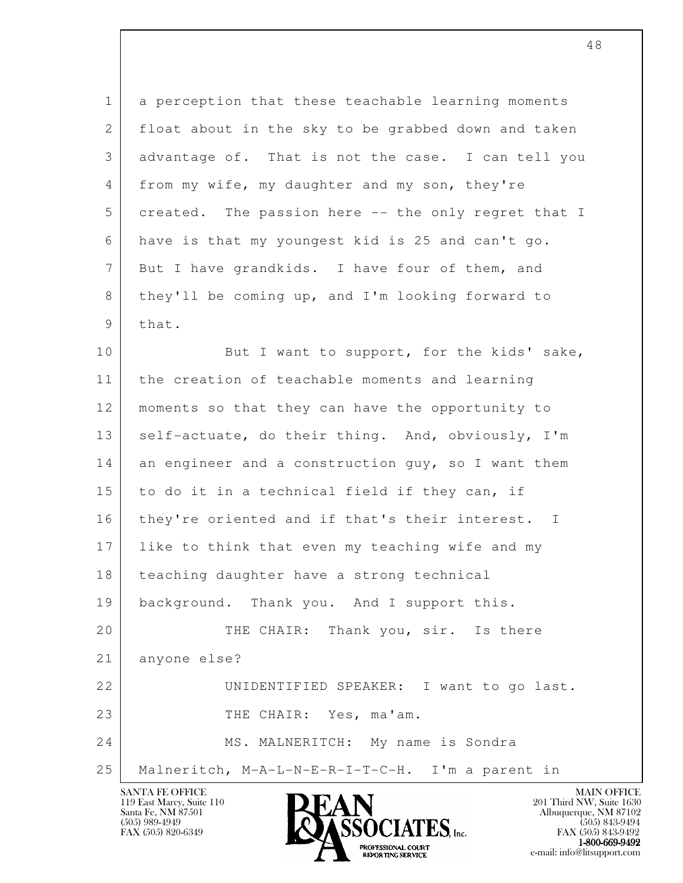1 a perception that these teachable learning moments 2 float about in the sky to be grabbed down and taken 3 advantage of. That is not the case. I can tell you 4 from my wife, my daughter and my son, they're 5 created. The passion here -- the only regret that I 6 have is that my youngest kid is 25 and can't go. 7 But I have grandkids. I have four of them, and 8 they'll be coming up, and I'm looking forward to  $9$  that.

l 10 But I want to support, for the kids' sake, 11 the creation of teachable moments and learning 12 moments so that they can have the opportunity to 13 | self-actuate, do their thing. And, obviously, I'm 14 an engineer and a construction guy, so I want them 15 to do it in a technical field if they can, if 16 they're oriented and if that's their interest. I 17 like to think that even my teaching wife and my 18 teaching daughter have a strong technical 19 background. Thank you. And I support this. 20 THE CHAIR: Thank you, sir. Is there 21 anyone else? 22 | UNIDENTIFIED SPEAKER: I want to go last. 23 THE CHAIR: Yes, ma'am. 24 MS. MALNERITCH: My name is Sondra 25 Malneritch, M-A-L-N-E-R-I-T-C-H. I'm a parent in

119 East Marcy, Suite 110<br>Santa Fe, NM 87501

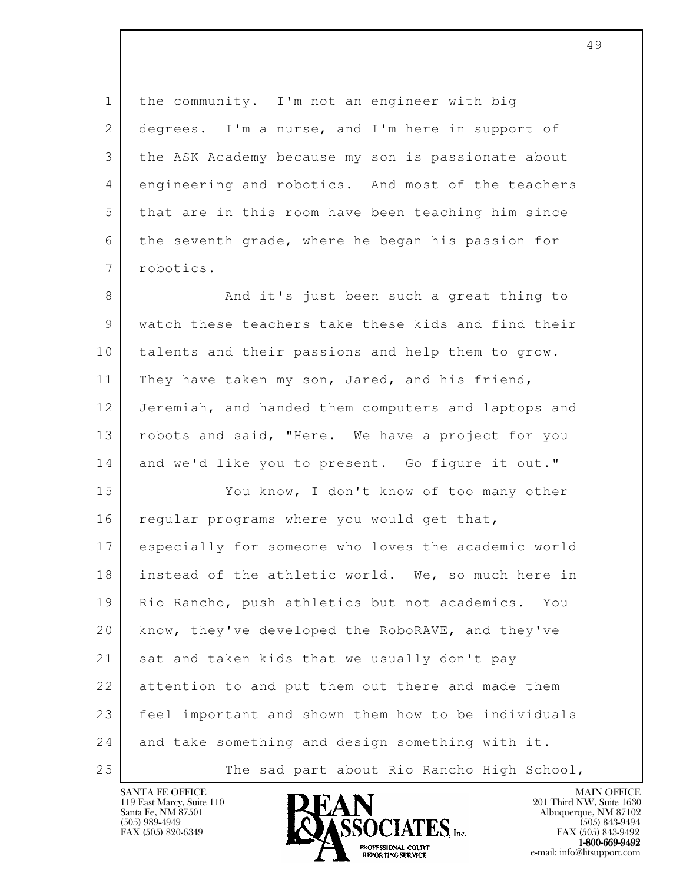1 the community. I'm not an engineer with big 2 degrees. I'm a nurse, and I'm here in support of 3 the ASK Academy because my son is passionate about 4 engineering and robotics. And most of the teachers 5 that are in this room have been teaching him since 6 the seventh grade, where he began his passion for 7 robotics. 8 And it's just been such a great thing to 9 watch these teachers take these kids and find their 10 talents and their passions and help them to grow. 11 They have taken my son, Jared, and his friend, 12 Jeremiah, and handed them computers and laptops and 13 robots and said, "Here. We have a project for you 14 and we'd like you to present. Go figure it out." 15 You know, I don't know of too many other 16 regular programs where you would get that, 17 especially for someone who loves the academic world 18 instead of the athletic world. We, so much here in 19 Rio Rancho, push athletics but not academics. You 20 know, they've developed the RoboRAVE, and they've 21 sat and taken kids that we usually don't pay

l 22 attention to and put them out there and made them 23 feel important and shown them how to be individuals 24 and take something and design something with it. 25 The sad part about Rio Rancho High School,

119 East Marcy, Suite 110<br>Santa Fe, NM 87501

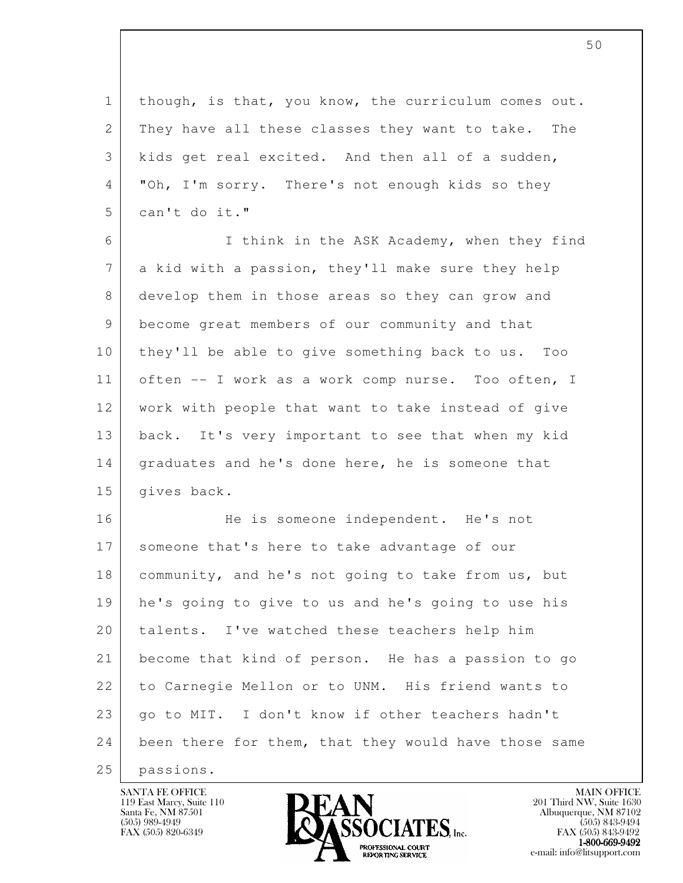1 though, is that, you know, the curriculum comes out. 2 They have all these classes they want to take. The 3 kids get real excited. And then all of a sudden, 4 "Oh, I'm sorry. There's not enough kids so they 5 can't do it."

 6 I think in the ASK Academy, when they find 7 a kid with a passion, they'll make sure they help 8 develop them in those areas so they can grow and 9 become great members of our community and that 10 they'll be able to give something back to us. Too 11 | often -- I work as a work comp nurse. Too often, I 12 work with people that want to take instead of give 13 back. It's very important to see that when my kid 14 graduates and he's done here, he is someone that 15 | qives back.

l 16 He is someone independent. He's not 17 someone that's here to take advantage of our 18 | community, and he's not going to take from us, but 19 he's going to give to us and he's going to use his 20 talents. I've watched these teachers help him 21 become that kind of person. He has a passion to go 22 to Carnegie Mellon or to UNM. His friend wants to 23 | go to MIT. I don't know if other teachers hadn't 24 been there for them, that they would have those same

25 passions.

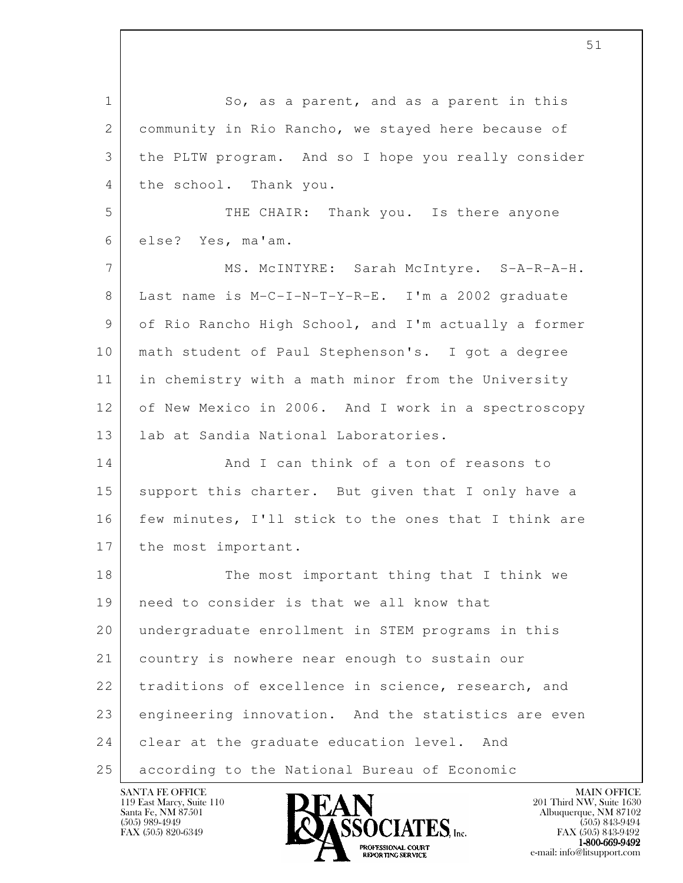l 1 So, as a parent, and as a parent in this 2 community in Rio Rancho, we stayed here because of 3 the PLTW program. And so I hope you really consider 4 the school. Thank you. 5 THE CHAIR: Thank you. Is there anyone 6 else? Yes, ma'am. 7 | MS. McINTYRE: Sarah McIntyre. S-A-R-A-H. 8 Last name is M-C-I-N-T-Y-R-E. I'm a 2002 graduate 9 of Rio Rancho High School, and I'm actually a former 10 math student of Paul Stephenson's. I got a degree 11 in chemistry with a math minor from the University 12 of New Mexico in 2006. And I work in a spectroscopy 13 | lab at Sandia National Laboratories. 14 And I can think of a ton of reasons to 15 support this charter. But given that I only have a 16 few minutes, I'll stick to the ones that I think are 17 the most important. 18 The most important thing that I think we 19 need to consider is that we all know that 20 undergraduate enrollment in STEM programs in this 21 country is nowhere near enough to sustain our 22 traditions of excellence in science, research, and 23 engineering innovation. And the statistics are even 24 clear at the graduate education level. And 25 according to the National Bureau of Economic

119 East Marcy, Suite 110<br>Santa Fe, NM 87501

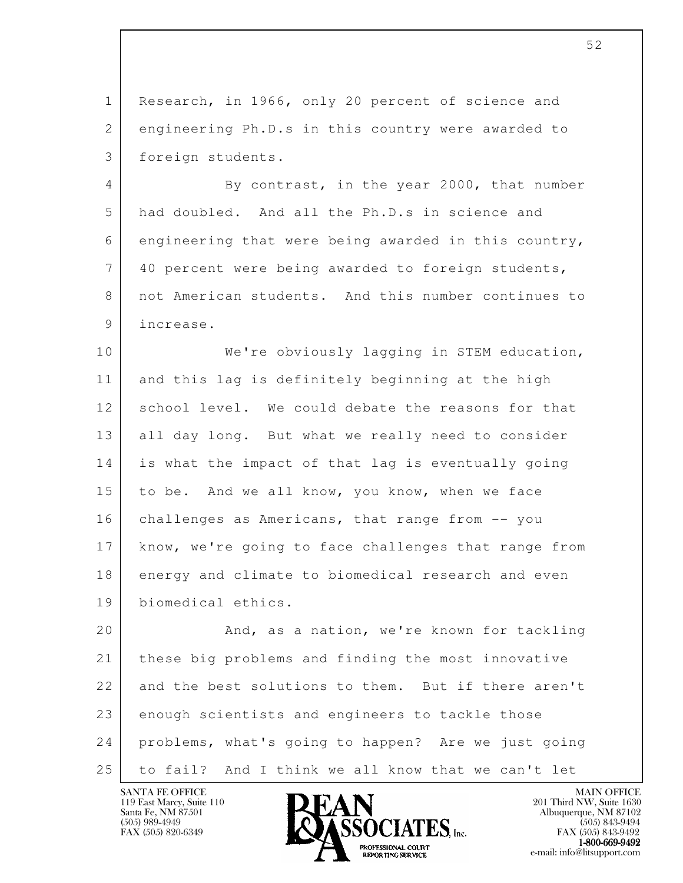1 Research, in 1966, only 20 percent of science and 2 engineering Ph.D.s in this country were awarded to 3 foreign students.

4 By contrast, in the year 2000, that number 5 had doubled. And all the Ph.D.s in science and 6 engineering that were being awarded in this country, 7 40 percent were being awarded to foreign students, 8 not American students. And this number continues to 9 increase.

10 We're obviously lagging in STEM education, 11 and this lag is definitely beginning at the high 12 school level. We could debate the reasons for that 13 all day long. But what we really need to consider 14 is what the impact of that lag is eventually going 15 to be. And we all know, you know, when we face 16 challenges as Americans, that range from -- you 17 know, we're going to face challenges that range from 18 energy and climate to biomedical research and even 19 biomedical ethics.

l 20 And, as a nation, we're known for tackling 21 these big problems and finding the most innovative 22 and the best solutions to them. But if there aren't 23 enough scientists and engineers to tackle those 24 problems, what's going to happen? Are we just going 25 to fail? And I think we all know that we can't let

119 East Marcy, Suite 110<br>Santa Fe, NM 87501

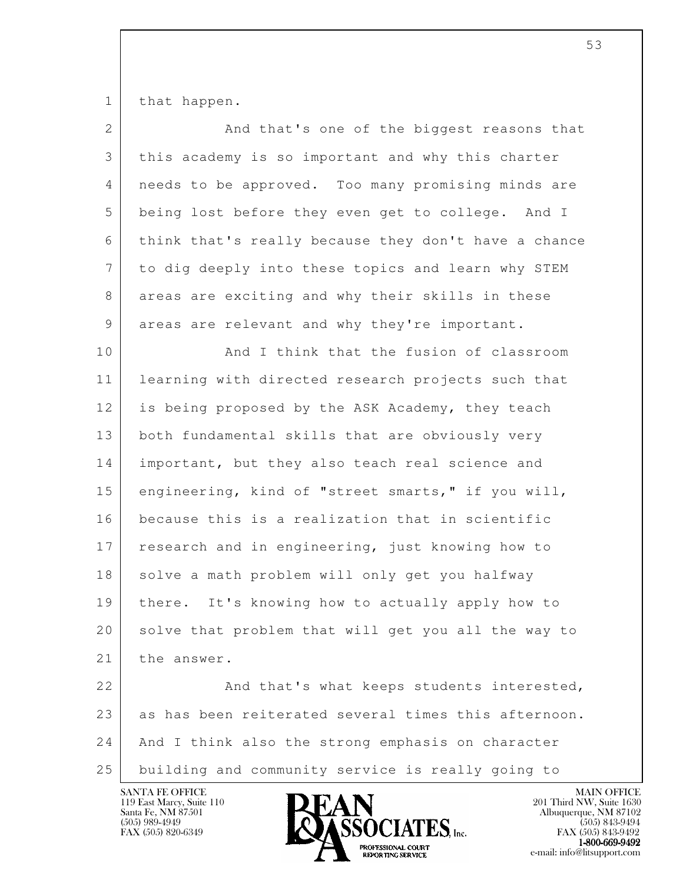1 that happen.

| $\overline{2}$  | And that's one of the biggest reasons that           |
|-----------------|------------------------------------------------------|
| 3               | this academy is so important and why this charter    |
| 4               | needs to be approved. Too many promising minds are   |
| 5               | being lost before they even get to college. And I    |
| 6               | think that's really because they don't have a chance |
| $7\phantom{.0}$ | to dig deeply into these topics and learn why STEM   |
| 8               | areas are exciting and why their skills in these     |
| 9               | areas are relevant and why they're important.        |
| 10              | And I think that the fusion of classroom             |
| 11              | learning with directed research projects such that   |
| 12              | is being proposed by the ASK Academy, they teach     |
| 13              | both fundamental skills that are obviously very      |
| 14              | important, but they also teach real science and      |
| 15              | engineering, kind of "street smarts," if you will,   |
| 16              | because this is a realization that in scientific     |
| 17              | research and in engineering, just knowing how to     |
| 18              | solve a math problem will only get you halfway       |
| 19              | there. It's knowing how to actually apply how to     |
| 20              | solve that problem that will get you all the way to  |
| 21              | the answer.                                          |
| 22              | And that's what keeps students interested,           |
| 23              | as has been reiterated several times this afternoon. |
| 24              | And I think also the strong emphasis on character    |
| 25              | building and community service is really going to    |

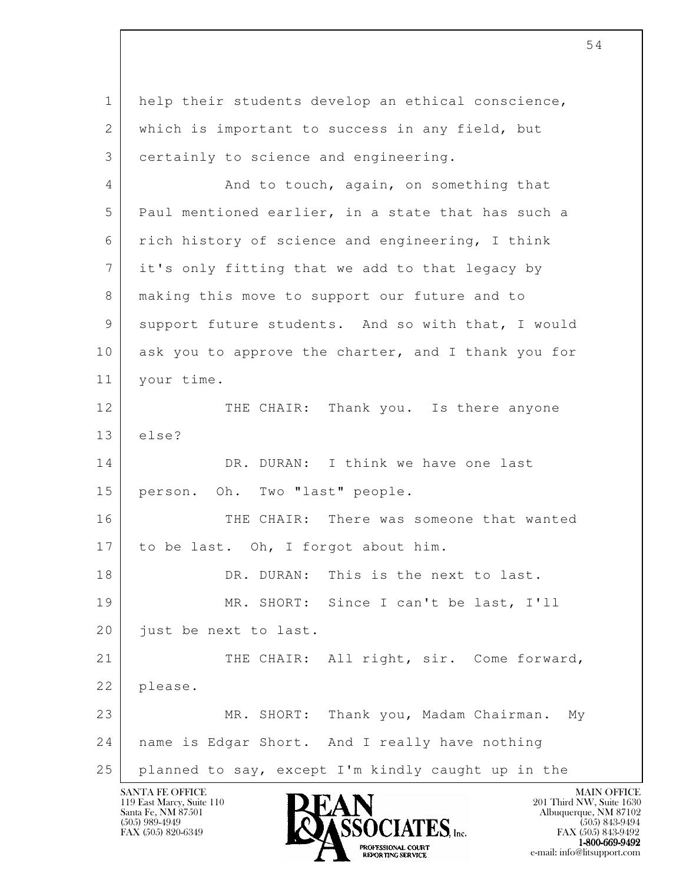l 1 help their students develop an ethical conscience, 2 which is important to success in any field, but 3 certainly to science and engineering. 4 And to touch, again, on something that 5 Paul mentioned earlier, in a state that has such a 6 rich history of science and engineering, I think 7 it's only fitting that we add to that legacy by 8 making this move to support our future and to 9 support future students. And so with that, I would 10 | ask you to approve the charter, and I thank you for 11 your time. 12 THE CHAIR: Thank you. Is there anyone 13 else? 14 DR. DURAN: I think we have one last 15 person. Oh. Two "last" people. 16 THE CHAIR: There was someone that wanted 17 to be last. Oh, I forgot about him. 18 DR. DURAN: This is the next to last. 19 MR. SHORT: Since I can't be last, I'll 20 *just* be next to last. 21 THE CHAIR: All right, sir. Come forward, 22 please. 23 MR. SHORT: Thank you, Madam Chairman. My 24 name is Edgar Short. And I really have nothing 25 planned to say, except I'm kindly caught up in the

119 East Marcy, Suite 110<br>Santa Fe, NM 87501

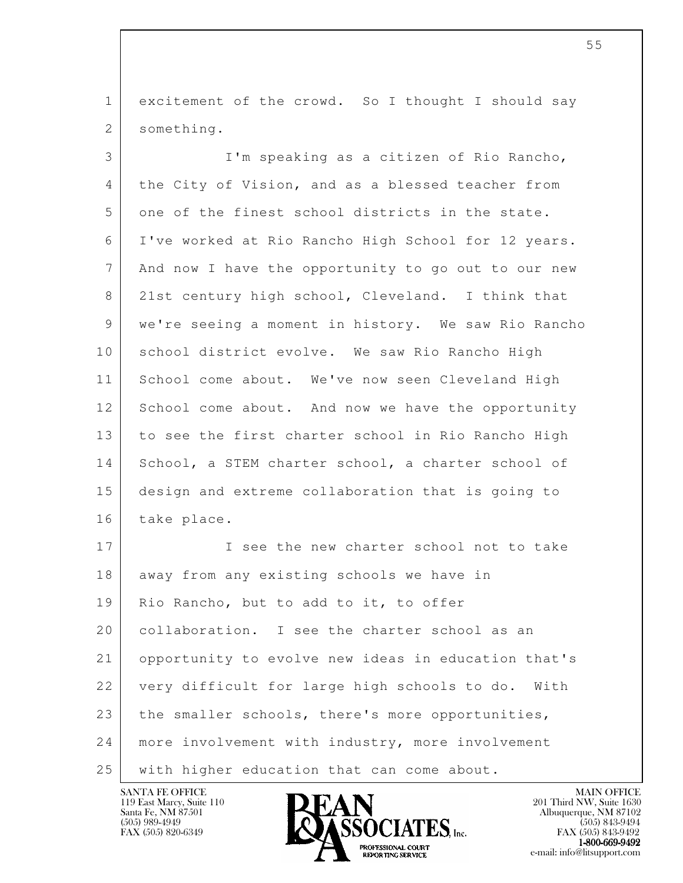1 excitement of the crowd. So I thought I should say 2 something.

 3 I'm speaking as a citizen of Rio Rancho, 4 the City of Vision, and as a blessed teacher from 5 one of the finest school districts in the state. 6 I've worked at Rio Rancho High School for 12 years. 7 And now I have the opportunity to go out to our new 8 21st century high school, Cleveland. I think that 9 we're seeing a moment in history. We saw Rio Rancho 10 | school district evolve. We saw Rio Rancho High 11 School come about. We've now seen Cleveland High 12 School come about. And now we have the opportunity 13 to see the first charter school in Rio Rancho High 14 School, a STEM charter school, a charter school of 15 design and extreme collaboration that is going to 16 take place. 17 I see the new charter school not to take 18 away from any existing schools we have in

l 19 | Rio Rancho, but to add to it, to offer 20 collaboration. I see the charter school as an 21 opportunity to evolve new ideas in education that's 22 very difficult for large high schools to do. With  $23$  the smaller schools, there's more opportunities, 24 | more involvement with industry, more involvement 25 | with higher education that can come about.

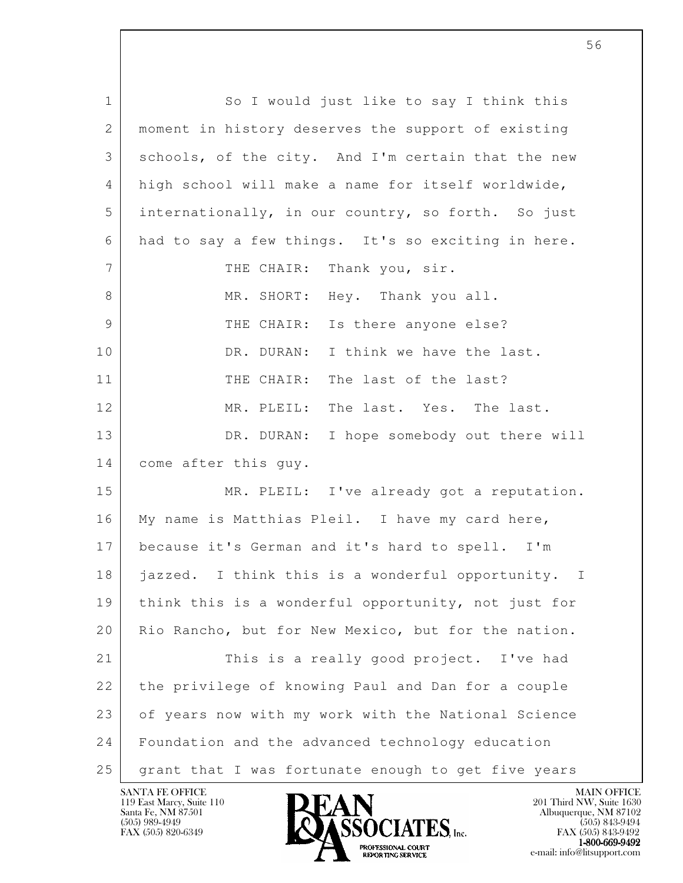l 1 So I would just like to say I think this 2 | moment in history deserves the support of existing 3 schools, of the city. And I'm certain that the new 4 high school will make a name for itself worldwide, 5 internationally, in our country, so forth. So just 6 had to say a few things. It's so exciting in here. 7 | THE CHAIR: Thank you, sir. 8 MR. SHORT: Hey. Thank you all. 9 THE CHAIR: Is there anyone else? 10 DR. DURAN: I think we have the last. 11 THE CHAIR: The last of the last? 12 MR. PLEIL: The last. Yes. The last. 13 DR. DURAN: I hope somebody out there will 14 come after this guy. 15 MR. PLEIL: I've already got a reputation. 16 | My name is Matthias Pleil. I have my card here, 17 because it's German and it's hard to spell. I'm 18 jazzed. I think this is a wonderful opportunity. I 19 think this is a wonderful opportunity, not just for 20 | Rio Rancho, but for New Mexico, but for the nation. 21 This is a really good project. I've had 22 the privilege of knowing Paul and Dan for a couple 23 of years now with my work with the National Science 24 Foundation and the advanced technology education 25 grant that I was fortunate enough to get five years

119 East Marcy, Suite 110<br>Santa Fe, NM 87501

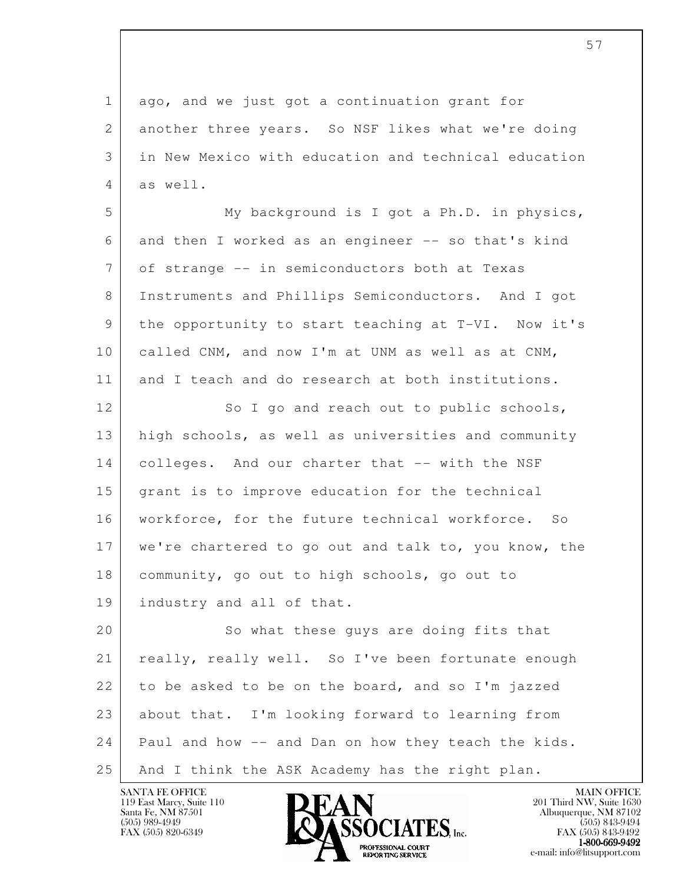l 1 ago, and we just got a continuation grant for 2 another three years. So NSF likes what we're doing 3 in New Mexico with education and technical education 4 as well. 5 My background is I got a Ph.D. in physics, 6 and then I worked as an engineer -- so that's kind 7 of strange -- in semiconductors both at Texas 8 Instruments and Phillips Semiconductors. And I got 9 the opportunity to start teaching at T-VI. Now it's 10 called CNM, and now I'm at UNM as well as at CNM, 11 and I teach and do research at both institutions. 12 So I go and reach out to public schools, 13 high schools, as well as universities and community 14 colleges. And our charter that -- with the NSF 15 grant is to improve education for the technical 16 workforce, for the future technical workforce. So 17 we're chartered to go out and talk to, you know, the 18 community, go out to high schools, go out to 19 industry and all of that. 20 | So what these guys are doing fits that 21 really, really well. So I've been fortunate enough 22 to be asked to be on the board, and so I'm jazzed 23 about that. I'm looking forward to learning from 24 Paul and how -- and Dan on how they teach the kids. 25 | And I think the ASK Academy has the right plan.

119 East Marcy, Suite 110<br>Santa Fe, NM 87501



FAX (505) 843-9492 **EXPORTING SERVICE** EXPLORER THE REPORTING SERVICE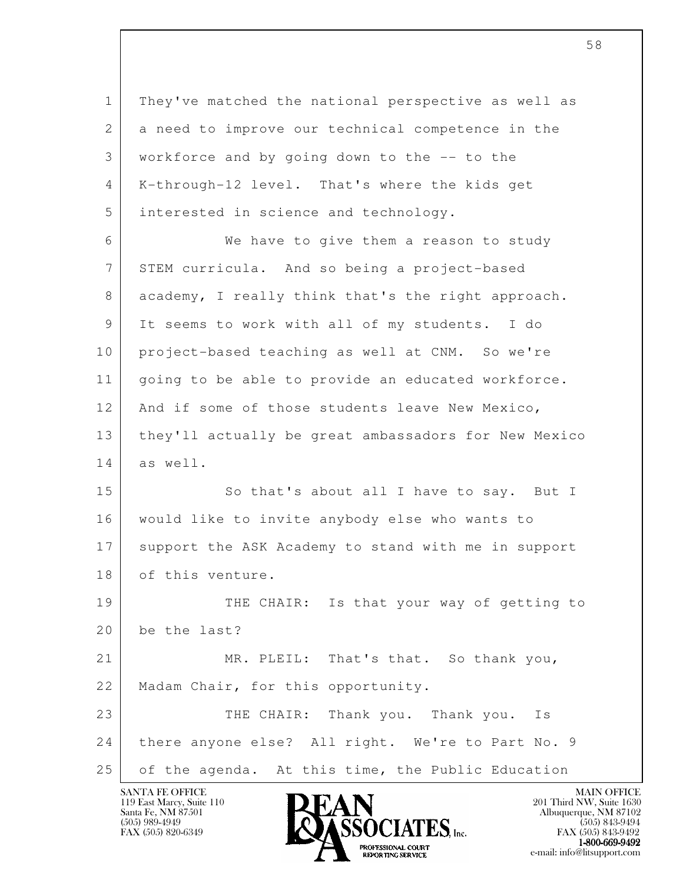l 1 They've matched the national perspective as well as 2 a need to improve our technical competence in the 3 workforce and by going down to the -- to the 4 K-through-12 level. That's where the kids get 5 interested in science and technology. 6 We have to give them a reason to study 7 STEM curricula. And so being a project-based 8 academy, I really think that's the right approach. 9 It seems to work with all of my students. I do 10 | project-based teaching as well at CNM. So we're 11 going to be able to provide an educated workforce. 12 And if some of those students leave New Mexico, 13 they'll actually be great ambassadors for New Mexico 14 as well. 15 So that's about all I have to say. But I 16 would like to invite anybody else who wants to 17 support the ASK Academy to stand with me in support 18 of this venture. 19 THE CHAIR: Is that your way of getting to 20 be the last? 21 MR. PLEIL: That's that. So thank you, 22 | Madam Chair, for this opportunity. 23 THE CHAIR: Thank you. Thank you. Is 24 there anyone else? All right. We're to Part No. 9 25 of the agenda. At this time, the Public Education

119 East Marcy, Suite 110<br>Santa Fe, NM 87501

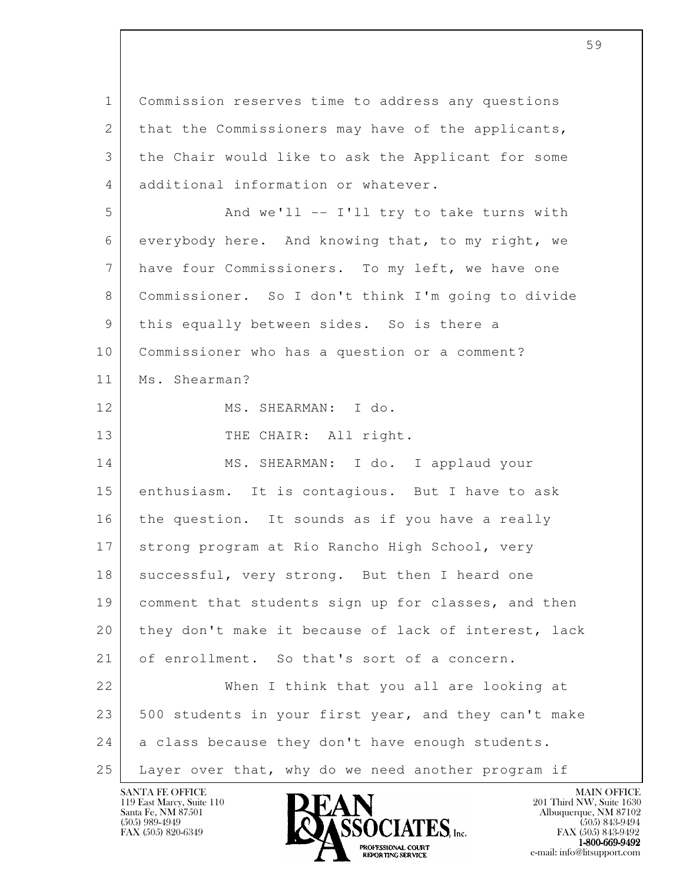l 1 Commission reserves time to address any questions 2 that the Commissioners may have of the applicants, 3 the Chair would like to ask the Applicant for some 4 additional information or whatever. 5 And we'll -- I'll try to take turns with 6 everybody here. And knowing that, to my right, we 7 have four Commissioners. To my left, we have one 8 Commissioner. So I don't think I'm going to divide 9 | this equally between sides. So is there a 10 Commissioner who has a question or a comment? 11 Ms. Shearman? 12 MS. SHEARMAN: I do. 13 THE CHAIR: All right. 14 MS. SHEARMAN: I do. I applaud your 15 | enthusiasm. It is contagious. But I have to ask 16 the question. It sounds as if you have a really 17 strong program at Rio Rancho High School, very 18 | successful, very strong. But then I heard one 19 comment that students sign up for classes, and then 20 they don't make it because of lack of interest, lack 21 of enrollment. So that's sort of a concern. 22 When I think that you all are looking at 23 500 students in your first year, and they can't make 24 a class because they don't have enough students. 25 Layer over that, why do we need another program if

119 East Marcy, Suite 110<br>Santa Fe, NM 87501

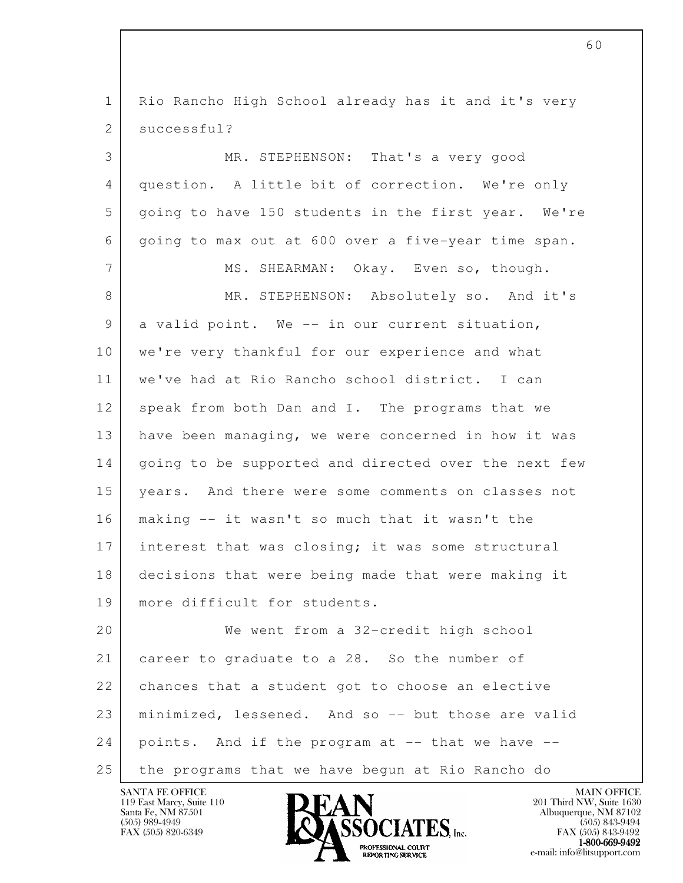l 1 Rio Rancho High School already has it and it's very 2 successful? 3 MR. STEPHENSON: That's a very good 4 question. A little bit of correction. We're only 5 going to have 150 students in the first year. We're 6 going to max out at 600 over a five-year time span. 7 MS. SHEARMAN: Okay. Even so, though. 8 MR. STEPHENSON: Absolutely so. And it's 9 a valid point. We -- in our current situation, 10 | we're very thankful for our experience and what 11 we've had at Rio Rancho school district. I can 12 speak from both Dan and I. The programs that we 13 have been managing, we were concerned in how it was 14 | going to be supported and directed over the next few 15 years. And there were some comments on classes not 16 making -- it wasn't so much that it wasn't the 17 interest that was closing; it was some structural 18 decisions that were being made that were making it 19 more difficult for students. 20 We went from a 32-credit high school 21 | career to graduate to a 28. So the number of 22 chances that a student got to choose an elective 23 minimized, lessened. And so -- but those are valid  $24$  points. And if the program at  $-$  that we have  $-$ 25 the programs that we have begun at Rio Rancho do

119 East Marcy, Suite 110<br>Santa Fe, NM 87501



FAX (505) 843-9492  $1-800-669-9492$ <br>PROFESSIONAL COURT **EXPORTING SERVICE** EXPLORER THE REPORTING SERVICE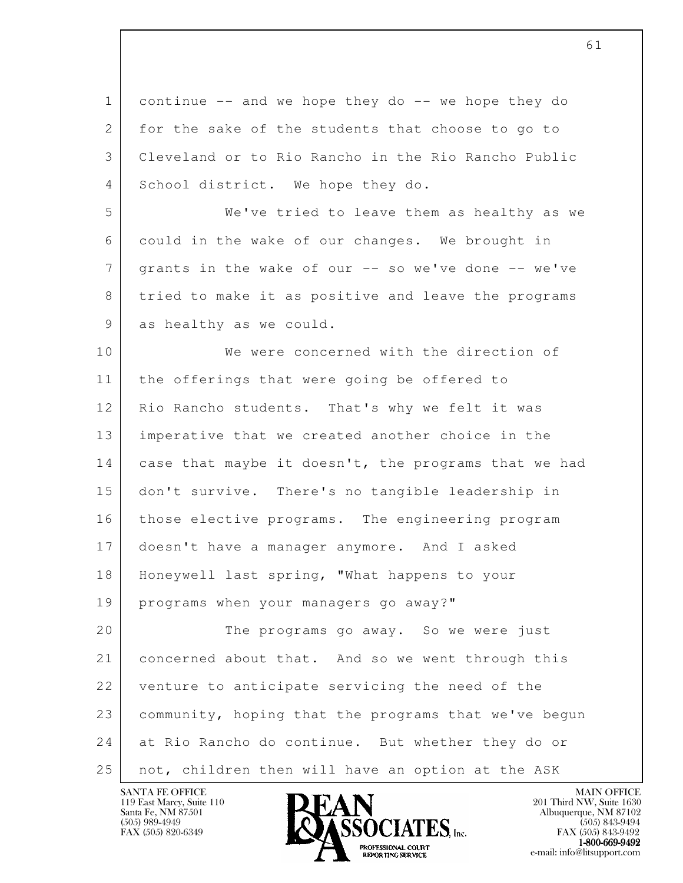l 1 continue -- and we hope they do -- we hope they do 2 for the sake of the students that choose to go to 3 Cleveland or to Rio Rancho in the Rio Rancho Public 4 School district. We hope they do. 5 We've tried to leave them as healthy as we 6 could in the wake of our changes. We brought in 7 grants in the wake of our -- so we've done -- we've 8 tried to make it as positive and leave the programs 9 as healthy as we could. 10 We were concerned with the direction of 11 | the offerings that were going be offered to 12 Rio Rancho students. That's why we felt it was 13 imperative that we created another choice in the 14 case that maybe it doesn't, the programs that we had 15 don't survive. There's no tangible leadership in 16 those elective programs. The engineering program 17 doesn't have a manager anymore. And I asked 18 Honeywell last spring, "What happens to your 19 programs when your managers go away?" 20 The programs go away. So we were just 21 concerned about that. And so we went through this 22 venture to anticipate servicing the need of the 23 community, hoping that the programs that we've begun 24 at Rio Rancho do continue. But whether they do or 25 not, children then will have an option at the ASK

61

119 East Marcy, Suite 110<br>Santa Fe, NM 87501

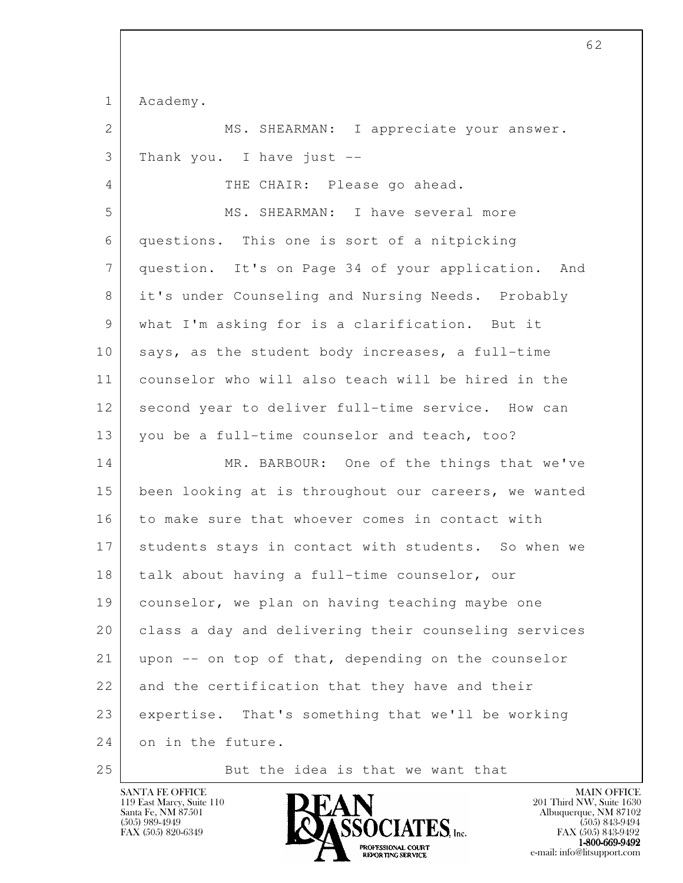1 Academy.

2 | MS. SHEARMAN: I appreciate your answer. 3 Thank you. I have just --

4 THE CHAIR: Please go ahead.

 5 MS. SHEARMAN: I have several more 6 questions. This one is sort of a nitpicking 7 question. It's on Page 34 of your application. And 8 it's under Counseling and Nursing Needs. Probably 9 what I'm asking for is a clarification. But it 10 says, as the student body increases, a full-time 11 counselor who will also teach will be hired in the 12 second year to deliver full-time service. How can 13 you be a full-time counselor and teach, too?

l 14 MR. BARBOUR: One of the things that we've 15 been looking at is throughout our careers, we wanted 16 to make sure that whoever comes in contact with 17 students stays in contact with students. So when we 18 | talk about having a full-time counselor, our 19 counselor, we plan on having teaching maybe one 20 class a day and delivering their counseling services  $21$  upon  $-$  on top of that, depending on the counselor 22 and the certification that they have and their 23 expertise. That's something that we'll be working 24 on in the future.

25 But the idea is that we want that

119 East Marcy, Suite 110<br>Santa Fe, NM 87501

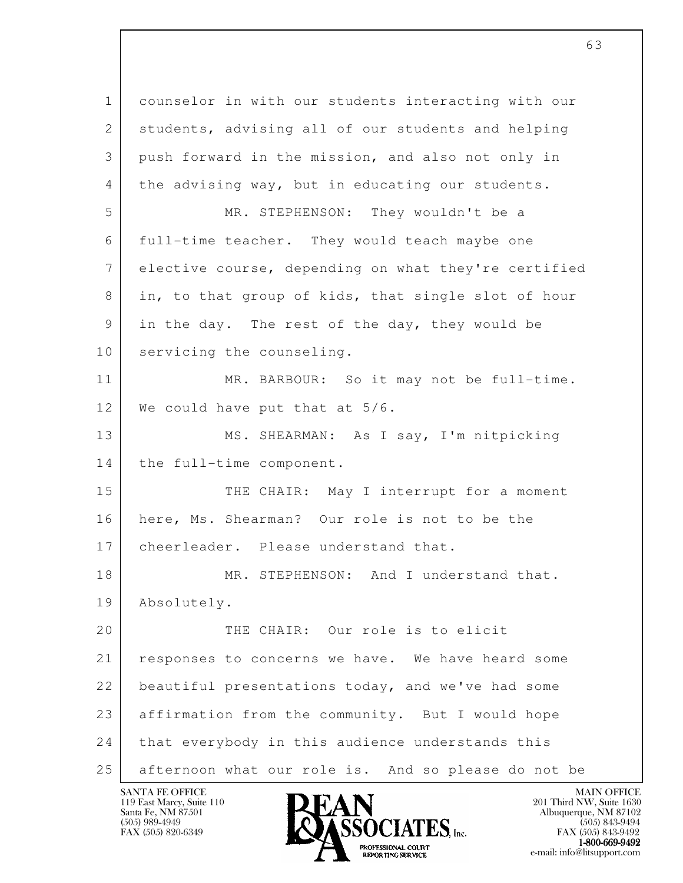l 1 counselor in with our students interacting with our 2 students, advising all of our students and helping 3 push forward in the mission, and also not only in 4 the advising way, but in educating our students. 5 MR. STEPHENSON: They wouldn't be a 6 full-time teacher. They would teach maybe one 7 elective course, depending on what they're certified 8 in, to that group of kids, that single slot of hour 9 in the day. The rest of the day, they would be 10 servicing the counseling. 11 MR. BARBOUR: So it may not be full-time. 12 We could have put that at 5/6. 13 MS. SHEARMAN: As I say, I'm nitpicking 14 the full-time component. 15 THE CHAIR: May I interrupt for a moment 16 here, Ms. Shearman? Our role is not to be the 17 cheerleader. Please understand that. 18 MR. STEPHENSON: And I understand that. 19 Absolutely. 20 THE CHAIR: Our role is to elicit 21 responses to concerns we have. We have heard some 22 beautiful presentations today, and we've had some 23 affirmation from the community. But I would hope 24 that everybody in this audience understands this 25 afternoon what our role is. And so please do not be

119 East Marcy, Suite 110<br>Santa Fe, NM 87501

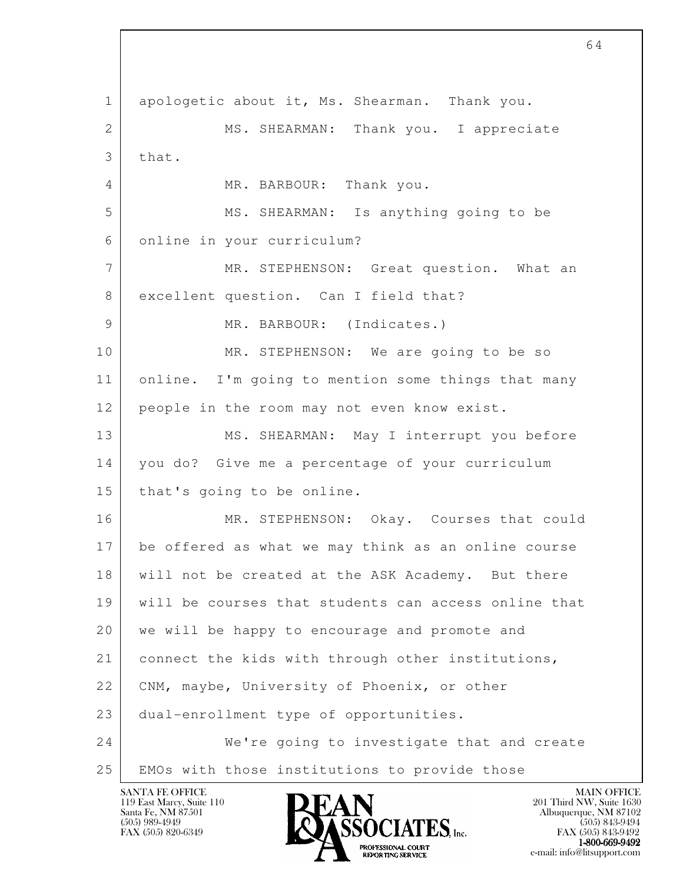l 1 apologetic about it, Ms. Shearman. Thank you. 2 MS. SHEARMAN: Thank you. I appreciate  $3$  that. 4 MR. BARBOUR: Thank you. 5 MS. SHEARMAN: Is anything going to be 6 online in your curriculum? 7 MR. STEPHENSON: Great question. What an 8 excellent question. Can I field that? 9 MR. BARBOUR: (Indicates.) 10 MR. STEPHENSON: We are going to be so 11 online. I'm going to mention some things that many 12 people in the room may not even know exist. 13 | MS. SHEARMAN: May I interrupt you before 14 you do? Give me a percentage of your curriculum 15 that's going to be online. 16 MR. STEPHENSON: Okay. Courses that could 17 be offered as what we may think as an online course 18 | will not be created at the ASK Academy. But there 19 will be courses that students can access online that 20 we will be happy to encourage and promote and 21 connect the kids with through other institutions, 22 | CNM, maybe, University of Phoenix, or other 23 dual-enrollment type of opportunities. 24 We're going to investigate that and create 25 EMOs with those institutions to provide those

119 East Marcy, Suite 110<br>Santa Fe, NM 87501

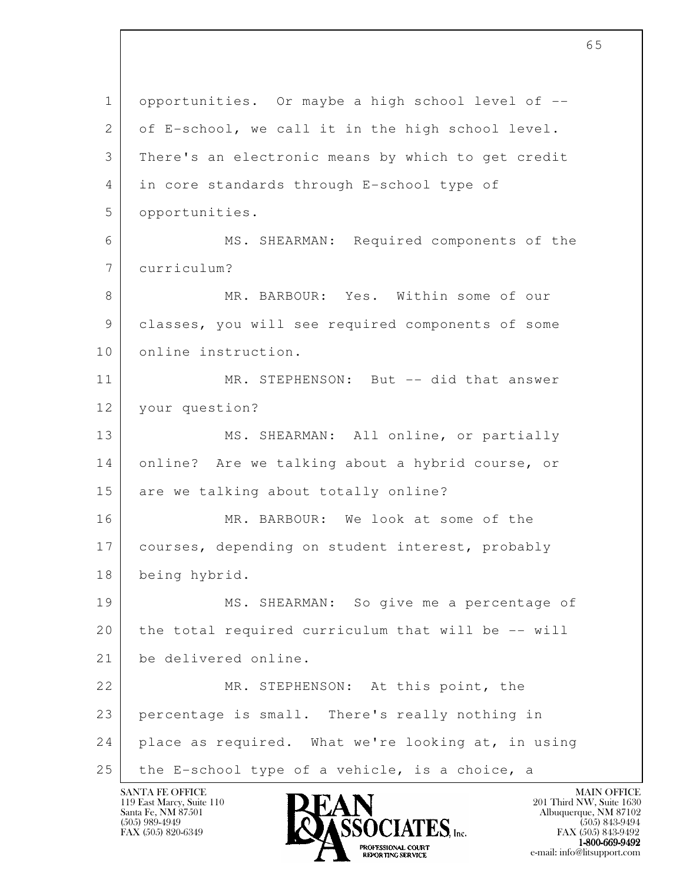l 1 opportunities. Or maybe a high school level of -- 2 of E-school, we call it in the high school level. 3 There's an electronic means by which to get credit 4 in core standards through E-school type of 5 opportunities. 6 MS. SHEARMAN: Required components of the 7 curriculum? 8 MR. BARBOUR: Yes. Within some of our 9 classes, you will see required components of some 10 online instruction. 11 MR. STEPHENSON: But -- did that answer 12 your question? 13 MS. SHEARMAN: All online, or partially 14 online? Are we talking about a hybrid course, or 15 are we talking about totally online? 16 MR. BARBOUR: We look at some of the 17 courses, depending on student interest, probably 18 being hybrid. 19 MS. SHEARMAN: So give me a percentage of 20 the total required curriculum that will be -- will 21 be delivered online. 22 MR. STEPHENSON: At this point, the 23 percentage is small. There's really nothing in 24 place as required. What we're looking at, in using 25 the E-school type of a vehicle, is a choice, a

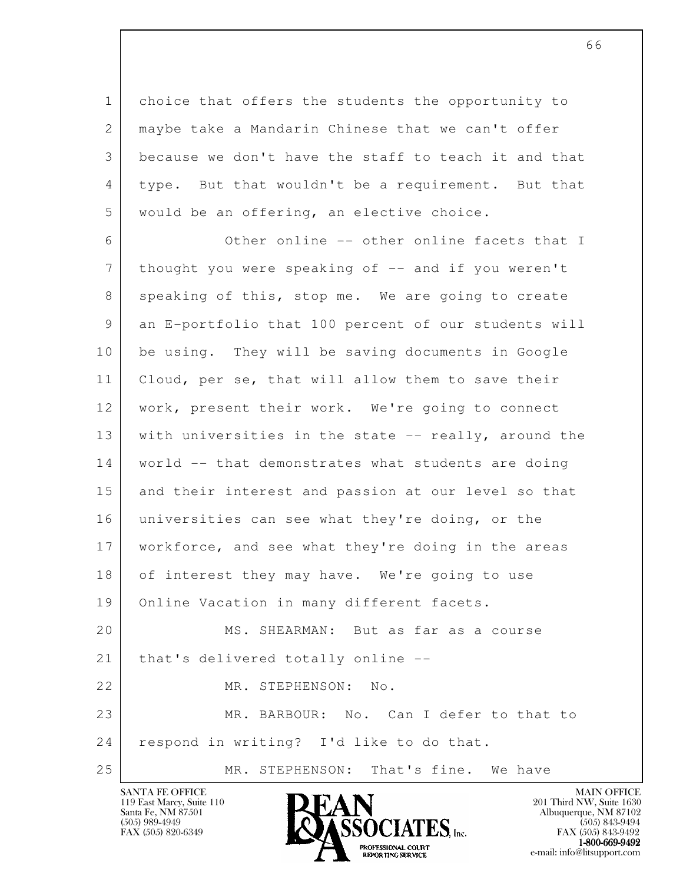1 choice that offers the students the opportunity to 2 | maybe take a Mandarin Chinese that we can't offer 3 because we don't have the staff to teach it and that 4 type. But that wouldn't be a requirement. But that 5 | would be an offering, an elective choice.

l 6 Other online -- other online facets that I 7 thought you were speaking of -- and if you weren't 8 speaking of this, stop me. We are going to create 9 an E-portfolio that 100 percent of our students will 10 be using. They will be saving documents in Google 11 Cloud, per se, that will allow them to save their 12 | work, present their work. We're going to connect 13 with universities in the state -- really, around the 14 | world -- that demonstrates what students are doing 15 and their interest and passion at our level so that 16 universities can see what they're doing, or the 17 workforce, and see what they're doing in the areas 18 of interest they may have. We're going to use 19 Online Vacation in many different facets. 20 MS. SHEARMAN: But as far as a course 21 | that's delivered totally online --22 MR. STEPHENSON: No. 23 MR. BARBOUR: No. Can I defer to that to 24 respond in writing? I'd like to do that. 25 MR. STEPHENSON: That's fine. We have

119 East Marcy, Suite 110<br>Santa Fe, NM 87501



FAX (505) 843-9492  $1-800-669-9492$ <br>PROFESSIONAL COURT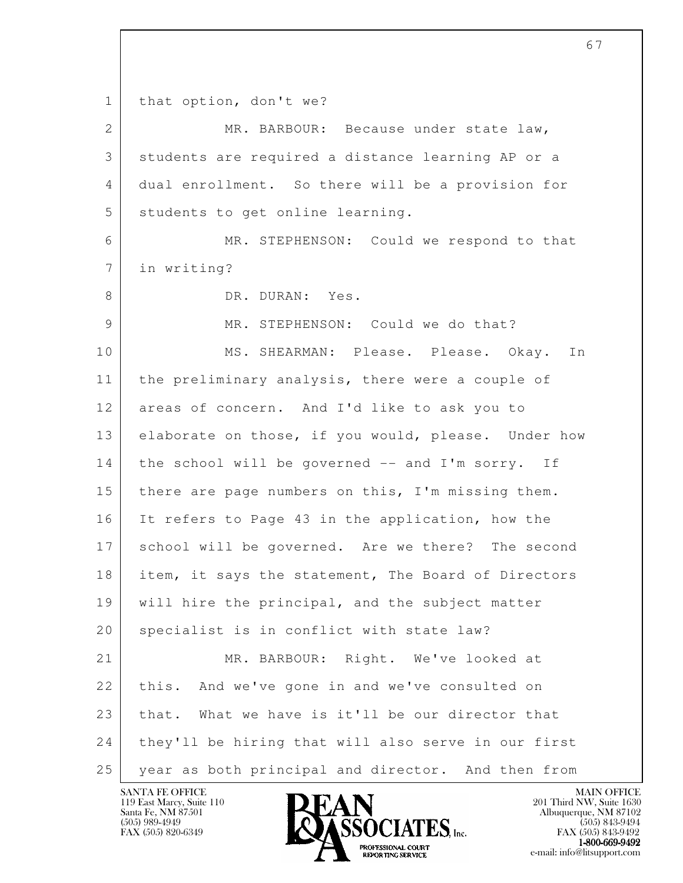l 1 | that option, don't we? 2 MR. BARBOUR: Because under state law, 3 students are required a distance learning AP or a 4 dual enrollment. So there will be a provision for 5 students to get online learning. 6 MR. STEPHENSON: Could we respond to that 7 in writing? 8 DR. DURAN: Yes. 9 MR. STEPHENSON: Could we do that? 10 MS. SHEARMAN: Please. Please. Okay. In 11 the preliminary analysis, there were a couple of 12 areas of concern. And I'd like to ask you to 13 elaborate on those, if you would, please. Under how 14 the school will be governed -- and I'm sorry. If 15 there are page numbers on this, I'm missing them. 16 It refers to Page 43 in the application, how the 17 school will be governed. Are we there? The second 18 | item, it says the statement, The Board of Directors 19 will hire the principal, and the subject matter 20 specialist is in conflict with state law? 21 MR. BARBOUR: Right. We've looked at 22 this. And we've gone in and we've consulted on 23 that. What we have is it'll be our director that 24 they'll be hiring that will also serve in our first 25 year as both principal and director. And then from

67

119 East Marcy, Suite 110<br>Santa Fe, NM 87501

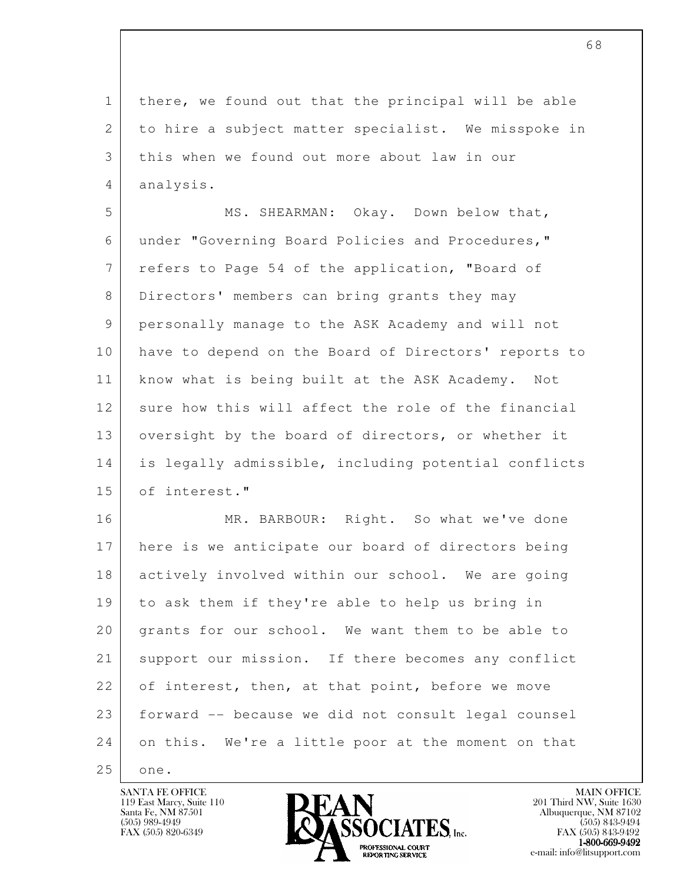1 there, we found out that the principal will be able 2 to hire a subject matter specialist. We misspoke in 3 this when we found out more about law in our 4 analysis.

5 MS. SHEARMAN: Okay. Down below that, 6 under "Governing Board Policies and Procedures," 7 refers to Page 54 of the application, "Board of 8 Directors' members can bring grants they may 9 personally manage to the ASK Academy and will not 10 have to depend on the Board of Directors' reports to 11 know what is being built at the ASK Academy. Not 12 sure how this will affect the role of the financial 13 oversight by the board of directors, or whether it 14 is legally admissible, including potential conflicts 15 of interest."

l 16 MR. BARBOUR: Right. So what we've done 17 here is we anticipate our board of directors being 18 actively involved within our school. We are going 19 to ask them if they're able to help us bring in 20 grants for our school. We want them to be able to 21 support our mission. If there becomes any conflict 22 of interest, then, at that point, before we move 23 forward -- because we did not consult legal counsel 24 on this. We're a little poor at the moment on that 25 one.

119 East Marcy, Suite 110<br>Santa Fe, NM 87501

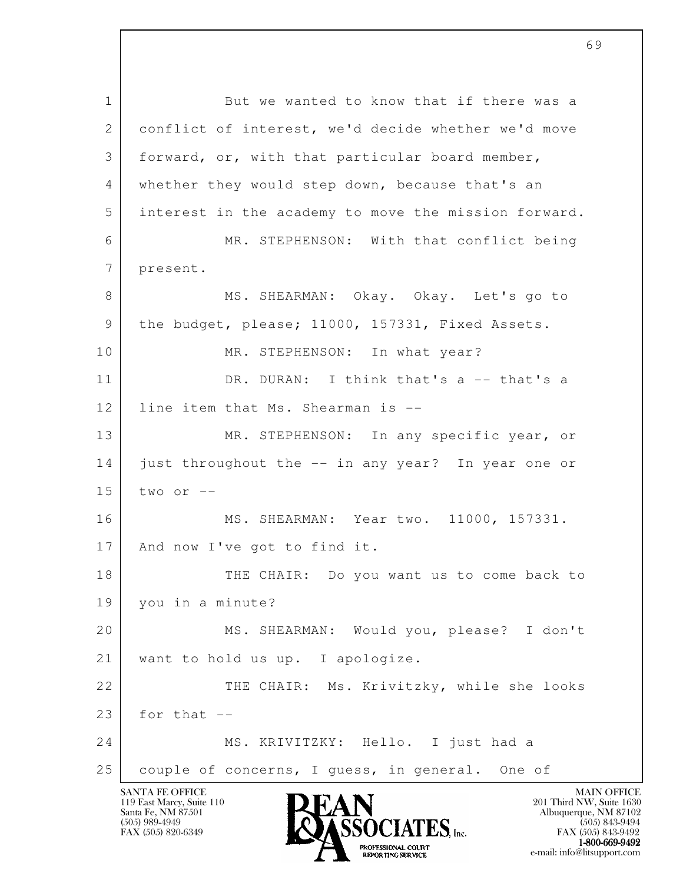l SANTA FE OFFICE MAIN OFFICE MAIN OFFICE MAIN OFFICE MAIN OFFICE 119 East Marcy, Suite 110<br>Santa Fe, NM 87501 1 But we wanted to know that if there was a 2 conflict of interest, we'd decide whether we'd move 3 forward, or, with that particular board member, 4 whether they would step down, because that's an 5 interest in the academy to move the mission forward. 6 MR. STEPHENSON: With that conflict being 7 present. 8 MS. SHEARMAN: Okay. Okay. Let's go to 9 | the budget, please; 11000, 157331, Fixed Assets. 10 MR. STEPHENSON: In what year? 11 DR. DURAN: I think that's a -- that's a 12 line item that Ms. Shearman is --13 MR. STEPHENSON: In any specific year, or 14 just throughout the -- in any year? In year one or  $15$  two or  $-$  16 MS. SHEARMAN: Year two. 11000, 157331. 17 | And now I've got to find it. 18 THE CHAIR: Do you want us to come back to 19 you in a minute? 20 MS. SHEARMAN: Would you, please? I don't 21 | want to hold us up. I apologize. 22 THE CHAIR: Ms. Krivitzky, while she looks  $23$  for that  $-$ 24 MS. KRIVITZKY: Hello. I just had a 25 | couple of concerns, I guess, in general. One of



 $FAX (505) 843-9492$ <br>1-800-669-9492 **EXOFTSSIONAL COURT<br>
REPORTING SERVICE** e-mail: info@litsupport.com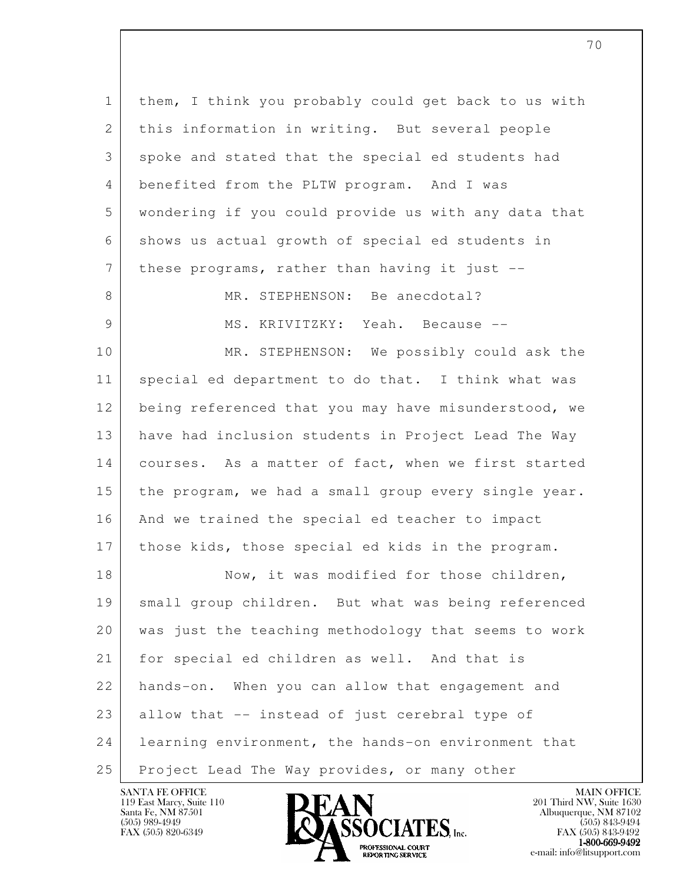| $\mathbf{1}$ | them, I think you probably could get back to us with |
|--------------|------------------------------------------------------|
| 2            | this information in writing. But several people      |
| 3            | spoke and stated that the special ed students had    |
| 4            | benefited from the PLTW program. And I was           |
| 5            | wondering if you could provide us with any data that |
| 6            | shows us actual growth of special ed students in     |
| 7            | these programs, rather than having it just --        |
| 8            | MR. STEPHENSON: Be anecdotal?                        |
| 9            | MS. KRIVITZKY: Yeah. Because --                      |
| 10           | MR. STEPHENSON: We possibly could ask the            |
| 11           | special ed department to do that. I think what was   |
| 12           | being referenced that you may have misunderstood, we |
| 13           | have had inclusion students in Project Lead The Way  |
| 14           | courses. As a matter of fact, when we first started  |
| 15           | the program, we had a small group every single year. |
| 16           | And we trained the special ed teacher to impact      |
| 17           | those kids, those special ed kids in the program.    |
| 18           | Now, it was modified for those children,             |
| 19           | small group children. But what was being referenced  |
| 20           | was just the teaching methodology that seems to work |
| 21           | for special ed children as well. And that is         |
| 22           | hands-on. When you can allow that engagement and     |
| 23           | allow that -- instead of just cerebral type of       |
| 24           | learning environment, the hands-on environment that  |
| 25           | Project Lead The Way provides, or many other         |

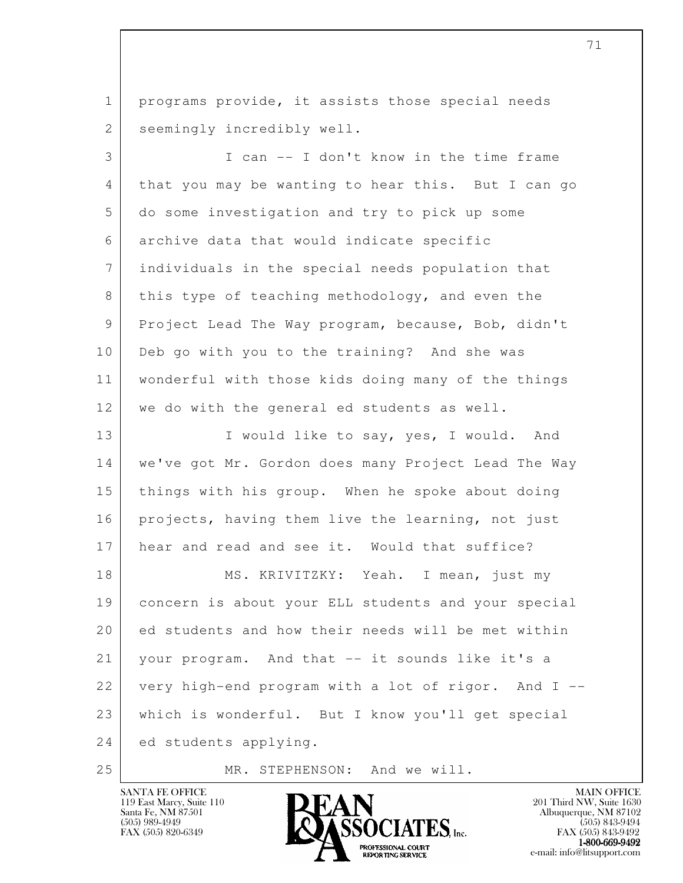l 1 programs provide, it assists those special needs 2 seemingly incredibly well. 3 I can -- I don't know in the time frame 4 that you may be wanting to hear this. But I can go 5 do some investigation and try to pick up some 6 archive data that would indicate specific 7 individuals in the special needs population that 8 this type of teaching methodology, and even the 9 Project Lead The Way program, because, Bob, didn't 10 Deb go with you to the training? And she was 11 wonderful with those kids doing many of the things 12 we do with the general ed students as well. 13 I would like to say, yes, I would. And 14 | we've got Mr. Gordon does many Project Lead The Way 15 things with his group. When he spoke about doing 16 projects, having them live the learning, not just 17 hear and read and see it. Would that suffice? 18 MS. KRIVITZKY: Yeah. I mean, just my 19 concern is about your ELL students and your special 20 ed students and how their needs will be met within 21 your program. And that -- it sounds like it's a 22 very high-end program with a lot of rigor. And I -- 23 which is wonderful. But I know you'll get special 24 ed students applying.

25 MR. STEPHENSON: And we will.

119 East Marcy, Suite 110<br>Santa Fe, NM 87501



FAX (505) 843-9492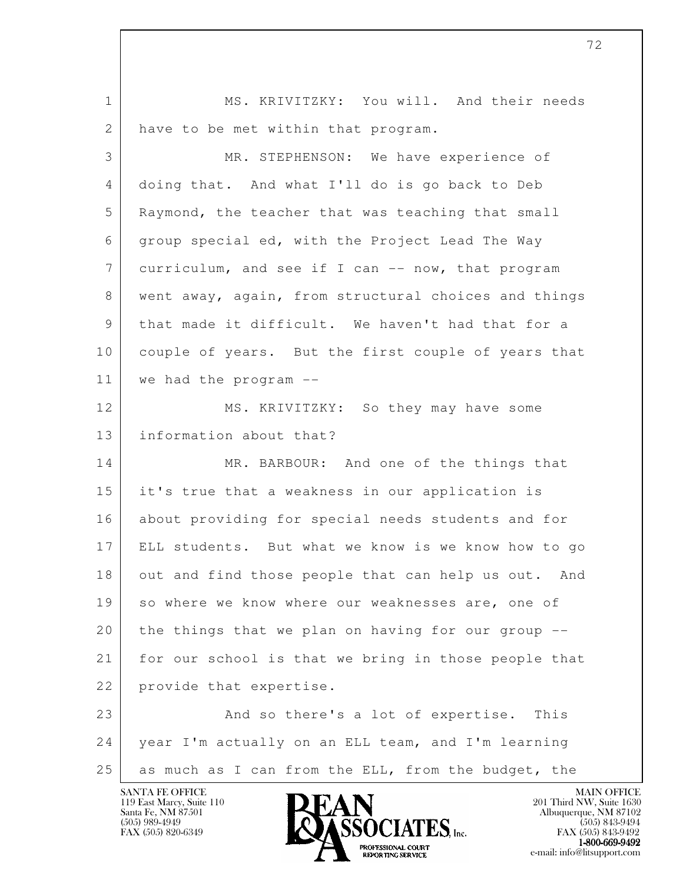l 1 MS. KRIVITZKY: You will. And their needs 2 have to be met within that program. 3 MR. STEPHENSON: We have experience of 4 doing that. And what I'll do is go back to Deb 5 Raymond, the teacher that was teaching that small 6 group special ed, with the Project Lead The Way 7 curriculum, and see if I can -- now, that program 8 went away, again, from structural choices and things 9 that made it difficult. We haven't had that for a 10 couple of years. But the first couple of years that 11 we had the program -- 12 MS. KRIVITZKY: So they may have some 13 information about that? 14 MR. BARBOUR: And one of the things that 15 it's true that a weakness in our application is 16 about providing for special needs students and for 17 ELL students. But what we know is we know how to go 18 out and find those people that can help us out. And 19 so where we know where our weaknesses are, one of 20 the things that we plan on having for our group -- 21 for our school is that we bring in those people that 22 provide that expertise. 23 And so there's a lot of expertise. This 24 year I'm actually on an ELL team, and I'm learning 25 as much as I can from the ELL, from the budget, the

119 East Marcy, Suite 110<br>Santa Fe, NM 87501

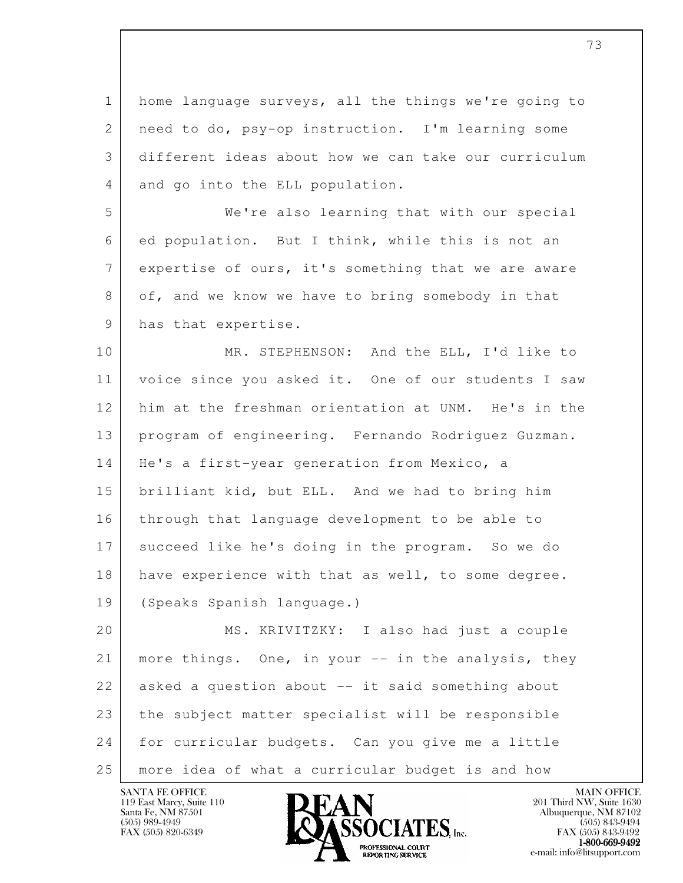1 home language surveys, all the things we're going to 2 | need to do, psy-op instruction. I'm learning some 3 different ideas about how we can take our curriculum 4 and go into the ELL population.

 5 We're also learning that with our special 6 ed population. But I think, while this is not an 7 expertise of ours, it's something that we are aware 8 of, and we know we have to bring somebody in that 9 has that expertise.

10 MR. STEPHENSON: And the ELL, I'd like to 11 voice since you asked it. One of our students I saw 12 him at the freshman orientation at UNM. He's in the 13 program of engineering. Fernando Rodriguez Guzman. 14 | He's a first-year generation from Mexico, a 15 brilliant kid, but ELL. And we had to bring him 16 through that language development to be able to 17 succeed like he's doing in the program. So we do 18 have experience with that as well, to some degree. 19 (Speaks Spanish language.)

l 20 MS. KRIVITZKY: I also had just a couple 21 | more things. One, in your -- in the analysis, they 22 asked a question about -- it said something about 23 the subject matter specialist will be responsible 24 for curricular budgets. Can you give me a little 25 more idea of what a curricular budget is and how

119 East Marcy, Suite 110<br>Santa Fe, NM 87501



FAX (505) 843-9492  $1-800-669-9492$ <br>PROFESSIONAL COURT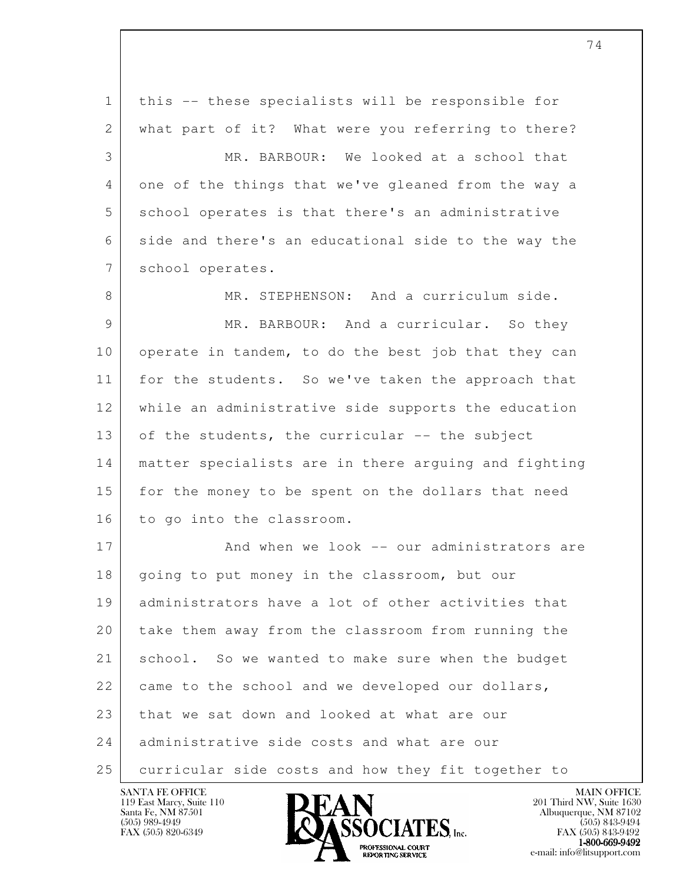l 1 this -- these specialists will be responsible for 2 | what part of it? What were you referring to there? 3 MR. BARBOUR: We looked at a school that 4 one of the things that we've gleaned from the way a 5 | school operates is that there's an administrative 6 side and there's an educational side to the way the 7 school operates. 8 MR. STEPHENSON: And a curriculum side. 9 MR. BARBOUR: And a curricular. So they 10 operate in tandem, to do the best job that they can 11 for the students. So we've taken the approach that 12 while an administrative side supports the education 13 of the students, the curricular -- the subject 14 matter specialists are in there arguing and fighting 15 for the money to be spent on the dollars that need 16 to go into the classroom. 17 And when we look -- our administrators are 18 | going to put money in the classroom, but our 19 administrators have a lot of other activities that 20 take them away from the classroom from running the 21 school. So we wanted to make sure when the budget 22 came to the school and we developed our dollars, 23 that we sat down and looked at what are our 24 administrative side costs and what are our 25 curricular side costs and how they fit together to

74

119 East Marcy, Suite 110<br>Santa Fe, NM 87501



FAX (505) 843-9492  $1-800-669-9492$ <br>PROFESSIONAL COURT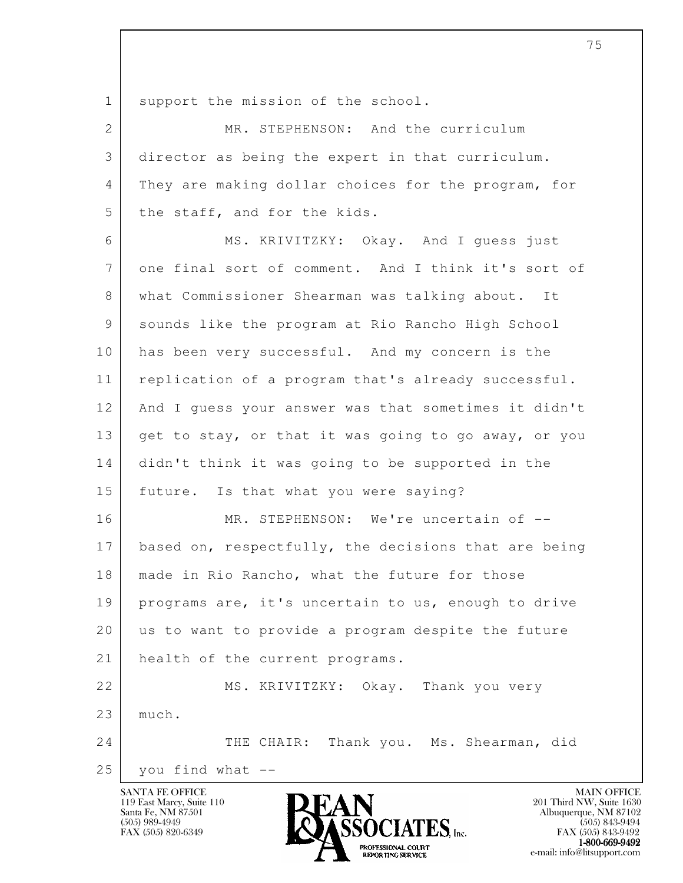1 support the mission of the school.

| 2  | MR. STEPHENSON: And the curriculum                   |
|----|------------------------------------------------------|
| 3  | director as being the expert in that curriculum.     |
| 4  | They are making dollar choices for the program, for  |
| 5  | the staff, and for the kids.                         |
| 6  | MS. KRIVITZKY: Okay. And I quess just                |
| 7  | one final sort of comment. And I think it's sort of  |
| 8  | what Commissioner Shearman was talking about. It     |
| 9  | sounds like the program at Rio Rancho High School    |
| 10 | has been very successful. And my concern is the      |
| 11 | replication of a program that's already successful.  |
| 12 | And I quess your answer was that sometimes it didn't |
| 13 | get to stay, or that it was going to go away, or you |
| 14 | didn't think it was going to be supported in the     |
| 15 | future. Is that what you were saying?                |
| 16 | MR. STEPHENSON: We're uncertain of --                |
| 17 | based on, respectfully, the decisions that are being |
| 18 | made in Rio Rancho, what the future for those        |
| 19 | programs are, it's uncertain to us, enough to drive  |
| 20 | us to want to provide a program despite the future   |
| 21 | health of the current programs.                      |
| 22 | MS. KRIVITZKY: Okay. Thank you very                  |
| 23 | much.                                                |
| 24 | THE CHAIR: Thank you. Ms. Shearman, did              |
| 25 | you find what --                                     |

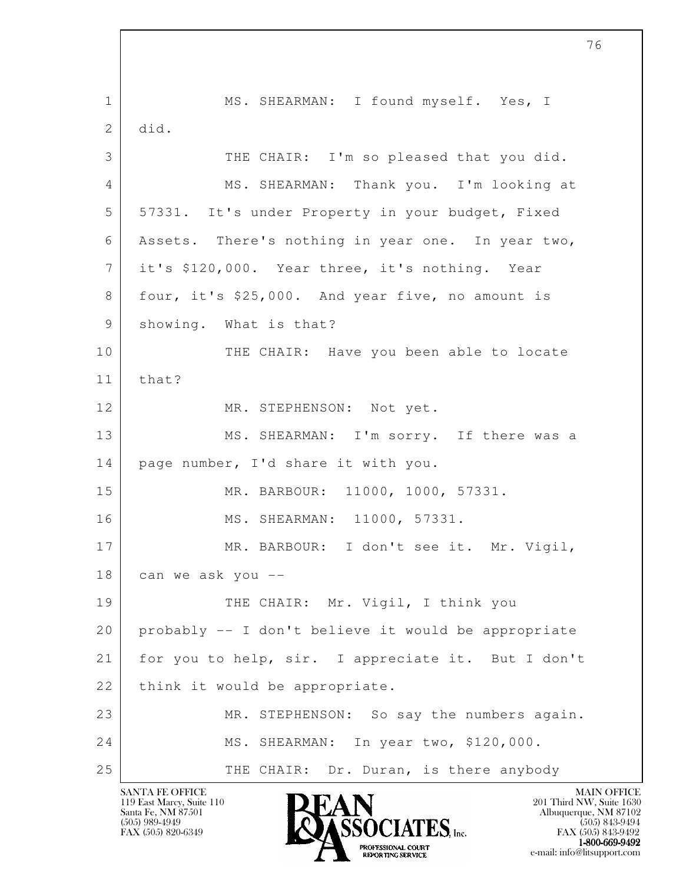l 1 MS. SHEARMAN: I found myself. Yes, I 2 did. 3 THE CHAIR: I'm so pleased that you did. 4 MS. SHEARMAN: Thank you. I'm looking at 5 57331. It's under Property in your budget, Fixed 6 Assets. There's nothing in year one. In year two, 7 it's \$120,000. Year three, it's nothing. Year 8 four, it's \$25,000. And year five, no amount is 9 showing. What is that? 10 THE CHAIR: Have you been able to locate 11 that? 12 MR. STEPHENSON: Not yet. 13 MS. SHEARMAN: I'm sorry. If there was a 14 | page number, I'd share it with you. 15 MR. BARBOUR: 11000, 1000, 57331. 16 MS. SHEARMAN: 11000, 57331. 17 MR. BARBOUR: I don't see it. Mr. Vigil, 18 can we ask you -- 19 THE CHAIR: Mr. Vigil, I think you 20 probably -- I don't believe it would be appropriate 21 | for you to help, sir. I appreciate it. But I don't 22 | think it would be appropriate. 23 MR. STEPHENSON: So say the numbers again. 24 MS. SHEARMAN: In year two, \$120,000. 25 THE CHAIR: Dr. Duran, is there anybody

119 East Marcy, Suite 110<br>Santa Fe, NM 87501

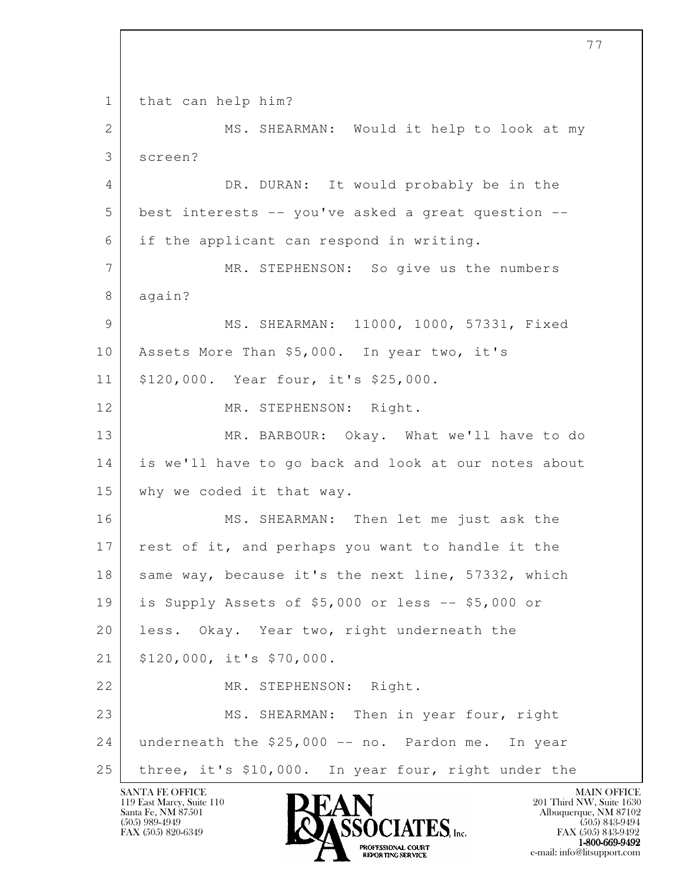l 1 | that can help him? 2 MS. SHEARMAN: Would it help to look at my 3 screen? 4 DR. DURAN: It would probably be in the 5 best interests -- you've asked a great question -- 6 if the applicant can respond in writing. 7 MR. STEPHENSON: So give us the numbers 8 again? 9 MS. SHEARMAN: 11000, 1000, 57331, Fixed 10 Assets More Than \$5,000. In year two, it's 11 \$120,000. Year four, it's \$25,000. 12 MR. STEPHENSON: Right. 13 MR. BARBOUR: Okay. What we'll have to do 14 is we'll have to go back and look at our notes about 15 why we coded it that way. 16 MS. SHEARMAN: Then let me just ask the 17 rest of it, and perhaps you want to handle it the 18 same way, because it's the next line, 57332, which 19 is Supply Assets of \$5,000 or less -- \$5,000 or 20 less. Okay. Year two, right underneath the 21 \$120,000, it's \$70,000. 22 MR. STEPHENSON: Right. 23 MS. SHEARMAN: Then in year four, right 24 underneath the \$25,000 -- no. Pardon me. In year 25 three, it's \$10,000. In year four, right under the

119 East Marcy, Suite 110<br>Santa Fe, NM 87501

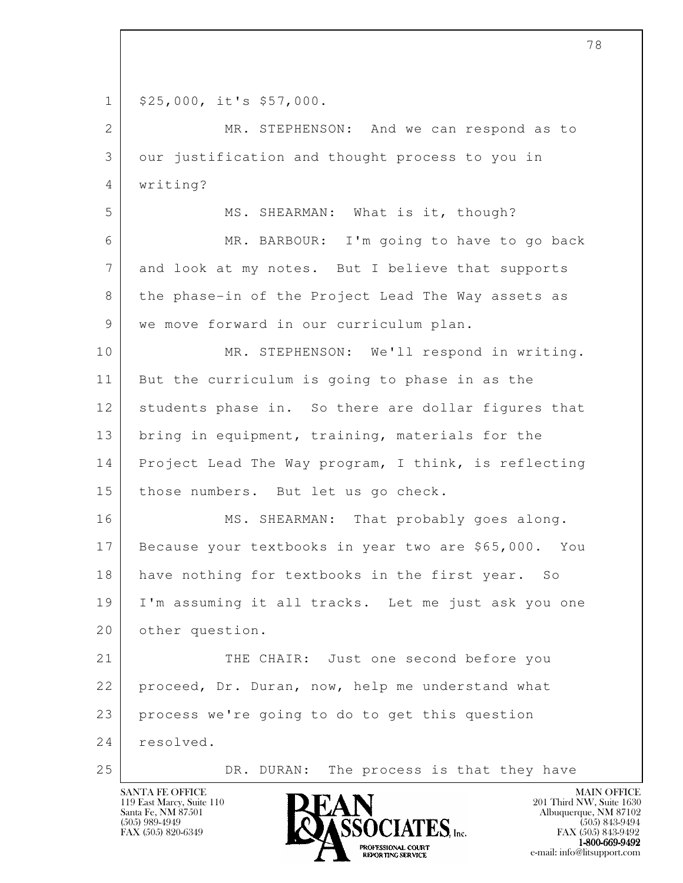1 | \$25,000, it's \$57,000.

2 MR. STEPHENSON: And we can respond as to 3 our justification and thought process to you in 4 writing?

5 MS. SHEARMAN: What is it, though? 6 MR. BARBOUR: I'm going to have to go back 7 and look at my notes. But I believe that supports 8 the phase-in of the Project Lead The Way assets as 9 | we move forward in our curriculum plan.

10 MR. STEPHENSON: We'll respond in writing. 11 But the curriculum is going to phase in as the 12 students phase in. So there are dollar figures that 13 | bring in equipment, training, materials for the 14 Project Lead The Way program, I think, is reflecting 15 | those numbers. But let us go check.

16 MS. SHEARMAN: That probably goes along. 17 Because your textbooks in year two are \$65,000. You 18 have nothing for textbooks in the first year. So 19 I'm assuming it all tracks. Let me just ask you one 20 other question.

l 21 THE CHAIR: Just one second before you 22 proceed, Dr. Duran, now, help me understand what 23 process we're going to do to get this question 24 resolved.

25 DR. DURAN: The process is that they have



FAX (505) 843-9492  $1-800-669-9492$ <br>PROFESSIONAL COURT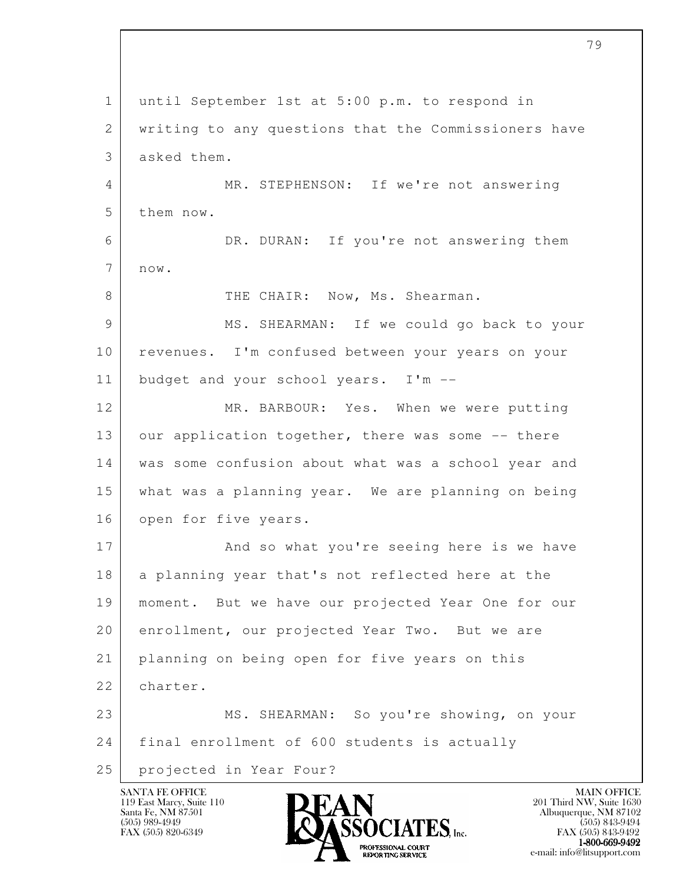l 1 until September 1st at 5:00 p.m. to respond in 2 writing to any questions that the Commissioners have 3 asked them. 4 MR. STEPHENSON: If we're not answering 5 them now. 6 DR. DURAN: If you're not answering them 7 now. 8 THE CHAIR: Now, Ms. Shearman. 9 MS. SHEARMAN: If we could go back to your 10 | revenues. I'm confused between your years on your 11 budget and your school years. I'm -- 12 MR. BARBOUR: Yes. When we were putting 13 our application together, there was some -- there 14 was some confusion about what was a school year and 15 what was a planning year. We are planning on being 16 open for five years. 17 And so what you're seeing here is we have 18 a planning year that's not reflected here at the 19 moment. But we have our projected Year One for our 20 enrollment, our projected Year Two. But we are 21 planning on being open for five years on this 22 charter. 23 MS. SHEARMAN: So you're showing, on your 24 final enrollment of 600 students is actually 25 projected in Year Four?

119 East Marcy, Suite 110<br>Santa Fe, NM 87501

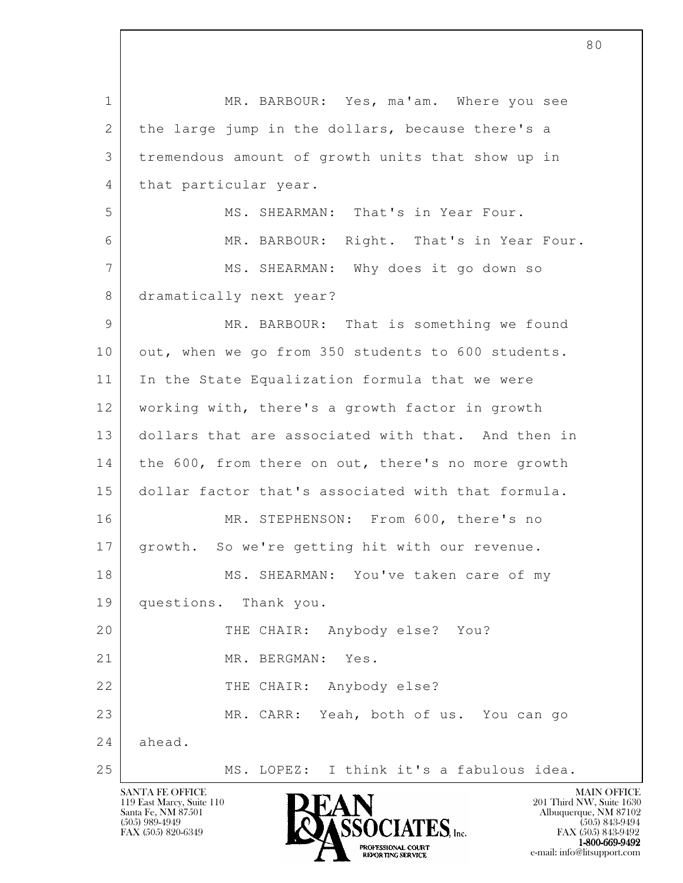l 1 MR. BARBOUR: Yes, ma'am. Where you see 2 the large jump in the dollars, because there's a 3 tremendous amount of growth units that show up in 4 | that particular year. 5 MS. SHEARMAN: That's in Year Four. 6 MR. BARBOUR: Right. That's in Year Four. 7 MS. SHEARMAN: Why does it go down so 8 dramatically next year? 9 MR. BARBOUR: That is something we found 10 out, when we go from 350 students to 600 students. 11 In the State Equalization formula that we were 12 working with, there's a growth factor in growth 13 dollars that are associated with that. And then in 14 the 600, from there on out, there's no more growth 15 dollar factor that's associated with that formula. 16 MR. STEPHENSON: From 600, there's no 17 | growth. So we're getting hit with our revenue. 18 | MS. SHEARMAN: You've taken care of my 19 questions. Thank you. 20 THE CHAIR: Anybody else? You? 21 MR. BERGMAN: Yes. 22 THE CHAIR: Anybody else? 23 MR. CARR: Yeah, both of us. You can go 24 ahead. 25 MS. LOPEZ: I think it's a fabulous idea.

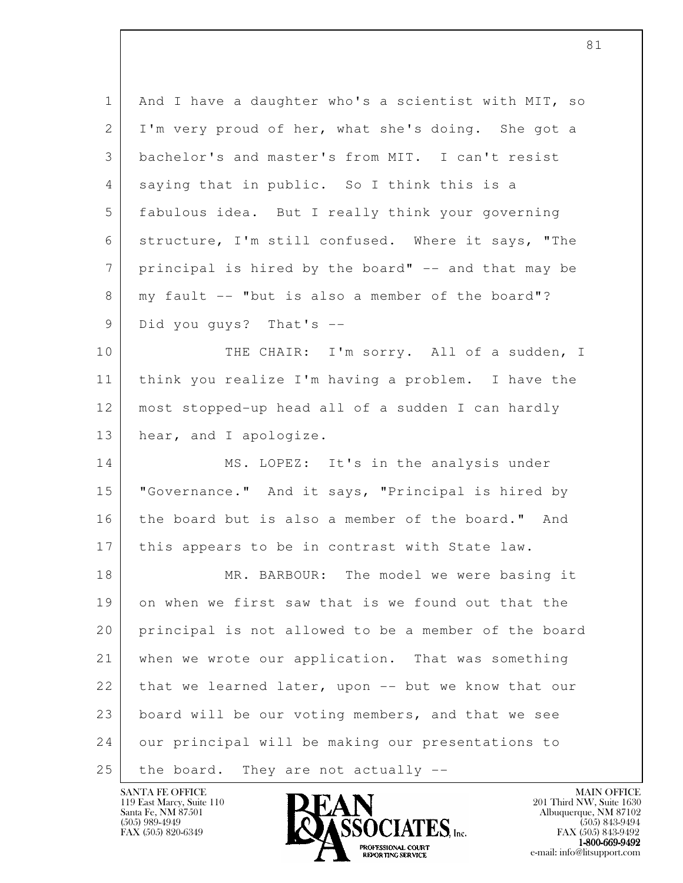l 1 | And I have a daughter who's a scientist with MIT, so 2 I'm very proud of her, what she's doing. She got a 3 bachelor's and master's from MIT. I can't resist 4 saying that in public. So I think this is a 5 fabulous idea. But I really think your governing 6 structure, I'm still confused. Where it says, "The 7 | principal is hired by the board" -- and that may be 8 | my fault -- "but is also a member of the board"? 9 Did you guys? That's --10 THE CHAIR: I'm sorry. All of a sudden, I 11 think you realize I'm having a problem. I have the 12 most stopped-up head all of a sudden I can hardly 13 hear, and I apologize. 14 MS. LOPEZ: It's in the analysis under 15 "Governance." And it says, "Principal is hired by 16 the board but is also a member of the board." And 17 | this appears to be in contrast with State law. 18 MR. BARBOUR: The model we were basing it 19 on when we first saw that is we found out that the 20 principal is not allowed to be a member of the board 21 | when we wrote our application. That was something 22 that we learned later, upon  $-$  but we know that our 23 board will be our voting members, and that we see 24 our principal will be making our presentations to  $25$  the board. They are not actually  $-$ 

119 East Marcy, Suite 110<br>Santa Fe, NM 87501



FAX (505) 843-9492  $1-800-669-9492$ <br>PROFESSIONAL COURT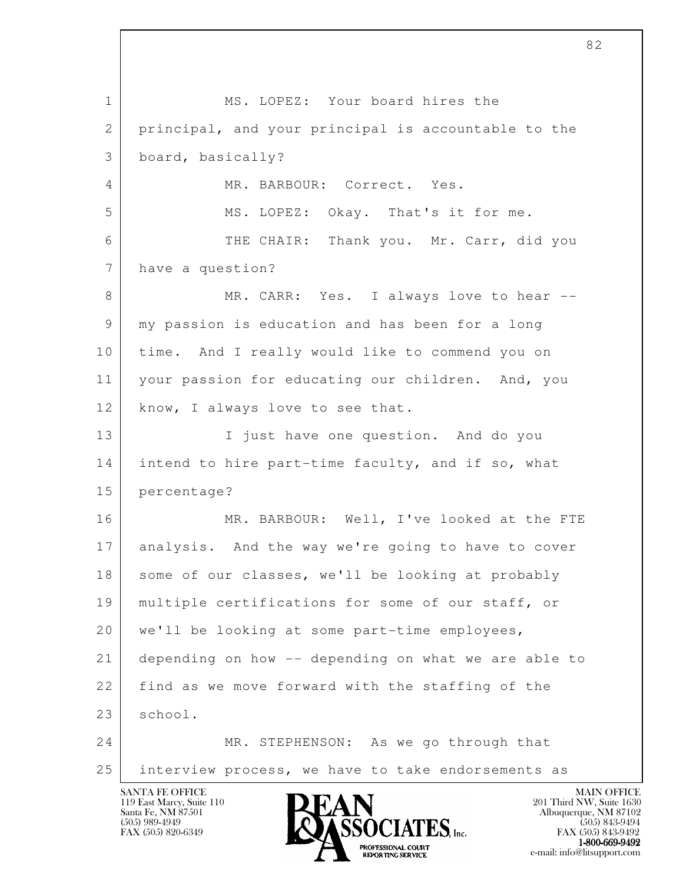l SANTA FE OFFICE MAIN OFFICE MAIN OFFICE MAIN OFFICE MAIN OFFICE 1 MS. LOPEZ: Your board hires the 2 principal, and your principal is accountable to the 3 board, basically? 4 MR. BARBOUR: Correct. Yes. 5 MS. LOPEZ: Okay. That's it for me. 6 THE CHAIR: Thank you. Mr. Carr, did you 7 have a question? 8 MR. CARR: Yes. I always love to hear -- 9 my passion is education and has been for a long 10 time. And I really would like to commend you on 11 your passion for educating our children. And, you 12 | know, I always love to see that. 13 I just have one question. And do you 14 intend to hire part-time faculty, and if so, what 15 percentage? 16 MR. BARBOUR: Well, I've looked at the FTE 17 analysis. And the way we're going to have to cover 18 some of our classes, we'll be looking at probably 19 multiple certifications for some of our staff, or 20 we'll be looking at some part-time employees, 21 depending on how -- depending on what we are able to 22 find as we move forward with the staffing of the 23 school. 24 MR. STEPHENSON: As we go through that 25 interview process, we have to take endorsements as

119 East Marcy, Suite 110<br>Santa Fe, NM 87501



FAX (505) 843-9492  $1-800-669-9492$ <br>PROFESSIONAL COURT **EXPORTING SERVICE** EXPLORER THE REPORTING SERVICE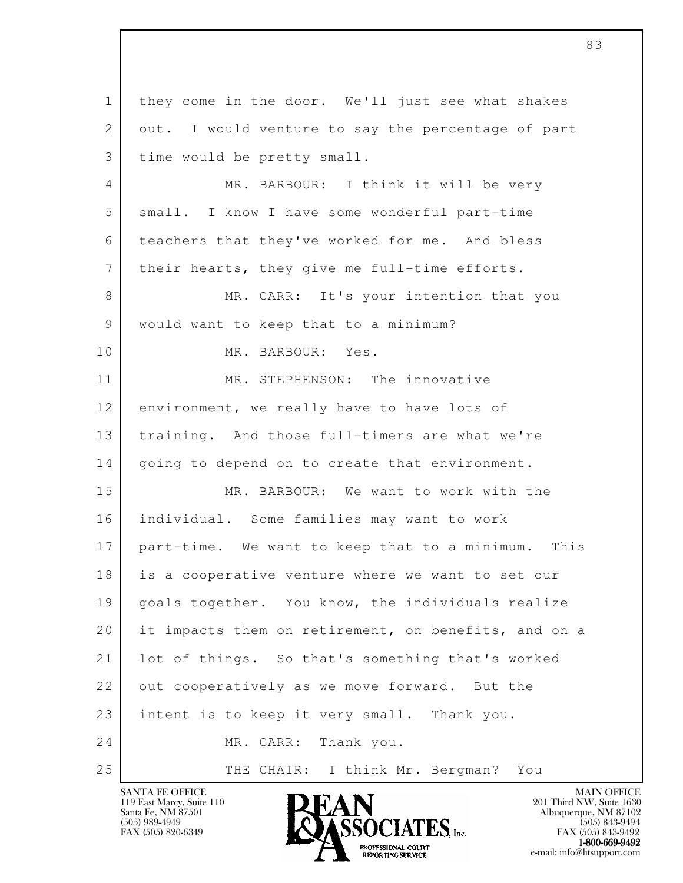l 1 they come in the door. We'll just see what shakes 2 out. I would venture to say the percentage of part 3 time would be pretty small. 4 MR. BARBOUR: I think it will be very 5 small. I know I have some wonderful part-time 6 teachers that they've worked for me. And bless 7 | their hearts, they give me full-time efforts. 8 MR. CARR: It's your intention that you 9 | would want to keep that to a minimum? 10 MR. BARBOUR: Yes. 11 MR. STEPHENSON: The innovative 12 environment, we really have to have lots of 13 | training. And those full-timers are what we're 14 | going to depend on to create that environment. 15 MR. BARBOUR: We want to work with the 16 individual. Some families may want to work 17 part-time. We want to keep that to a minimum. This 18 is a cooperative venture where we want to set our 19 | goals together. You know, the individuals realize 20 it impacts them on retirement, on benefits, and on a 21 lot of things. So that's something that's worked 22 out cooperatively as we move forward. But the 23 intent is to keep it very small. Thank you. 24 MR. CARR: Thank you. 25 THE CHAIR: I think Mr. Bergman? You

119 East Marcy, Suite 110<br>Santa Fe, NM 87501



FAX (505) 843-9492  $1-800-669-9492$ <br>PROFESSIONAL COURT **EXPORTING SERVICE** EXPLORER THE REPORTING SERVICE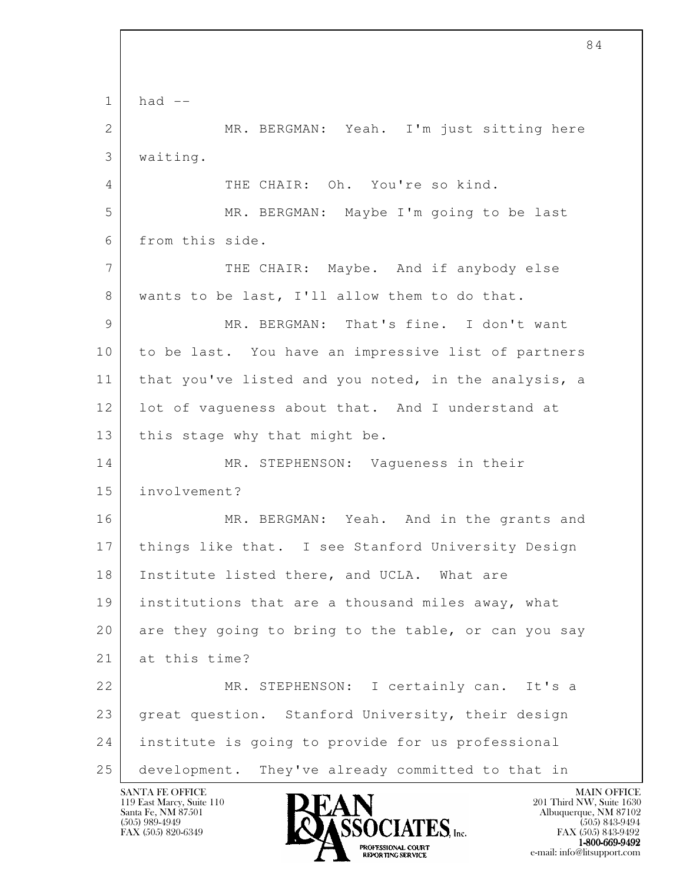l  $1$  had  $-$ 2 MR. BERGMAN: Yeah. I'm just sitting here 3 waiting. 4 THE CHAIR: Oh. You're so kind. 5 MR. BERGMAN: Maybe I'm going to be last 6 from this side. 7 THE CHAIR: Maybe. And if anybody else 8 wants to be last, I'll allow them to do that. 9 MR. BERGMAN: That's fine. I don't want 10 to be last. You have an impressive list of partners 11 | that you've listed and you noted, in the analysis, a 12 lot of vaqueness about that. And I understand at 13 | this stage why that might be. 14 MR. STEPHENSON: Vagueness in their 15 involvement? 16 MR. BERGMAN: Yeah. And in the grants and 17 things like that. I see Stanford University Design 18 | Institute listed there, and UCLA. What are 19 institutions that are a thousand miles away, what 20 are they going to bring to the table, or can you say 21 at this time? 22 MR. STEPHENSON: I certainly can. It's a 23 great question. Stanford University, their design 24 institute is going to provide for us professional 25 development. They've already committed to that in

119 East Marcy, Suite 110<br>Santa Fe, NM 87501



FAX (505) 843-9492  $1-800-669-9492$ <br>PROFESSIONAL COURT **EXPORTING SERVICE** EXPLORER THE REPORTING SERVICE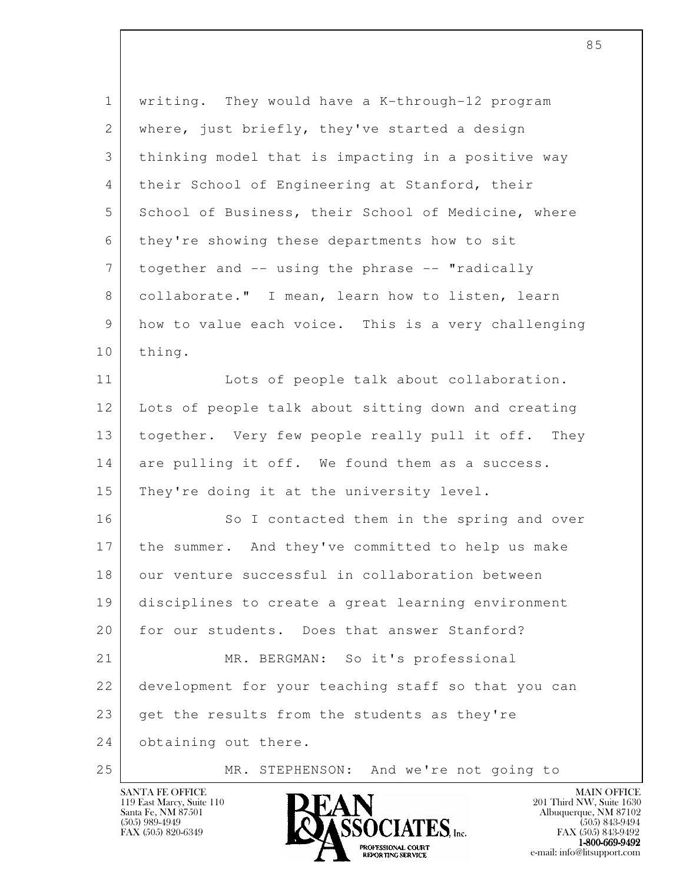| $\mathbf 1$     | writing. They would have a K-through-12 program     |
|-----------------|-----------------------------------------------------|
| $\mathbf{2}$    | where, just briefly, they've started a design       |
| 3               | thinking model that is impacting in a positive way  |
| 4               | their School of Engineering at Stanford, their      |
| 5               | School of Business, their School of Medicine, where |
| 6               | they're showing these departments how to sit        |
| $7\phantom{.0}$ | together and -- using the phrase -- "radically      |
| 8               | collaborate." I mean, learn how to listen, learn    |
| 9               | how to value each voice. This is a very challenging |
| 10              | thing.                                              |
| 11              | Lots of people talk about collaboration.            |
| 12              | Lots of people talk about sitting down and creating |
| 13              | together. Very few people really pull it off. They  |
| 14              | are pulling it off. We found them as a success.     |
| 15              | They're doing it at the university level.           |
| 16              | So I contacted them in the spring and over          |
| 17              | the summer. And they've committed to help us make   |
| 18              | our venture successful in collaboration between     |
| 19              | disciplines to create a great learning environment  |
| 20              | for our students. Does that answer Stanford?        |
| 21              | MR. BERGMAN: So it's professional                   |
| 22              | development for your teaching staff so that you can |
| 23              | get the results from the students as they're        |
| 24              | obtaining out there.                                |
| 25              | MR. STEPHENSON: And we're not going to              |



e-mail: info@litsupport.com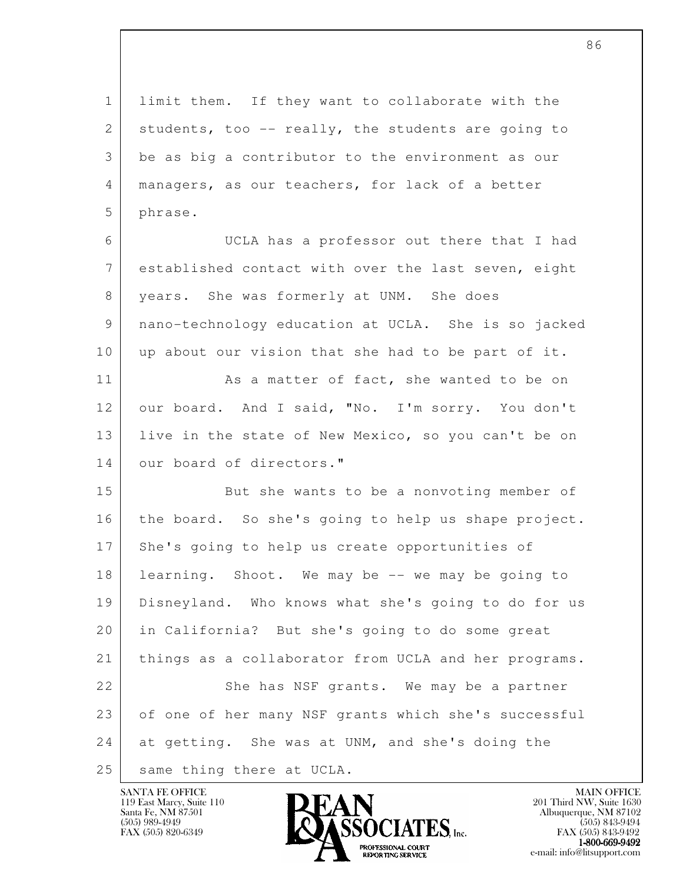l 1 limit them. If they want to collaborate with the 2 students, too  $-$  really, the students are going to 3 be as big a contributor to the environment as our 4 managers, as our teachers, for lack of a better 5 phrase. 6 UCLA has a professor out there that I had 7 established contact with over the last seven, eight 8 years. She was formerly at UNM. She does 9 nano-technology education at UCLA. She is so jacked 10 up about our vision that she had to be part of it. 11 As a matter of fact, she wanted to be on 12 our board. And I said, "No. I'm sorry. You don't 13 live in the state of New Mexico, so you can't be on 14 our board of directors." 15 But she wants to be a nonvoting member of 16 the board. So she's going to help us shape project. 17 She's going to help us create opportunities of 18 learning. Shoot. We may be -- we may be going to 19 Disneyland. Who knows what she's going to do for us 20 in California? But she's going to do some great 21 things as a collaborator from UCLA and her programs. 22 She has NSF grants. We may be a partner 23 of one of her many NSF grants which she's successful 24 at getting. She was at UNM, and she's doing the 25 | same thing there at UCLA.

119 East Marcy, Suite 110<br>Santa Fe, NM 87501



FAX (505) 843-9492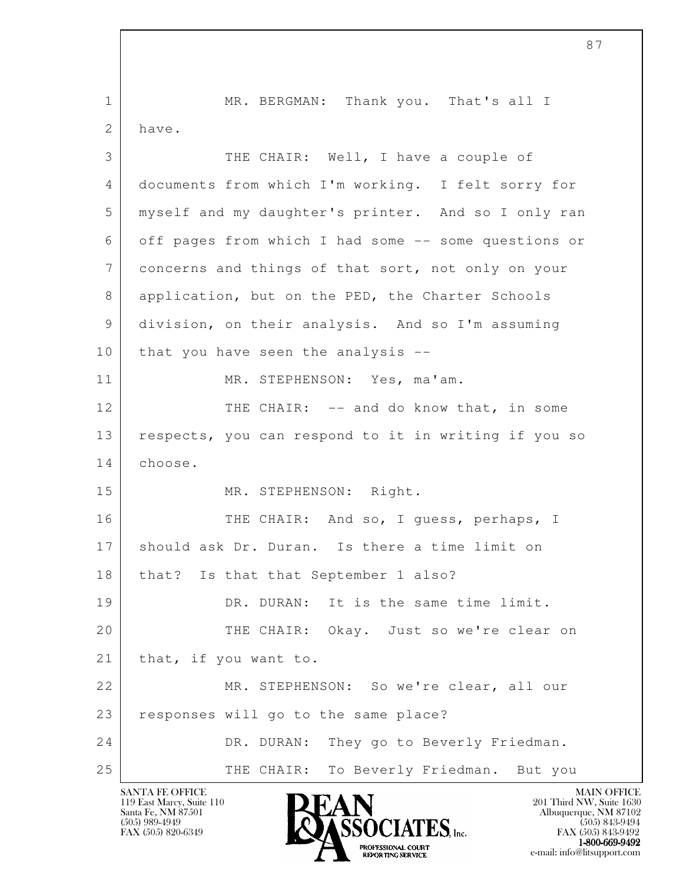l 1 MR. BERGMAN: Thank you. That's all I 2 have. 3 THE CHAIR: Well, I have a couple of 4 documents from which I'm working. I felt sorry for 5 myself and my daughter's printer. And so I only ran 6 off pages from which I had some -- some questions or 7 concerns and things of that sort, not only on your 8 application, but on the PED, the Charter Schools 9 division, on their analysis. And so I'm assuming 10 that you have seen the analysis --11 MR. STEPHENSON: Yes, ma'am. 12 THE CHAIR: -- and do know that, in some 13 respects, you can respond to it in writing if you so 14 choose. 15 MR. STEPHENSON: Right. 16 THE CHAIR: And so, I guess, perhaps, I 17 should ask Dr. Duran. Is there a time limit on 18 | that? Is that that September 1 also? 19 DR. DURAN: It is the same time limit. 20 THE CHAIR: Okay. Just so we're clear on 21 that, if you want to. 22 MR. STEPHENSON: So we're clear, all our 23 responses will go to the same place? 24 DR. DURAN: They go to Beverly Friedman. 25 | THE CHAIR: To Beverly Friedman. But you

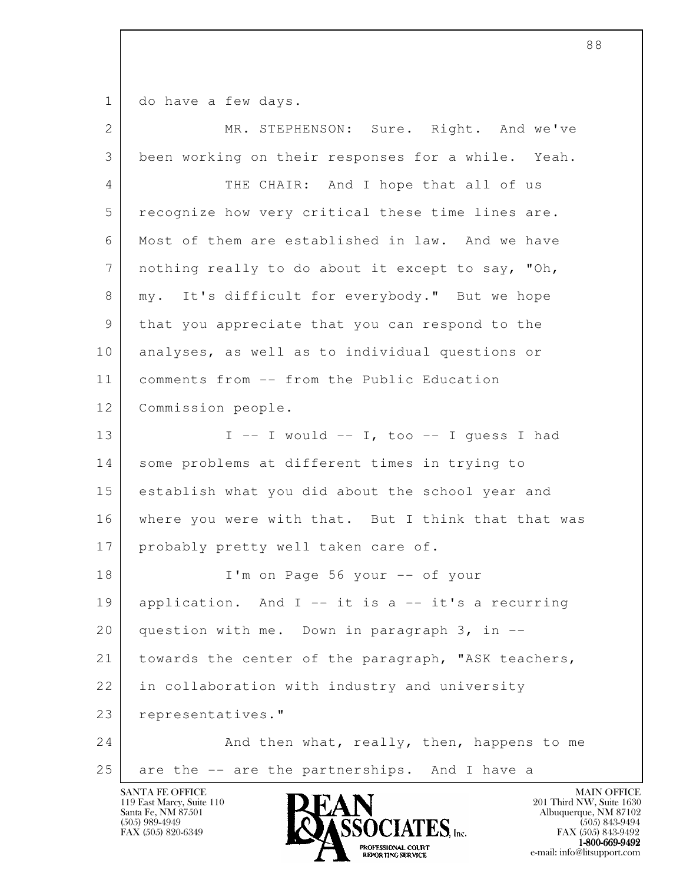1 do have a few days.

| $\overline{2}$ | MR. STEPHENSON: Sure. Right. And we've                            |
|----------------|-------------------------------------------------------------------|
| 3              | been working on their responses for a while. Yeah.                |
| 4              | THE CHAIR: And I hope that all of us                              |
| 5              | recognize how very critical these time lines are.                 |
| 6              | Most of them are established in law. And we have                  |
| 7              | nothing really to do about it except to say, "Oh,                 |
| 8              | It's difficult for everybody." But we hope<br>my.                 |
| 9              | that you appreciate that you can respond to the                   |
| 10             | analyses, as well as to individual questions or                   |
| 11             | comments from -- from the Public Education                        |
| 12             | Commission people.                                                |
| 13             | $I$ -- I would -- I, too -- I guess I had                         |
| 14             | some problems at different times in trying to                     |
| 15             | establish what you did about the school year and                  |
| 16             | where you were with that. But I think that that was               |
| 17             | probably pretty well taken care of.                               |
| 18             | I'm on Page 56 your -- of your                                    |
| 19             | application. And $I$ -- it is a -- it's a recurring               |
| 20             | question with me. Down in paragraph 3, in --                      |
| 21             | towards the center of the paragraph, "ASK teachers,               |
| 22             | in collaboration with industry and university                     |
| 23             | representatives."                                                 |
| 24             | And then what, really, then, happens to me                        |
| 25             | are the -- are the partnerships. And I have a                     |
|                | <b>SANTA FE OFFICE</b><br><b>MAIN OFFICE</b><br><b>IN IT A BT</b> |

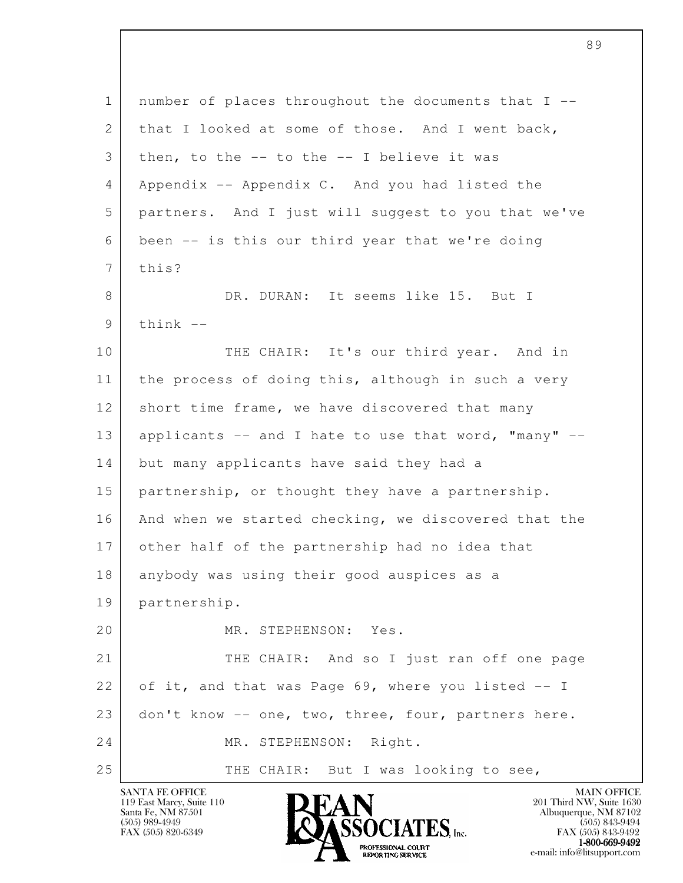| $\mathbf{1}$ | number of places throughout the documents that I --  |
|--------------|------------------------------------------------------|
| 2            | that I looked at some of those. And I went back,     |
| 3            | then, to the $--$ to the $--$ I believe it was       |
| 4            | Appendix -- Appendix C. And you had listed the       |
| 5            | partners. And I just will suggest to you that we've  |
| 6            | been -- is this our third year that we're doing      |
| 7            | this?                                                |
| 8            | DR. DURAN: It seems like 15. But I                   |
| 9            | $think$ --                                           |
| 10           | THE CHAIR: It's our third year. And in               |
| 11           | the process of doing this, although in such a very   |
| 12           | short time frame, we have discovered that many       |
| 13           | applicants -- and I hate to use that word, "many" -- |
| 14           | but many applicants have said they had a             |
| 15           | partnership, or thought they have a partnership.     |
| 16           | And when we started checking, we discovered that the |
| 17           | other half of the partnership had no idea that       |
| 18           | anybody was using their good auspices as a           |
| 19           | partnership.                                         |
| 20           | MR. STEPHENSON: Yes.                                 |
| 21           | THE CHAIR: And so I just ran off one page            |
| 22           | of it, and that was Page 69, where you listed -- I   |
| 23           | don't know -- one, two, three, four, partners here.  |
| 24           | MR. STEPHENSON: Right.                               |
| 25           | THE CHAIR: But I was looking to see,                 |

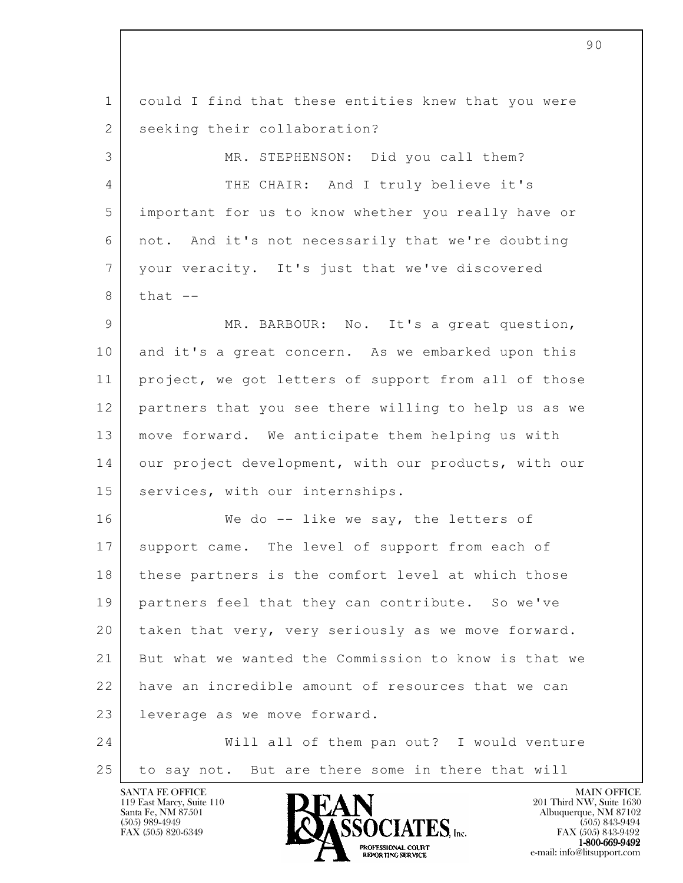l 1 could I find that these entities knew that you were 2 seeking their collaboration? 3 MR. STEPHENSON: Did you call them? 4 THE CHAIR: And I truly believe it's 5 important for us to know whether you really have or 6 not. And it's not necessarily that we're doubting 7 your veracity. It's just that we've discovered  $8$  that  $-$ 9 MR. BARBOUR: No. It's a great question, 10 and it's a great concern. As we embarked upon this 11 | project, we got letters of support from all of those 12 partners that you see there willing to help us as we 13 move forward. We anticipate them helping us with 14 our project development, with our products, with our 15 | services, with our internships. 16 | We do -- like we say, the letters of 17 support came. The level of support from each of 18 | these partners is the comfort level at which those 19 partners feel that they can contribute. So we've 20 taken that very, very seriously as we move forward. 21 But what we wanted the Commission to know is that we 22 have an incredible amount of resources that we can 23 leverage as we move forward. 24 Will all of them pan out? I would venture 25 to say not. But are there some in there that will

90

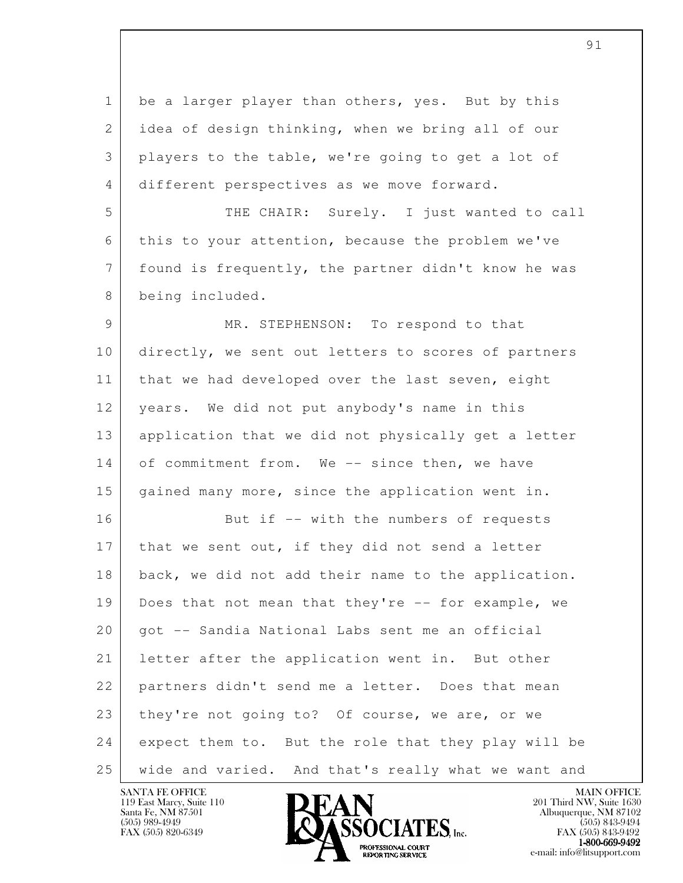l 1 be a larger player than others, yes. But by this 2 idea of design thinking, when we bring all of our 3 players to the table, we're going to get a lot of 4 different perspectives as we move forward. 5 THE CHAIR: Surely. I just wanted to call 6 this to your attention, because the problem we've 7 found is frequently, the partner didn't know he was 8 being included. 9 MR. STEPHENSON: To respond to that 10 directly, we sent out letters to scores of partners 11 | that we had developed over the last seven, eight 12 years. We did not put anybody's name in this 13 application that we did not physically get a letter 14 of commitment from. We -- since then, we have 15 gained many more, since the application went in. 16 But if -- with the numbers of requests 17 | that we sent out, if they did not send a letter 18 | back, we did not add their name to the application. 19 Does that not mean that they're -- for example, we 20 got -- Sandia National Labs sent me an official 21 letter after the application went in. But other 22 partners didn't send me a letter. Does that mean 23 they're not going to? Of course, we are, or we 24 expect them to. But the role that they play will be 25 wide and varied. And that's really what we want and

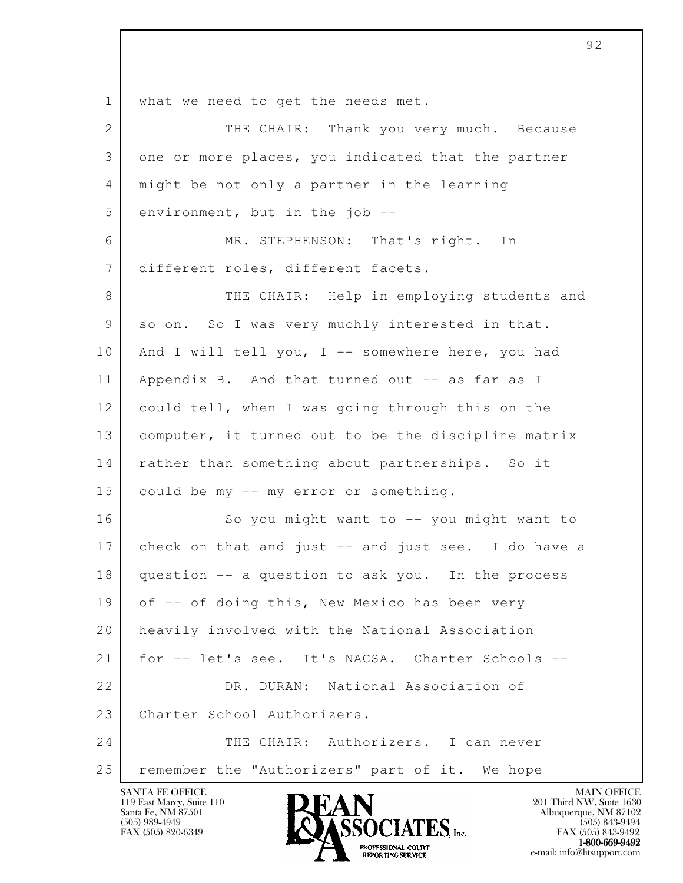l 1 | what we need to get the needs met. 2 THE CHAIR: Thank you very much. Because 3 one or more places, you indicated that the partner 4 might be not only a partner in the learning  $5$  environment, but in the job  $-$  6 MR. STEPHENSON: That's right. In 7 different roles, different facets. 8 THE CHAIR: Help in employing students and 9 so on. So I was very muchly interested in that. 10 | And I will tell you, I -- somewhere here, you had 11 | Appendix B. And that turned out -- as far as I 12 could tell, when I was going through this on the 13 computer, it turned out to be the discipline matrix 14 | rather than something about partnerships. So it 15 could be my -- my error or something. 16 So you might want to -- you might want to 17 check on that and just -- and just see. I do have a 18 question -- a question to ask you. In the process 19 of -- of doing this, New Mexico has been very 20 heavily involved with the National Association 21 for -- let's see. It's NACSA. Charter Schools --22 DR. DURAN: National Association of 23 Charter School Authorizers. 24 THE CHAIR: Authorizers. I can never 25 remember the "Authorizers" part of it. We hope

119 East Marcy, Suite 110<br>Santa Fe, NM 87501

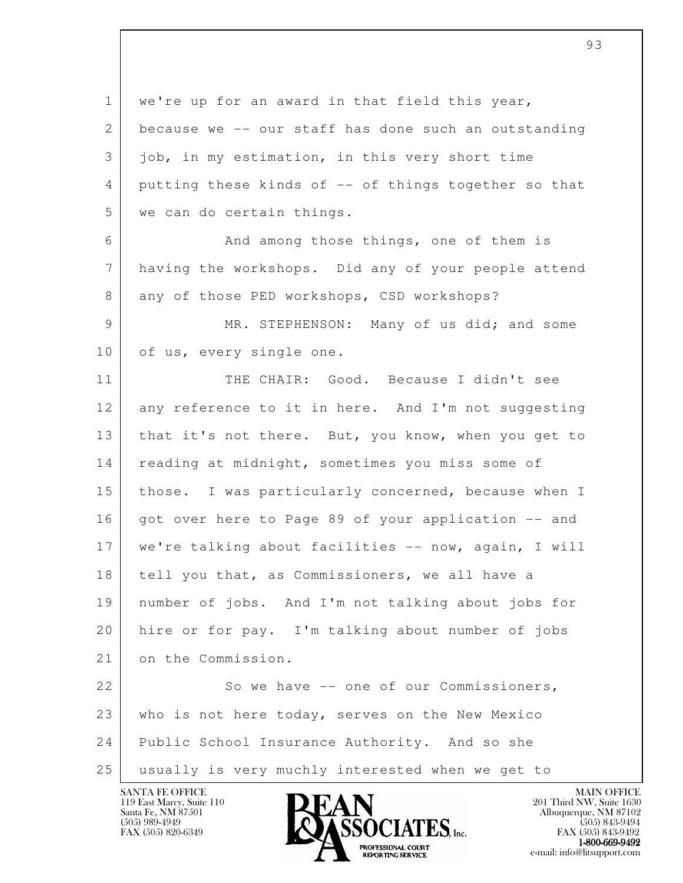l 1 we're up for an award in that field this year, 2 because we -- our staff has done such an outstanding 3 job, in my estimation, in this very short time 4 putting these kinds of -- of things together so that 5 we can do certain things. 6 **And among those things, one of them is**  7 having the workshops. Did any of your people attend 8 any of those PED workshops, CSD workshops? 9 MR. STEPHENSON: Many of us did; and some 10 of us, every single one. 11 THE CHAIR: Good. Because I didn't see 12 any reference to it in here. And I'm not suggesting 13 | that it's not there. But, you know, when you get to 14 reading at midnight, sometimes you miss some of 15 those. I was particularly concerned, because when I 16 | got over here to Page 89 of your application -- and 17 | we're talking about facilities -- now, again, I will 18 tell you that, as Commissioners, we all have a 19 number of jobs. And I'm not talking about jobs for 20 hire or for pay. I'm talking about number of jobs 21 on the Commission. 22 So we have -- one of our Commissioners, 23 who is not here today, serves on the New Mexico 24 Public School Insurance Authority. And so she 25 usually is very muchly interested when we get to

93



FAX (505) 843-9492 **EXPORTING SERVICE** EXPLORER THE REPORTING SERVICE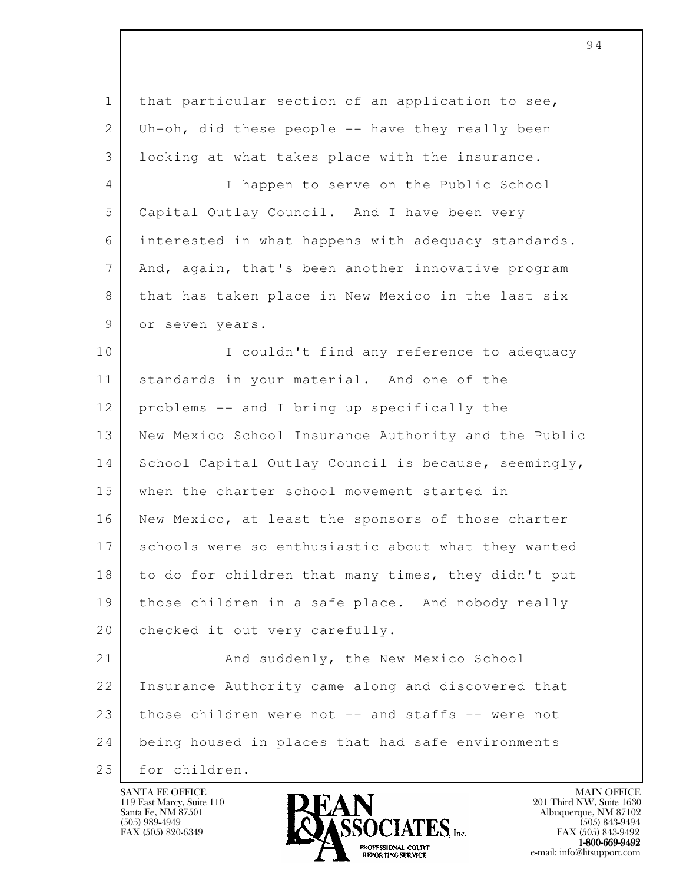l 1 that particular section of an application to see, 2 Uh-oh, did these people  $-$  have they really been 3 looking at what takes place with the insurance. 4 I happen to serve on the Public School 5 Capital Outlay Council. And I have been very 6 interested in what happens with adequacy standards. 7 And, again, that's been another innovative program 8 that has taken place in New Mexico in the last six 9 or seven years. 10 | I couldn't find any reference to adequacy 11 | standards in your material. And one of the 12 problems -- and I bring up specifically the 13 New Mexico School Insurance Authority and the Public 14 School Capital Outlay Council is because, seemingly, 15 when the charter school movement started in 16 New Mexico, at least the sponsors of those charter 17 schools were so enthusiastic about what they wanted 18 to do for children that many times, they didn't put 19 those children in a safe place. And nobody really 20 | checked it out very carefully. 21 And suddenly, the New Mexico School 22 Insurance Authority came along and discovered that 23 those children were not -- and staffs -- were not 24 being housed in places that had safe environments 25 for children.

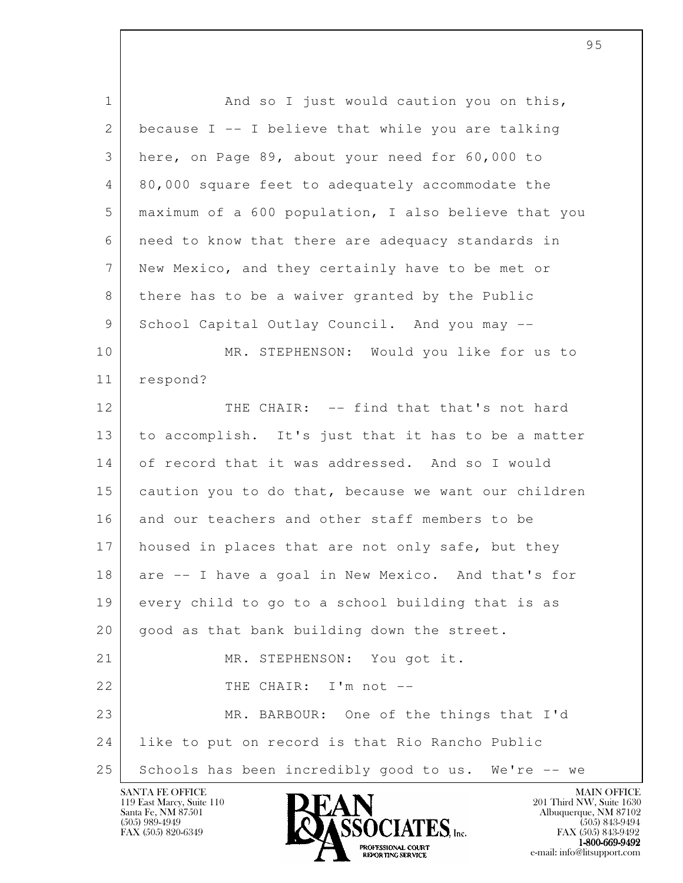l 1 and so I just would caution you on this, 2 because I  $-$  I believe that while you are talking 3 here, on Page 89, about your need for 60,000 to 4 80,000 square feet to adequately accommodate the 5 maximum of a 600 population, I also believe that you 6 need to know that there are adequacy standards in 7 New Mexico, and they certainly have to be met or 8 there has to be a waiver granted by the Public 9 School Capital Outlay Council. And you may --10 MR. STEPHENSON: Would you like for us to 11 respond? 12 THE CHAIR: -- find that that's not hard 13 to accomplish. It's just that it has to be a matter 14 of record that it was addressed. And so I would 15 caution you to do that, because we want our children 16 and our teachers and other staff members to be 17 housed in places that are not only safe, but they 18 are -- I have a goal in New Mexico. And that's for 19 every child to go to a school building that is as 20 | good as that bank building down the street. 21 MR. STEPHENSON: You got it. 22 THE CHAIR: I'm not -- 23 MR. BARBOUR: One of the things that I'd 24 like to put on record is that Rio Rancho Public 25 Schools has been incredibly good to us. We're -- we

119 East Marcy, Suite 110<br>Santa Fe, NM 87501



FAX (505) 843-9492 1-800-669-9492<br>PROFESSIONAL COURT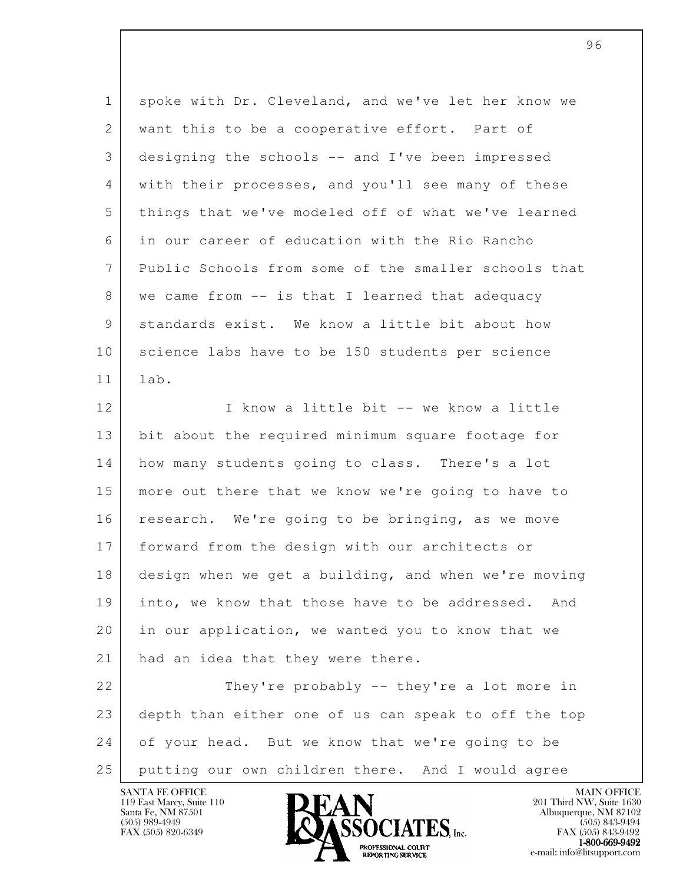| $\mathbf 1$ | spoke with Dr. Cleveland, and we've let her know we  |
|-------------|------------------------------------------------------|
| 2           | want this to be a cooperative effort. Part of        |
| 3           | designing the schools -- and I've been impressed     |
| 4           | with their processes, and you'll see many of these   |
| 5           | things that we've modeled off of what we've learned  |
| 6           | in our career of education with the Rio Rancho       |
| 7           | Public Schools from some of the smaller schools that |
| 8           | we came from -- is that I learned that adequacy      |
| 9           | standards exist. We know a little bit about how      |
| 10          | science labs have to be 150 students per science     |
| 11          | lab.                                                 |
| 12          | I know a little bit -- we know a little              |
| 13          | bit about the required minimum square footage for    |
| 14          | how many students going to class. There's a lot      |
| 15          | more out there that we know we're going to have to   |
| 16          | research. We're going to be bringing, as we move     |
| 17          | forward from the design with our architects or       |
| 18          | design when we get a building, and when we're moving |
| 19          | into, we know that those have to be addressed. And   |
| 20          | in our application, we wanted you to know that we    |
| 21          | had an idea that they were there.                    |
| 22          | They're probably -- they're a lot more in            |
| 23          | depth than either one of us can speak to off the top |
| 24          | of your head. But we know that we're going to be     |
| 25          | putting our own children there. And I would agree    |
|             |                                                      |

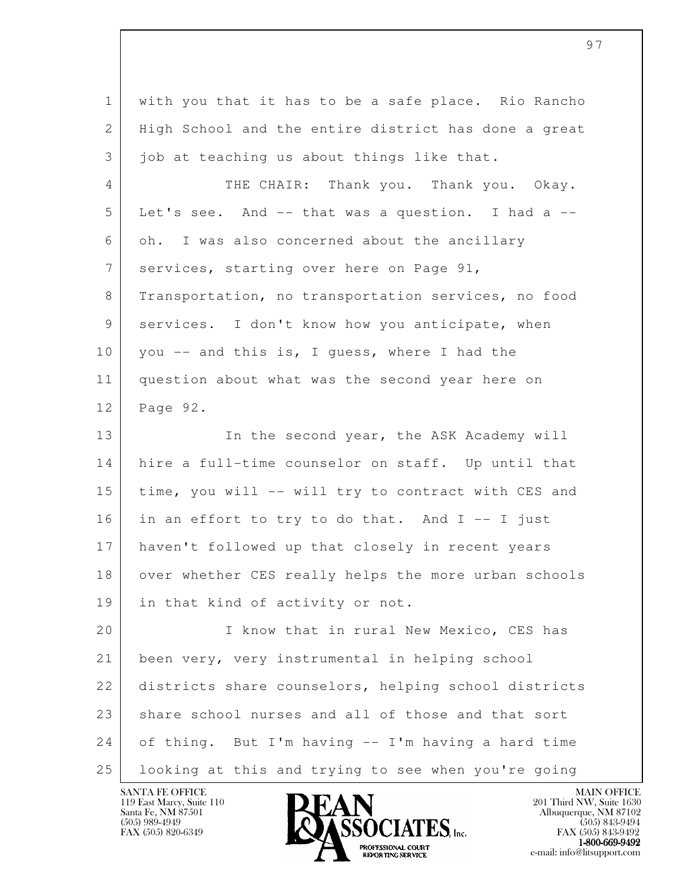| $\mathbf{1}$ | with you that it has to be a safe place. Rio Rancho  |
|--------------|------------------------------------------------------|
| 2            | High School and the entire district has done a great |
| 3            | job at teaching us about things like that.           |
| 4            | THE CHAIR: Thank you. Thank you. Okay.               |
| 5            | Let's see. And -- that was a question. I had a --    |
| 6            | oh. I was also concerned about the ancillary         |
| 7            | services, starting over here on Page 91,             |
| 8            | Transportation, no transportation services, no food  |
| 9            | services. I don't know how you anticipate, when      |
| 10           | you -- and this is, I guess, where I had the         |
| 11           | question about what was the second year here on      |
| 12           | Page 92.                                             |
| 13           | In the second year, the ASK Academy will             |
| 14           | hire a full-time counselor on staff. Up until that   |
| 15           | time, you will -- will try to contract with CES and  |
| 16           | in an effort to try to do that. And I -- I just      |
| 17           | haven't followed up that closely in recent years     |
| 18           | over whether CES really helps the more urban schools |
| 19           | in that kind of activity or not.                     |
| 20           | I know that in rural New Mexico, CES has             |
| 21           | been very, very instrumental in helping school       |
| 22           | districts share counselors, helping school districts |
| 23           | share school nurses and all of those and that sort   |
| 24           | of thing. But I'm having -- I'm having a hard time   |
| 25           | looking at this and trying to see when you're going  |

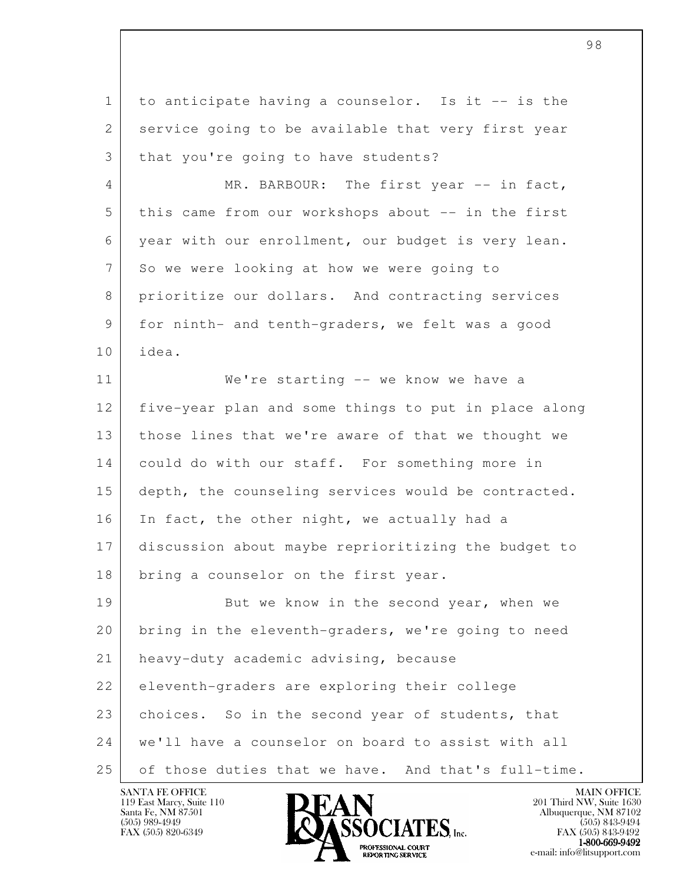l 1 to anticipate having a counselor. Is it -- is the 2 service going to be available that very first year 3 | that you're going to have students? 4 MR. BARBOUR: The first year -- in fact, 5 this came from our workshops about -- in the first 6 year with our enrollment, our budget is very lean. 7 So we were looking at how we were going to 8 prioritize our dollars. And contracting services 9 for ninth- and tenth-graders, we felt was a good 10 idea. 11 We're starting -- we know we have a 12 five-year plan and some things to put in place along 13 those lines that we're aware of that we thought we 14 could do with our staff. For something more in 15 depth, the counseling services would be contracted. 16 In fact, the other night, we actually had a 17 discussion about maybe reprioritizing the budget to 18 bring a counselor on the first year. 19 But we know in the second year, when we 20 bring in the eleventh-graders, we're going to need 21 heavy-duty academic advising, because 22 eleventh-graders are exploring their college 23 choices. So in the second year of students, that 24 we'll have a counselor on board to assist with all 25 of those duties that we have. And that's full-time.

119 East Marcy, Suite 110<br>Santa Fe, NM 87501

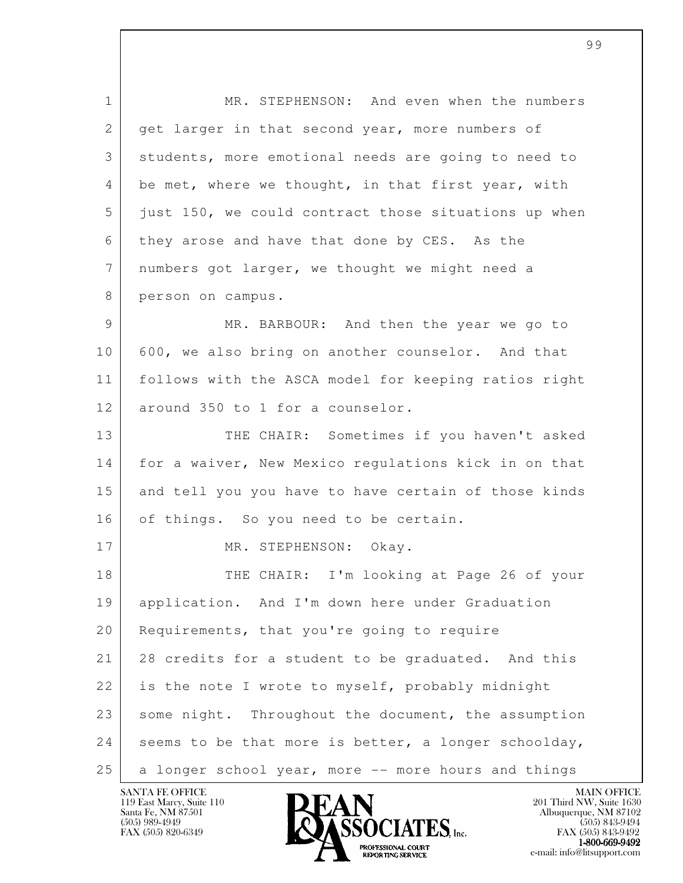l 1 MR. STEPHENSON: And even when the numbers 2 get larger in that second year, more numbers of 3 students, more emotional needs are going to need to 4 be met, where we thought, in that first year, with 5 just 150, we could contract those situations up when 6 they arose and have that done by CES. As the 7 numbers got larger, we thought we might need a 8 person on campus. 9 MR. BARBOUR: And then the year we go to 10 600, we also bring on another counselor. And that 11 follows with the ASCA model for keeping ratios right 12 around 350 to 1 for a counselor. 13 THE CHAIR: Sometimes if you haven't asked 14 for a waiver, New Mexico regulations kick in on that 15 and tell you you have to have certain of those kinds 16 of things. So you need to be certain. 17 MR. STEPHENSON: Okay. 18 THE CHAIR: I'm looking at Page 26 of your 19 application. And I'm down here under Graduation 20 Requirements, that you're going to require 21 28 credits for a student to be graduated. And this 22 is the note I wrote to myself, probably midnight 23 some night. Throughout the document, the assumption 24 seems to be that more is better, a longer schoolday, 25 a longer school year, more -- more hours and things

99

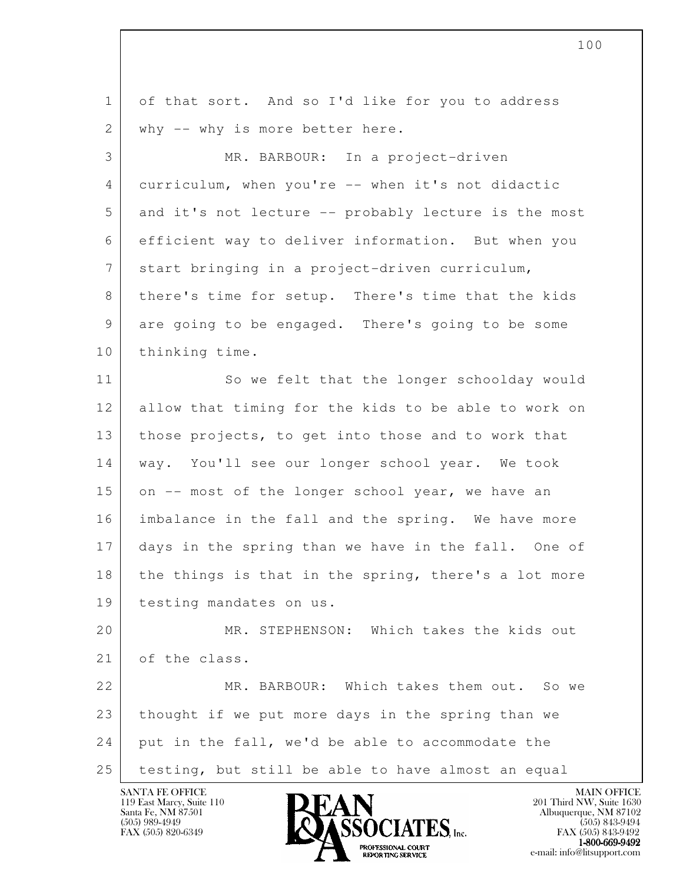| $\mathbf 1$ | of that sort. And so I'd like for you to address     |
|-------------|------------------------------------------------------|
| 2           | why -- why is more better here.                      |
| 3           | MR. BARBOUR: In a project-driven                     |
| 4           | curriculum, when you're -- when it's not didactic    |
| 5           | and it's not lecture -- probably lecture is the most |
| 6           | efficient way to deliver information. But when you   |
| 7           | start bringing in a project-driven curriculum,       |
| 8           | there's time for setup. There's time that the kids   |
| 9           | are going to be engaged. There's going to be some    |
| 10          | thinking time.                                       |
| 11          | So we felt that the longer schoolday would           |
| 12          | allow that timing for the kids to be able to work on |
| 13          | those projects, to get into those and to work that   |
| 14          | way. You'll see our longer school year. We took      |
| 15          | on -- most of the longer school year, we have an     |
| 16          | imbalance in the fall and the spring. We have more   |
| 17          | days in the spring than we have in the fall. One of  |
| 18          | the things is that in the spring, there's a lot more |
| 19          | testing mandates on us.                              |
| 20          | MR. STEPHENSON: Which takes the kids out             |
| 21          | of the class.                                        |
| 22          | MR. BARBOUR: Which takes them out. So we             |
| 23          | thought if we put more days in the spring than we    |
| 24          | put in the fall, we'd be able to accommodate the     |
| 25          | testing, but still be able to have almost an equal   |

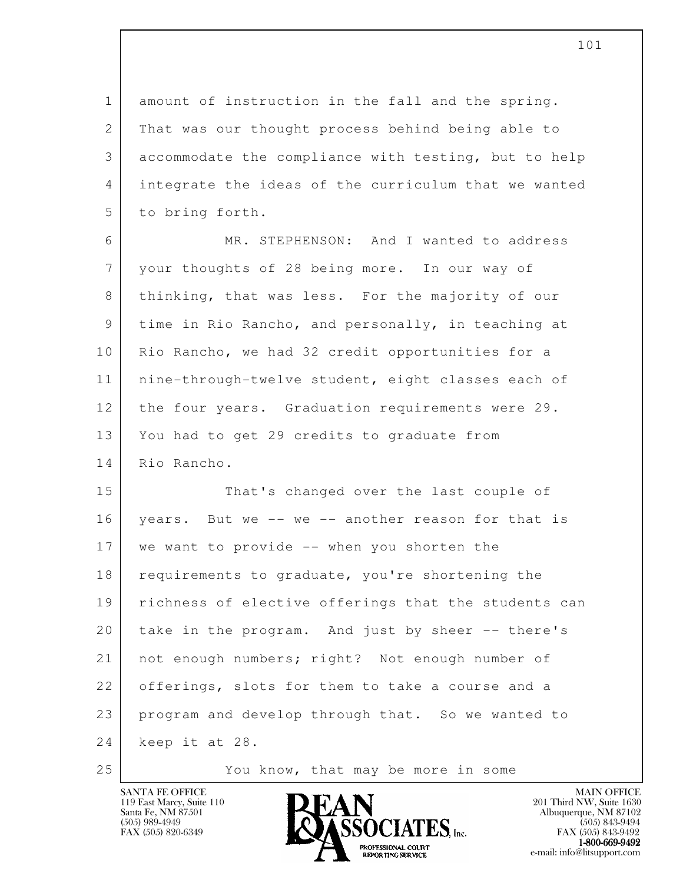1 amount of instruction in the fall and the spring. 2 That was our thought process behind being able to 3 accommodate the compliance with testing, but to help 4 integrate the ideas of the curriculum that we wanted 5 to bring forth.

 6 MR. STEPHENSON: And I wanted to address 7 your thoughts of 28 being more. In our way of 8 thinking, that was less. For the majority of our 9 time in Rio Rancho, and personally, in teaching at 10 | Rio Rancho, we had 32 credit opportunities for a 11 | nine-through-twelve student, eight classes each of 12 the four years. Graduation requirements were 29. 13 You had to get 29 credits to graduate from 14 Rio Rancho.

l 15 That's changed over the last couple of 16 years. But we -- we -- another reason for that is 17 we want to provide -- when you shorten the 18 requirements to graduate, you're shortening the 19 richness of elective offerings that the students can 20 take in the program. And just by sheer -- there's 21 | not enough numbers; right? Not enough number of 22 offerings, slots for them to take a course and a 23 program and develop through that. So we wanted to 24 keep it at 28.

25 You know, that may be more in some

119 East Marcy, Suite 110<br>Santa Fe, NM 87501



FAX (505) 843-9492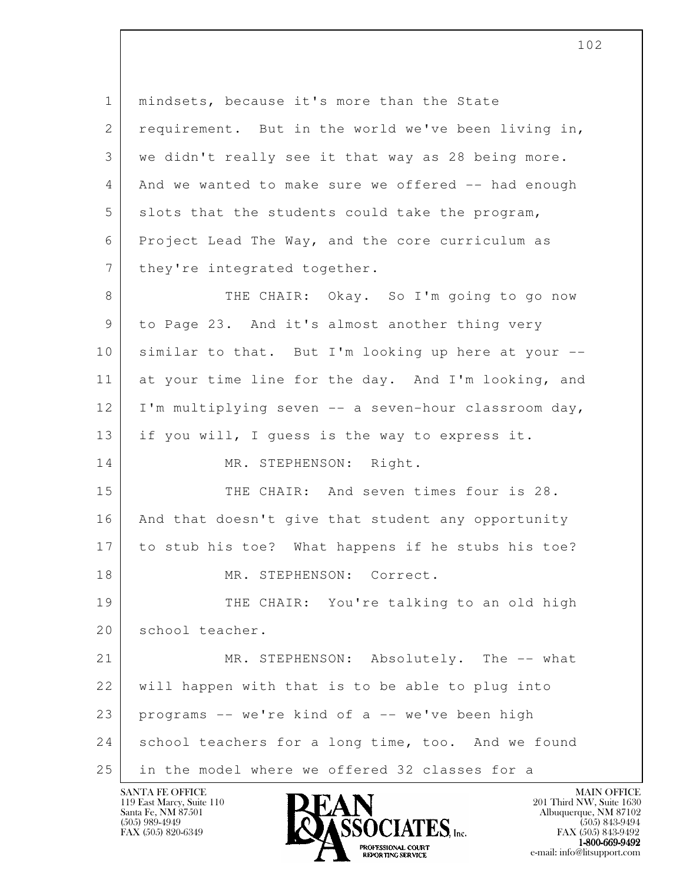l 1 mindsets, because it's more than the State 2 requirement. But in the world we've been living in, 3 we didn't really see it that way as 28 being more. 4 And we wanted to make sure we offered -- had enough 5 slots that the students could take the program, 6 Project Lead The Way, and the core curriculum as 7 | they're integrated together. 8 THE CHAIR: Okay. So I'm going to go now 9 to Page 23. And it's almost another thing very 10 | similar to that. But I'm looking up here at your --11 at your time line for the day. And I'm looking, and 12 | I'm multiplying seven -- a seven-hour classroom day, 13 if you will, I guess is the way to express it. 14 MR. STEPHENSON: Right. 15 THE CHAIR: And seven times four is 28. 16 | And that doesn't give that student any opportunity 17 to stub his toe? What happens if he stubs his toe? 18 MR. STEPHENSON: Correct. 19 THE CHAIR: You're talking to an old high 20 school teacher. 21 MR. STEPHENSON: Absolutely. The -- what 22 will happen with that is to be able to plug into 23 programs -- we're kind of a -- we've been high 24 school teachers for a long time, too. And we found 25 in the model where we offered 32 classes for a

102

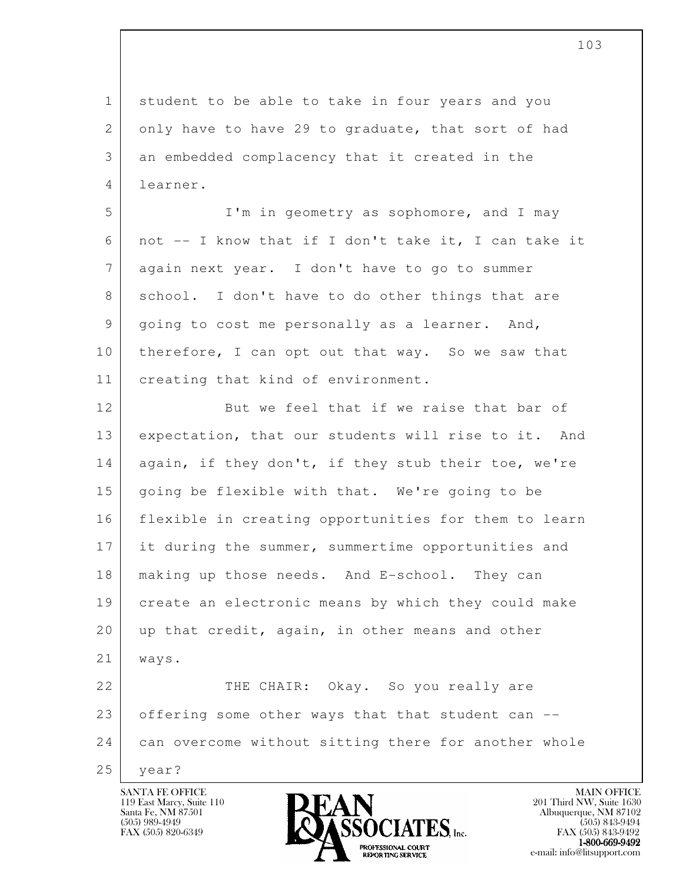l 1 student to be able to take in four years and you 2 only have to have 29 to graduate, that sort of had 3 an embedded complacency that it created in the 4 learner. 5 I'm in geometry as sophomore, and I may 6 not -- I know that if I don't take it, I can take it 7 again next year. I don't have to go to summer 8 school. I don't have to do other things that are 9 going to cost me personally as a learner. And, 10 | therefore, I can opt out that way. So we saw that 11 | creating that kind of environment. 12 But we feel that if we raise that bar of 13 expectation, that our students will rise to it. And 14 again, if they don't, if they stub their toe, we're 15 | going be flexible with that. We're going to be 16 flexible in creating opportunities for them to learn 17 it during the summer, summertime opportunities and 18 making up those needs. And E-school. They can 19 create an electronic means by which they could make 20 up that credit, again, in other means and other 21 ways. 22 THE CHAIR: Okay. So you really are 23 offering some other ways that that student can --24 can overcome without sitting there for another whole 25 year?

119 East Marcy, Suite 110<br>Santa Fe, NM 87501

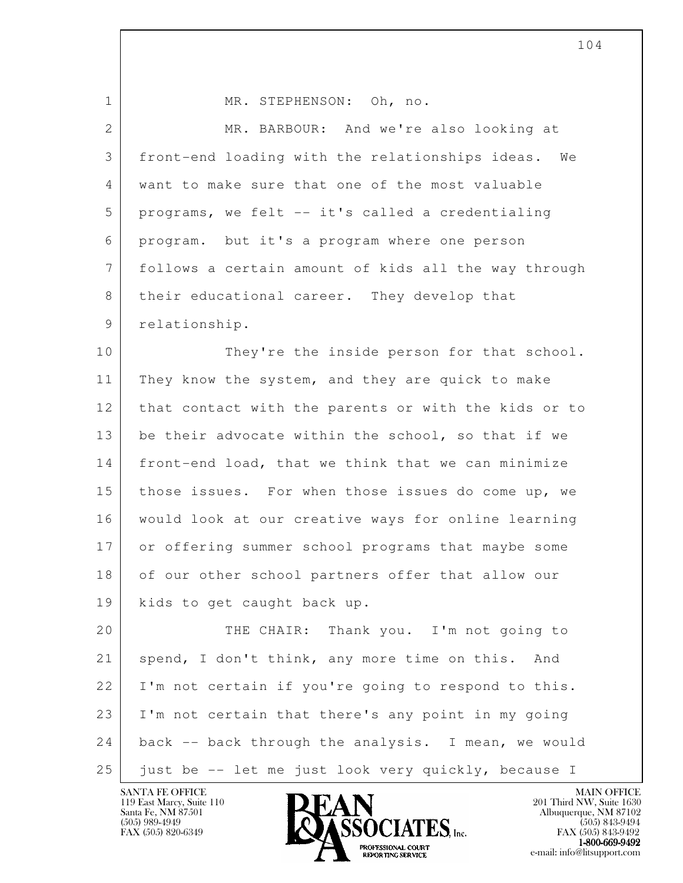| $\mathbf 1$     | MR. STEPHENSON: Oh, no.                               |
|-----------------|-------------------------------------------------------|
| $\mathbf{2}$    | MR. BARBOUR: And we're also looking at                |
| 3               | front-end loading with the relationships ideas.<br>We |
| 4               | want to make sure that one of the most valuable       |
| 5               | programs, we felt -- it's called a credentialing      |
| 6               | program. but it's a program where one person          |
| $7\phantom{.0}$ | follows a certain amount of kids all the way through  |
| 8               | their educational career. They develop that           |
| 9               | relationship.                                         |
| 10              | They're the inside person for that school.            |
| 11              | They know the system, and they are quick to make      |
| 12              | that contact with the parents or with the kids or to  |
| 13              | be their advocate within the school, so that if we    |
| 14              | front-end load, that we think that we can minimize    |
| 15              | those issues. For when those issues do come up, we    |
| 16              | would look at our creative ways for online learning   |
| 17              | or offering summer school programs that maybe some    |
| 18              | of our other school partners offer that allow our     |
| 19              | kids to get caught back up.                           |
| 20              | THE CHAIR: Thank you. I'm not going to                |
| 21              | spend, I don't think, any more time on this.<br>And   |
| 22              | I'm not certain if you're going to respond to this.   |
| 23              | I'm not certain that there's any point in my going    |
| 24              | back -- back through the analysis. I mean, we would   |
| 25              | just be -- let me just look very quickly, because I   |

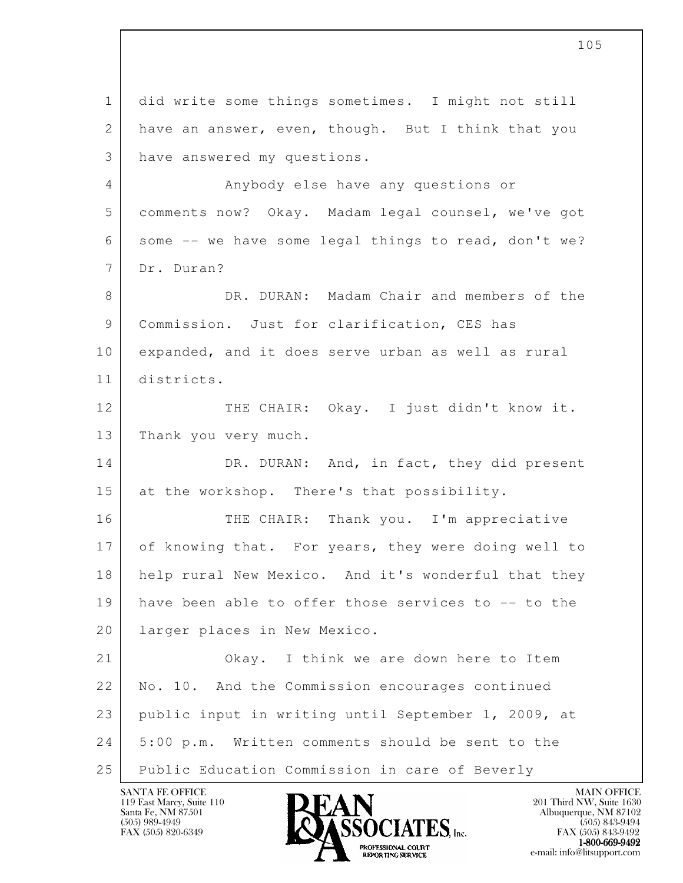l 1 did write some things sometimes. I might not still 2 have an answer, even, though. But I think that you 3 have answered my questions. 4 Anybody else have any questions or 5 comments now? Okay. Madam legal counsel, we've got 6 some -- we have some legal things to read, don't we? 7 Dr. Duran? 8 DR. DURAN: Madam Chair and members of the 9 Commission. Just for clarification, CES has 10 expanded, and it does serve urban as well as rural 11 districts. 12 THE CHAIR: Okay. I just didn't know it. 13 Thank you very much. 14 DR. DURAN: And, in fact, they did present 15 at the workshop. There's that possibility. 16 THE CHAIR: Thank you. I'm appreciative 17 of knowing that. For years, they were doing well to 18 help rural New Mexico. And it's wonderful that they 19 have been able to offer those services to -- to the 20 | larger places in New Mexico. 21 Okay. I think we are down here to Item 22 No. 10. And the Commission encourages continued 23 public input in writing until September 1, 2009, at 24 5:00 p.m. Written comments should be sent to the 25 Public Education Commission in care of Beverly

119 East Marcy, Suite 110<br>Santa Fe, NM 87501

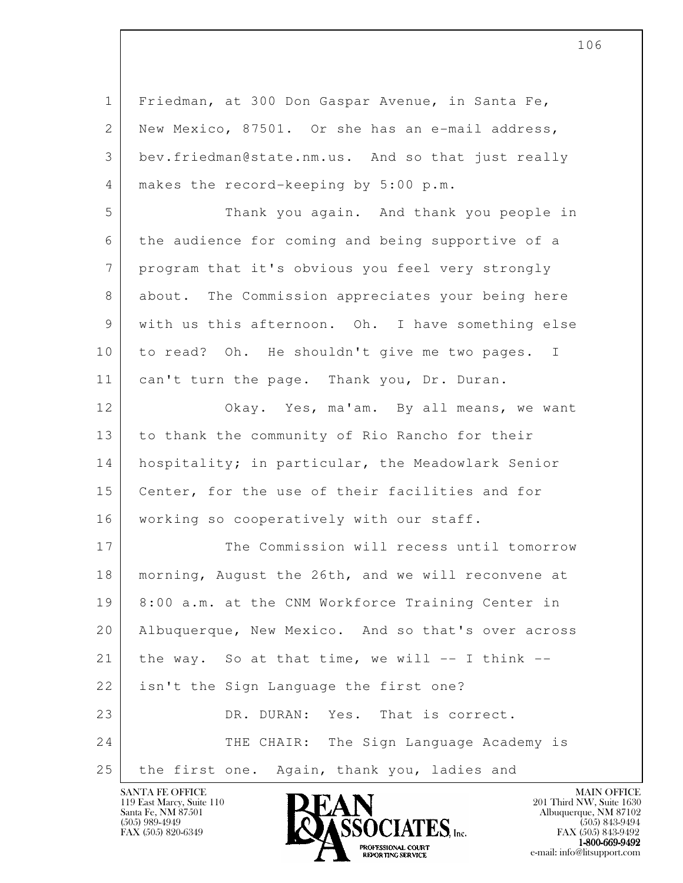| $\mathbf 1$ | Friedman, at 300 Don Gaspar Avenue, in Santa Fe,    |
|-------------|-----------------------------------------------------|
| 2           | New Mexico, 87501. Or she has an e-mail address,    |
| 3           | bev.friedman@state.nm.us. And so that just really   |
| 4           | makes the record-keeping by 5:00 p.m.               |
| 5           | Thank you again. And thank you people in            |
| 6           | the audience for coming and being supportive of a   |
| 7           | program that it's obvious you feel very strongly    |
| 8           | about. The Commission appreciates your being here   |
| 9           | with us this afternoon. Oh. I have something else   |
| 10          | to read? Oh. He shouldn't give me two pages. I      |
| 11          | can't turn the page. Thank you, Dr. Duran.          |
| 12          | Okay. Yes, ma'am. By all means, we want             |
| 13          | to thank the community of Rio Rancho for their      |
| 14          | hospitality; in particular, the Meadowlark Senior   |
| 15          | Center, for the use of their facilities and for     |
| 16          | working so cooperatively with our staff.            |
| 17          | The Commission will recess until tomorrow           |
| 18          | morning, August the 26th, and we will reconvene at  |
| 19          | 8:00 a.m. at the CNM Workforce Training Center in   |
| 20          | Albuquerque, New Mexico. And so that's over across  |
| 21          | the way. So at that time, we will $--$ I think $--$ |
| 22          | isn't the Sign Language the first one?              |
| 23          | DR. DURAN:<br>Yes. That is correct.                 |
| 24          | THE CHAIR: The Sign Language Academy is             |
| 25          | the first one. Again, thank you, ladies and         |

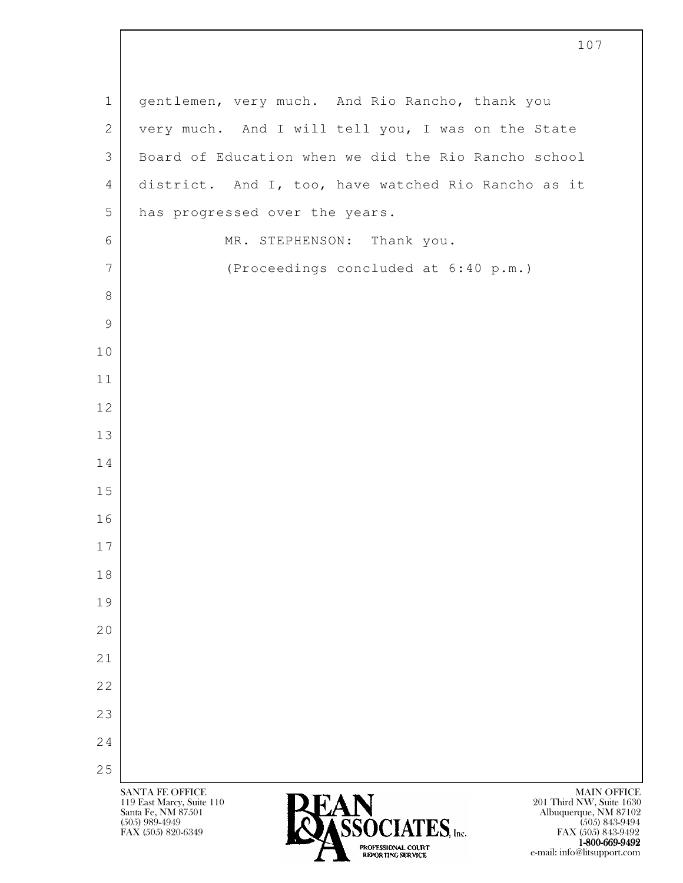| $\mathbf 1$     | gentlemen, very much. And Rio Rancho, thank you                                                                                                                                                                |
|-----------------|----------------------------------------------------------------------------------------------------------------------------------------------------------------------------------------------------------------|
| $\mathbf{2}$    | very much. And I will tell you, I was on the State                                                                                                                                                             |
| 3               | Board of Education when we did the Rio Rancho school                                                                                                                                                           |
| 4               | district. And I, too, have watched Rio Rancho as it                                                                                                                                                            |
| 5               | has progressed over the years.                                                                                                                                                                                 |
| 6               | MR. STEPHENSON: Thank you.                                                                                                                                                                                     |
| $7\phantom{.0}$ | (Proceedings concluded at 6:40 p.m.)                                                                                                                                                                           |
| 8               |                                                                                                                                                                                                                |
| 9               |                                                                                                                                                                                                                |
| 10              |                                                                                                                                                                                                                |
| 11              |                                                                                                                                                                                                                |
| 12              |                                                                                                                                                                                                                |
| 13              |                                                                                                                                                                                                                |
| 14              |                                                                                                                                                                                                                |
| 15              |                                                                                                                                                                                                                |
| 16              |                                                                                                                                                                                                                |
| 17              |                                                                                                                                                                                                                |
| 18              |                                                                                                                                                                                                                |
| 19              |                                                                                                                                                                                                                |
| 20              |                                                                                                                                                                                                                |
| 21              |                                                                                                                                                                                                                |
| 22              |                                                                                                                                                                                                                |
| 23              |                                                                                                                                                                                                                |
| 24              |                                                                                                                                                                                                                |
| 25              | <b>SANTA FE OFFICE</b><br><b>MAIN OFFICE</b>                                                                                                                                                                   |
|                 | 119 East Marcy, Suite 110<br>201 Third NW, Suite 1630<br><b>OASSOCIATES</b><br>Santa Fe, NM 87501<br>Albuquerque, NM 87102<br>$(505)$ 989-4949<br>$(505)$ 843-9494<br>FAX (505) 820-6349<br>FAX (505) 843-9492 |

1-800-669-9492 EXPORTING SERVICE e-mail: info@litsupport.com